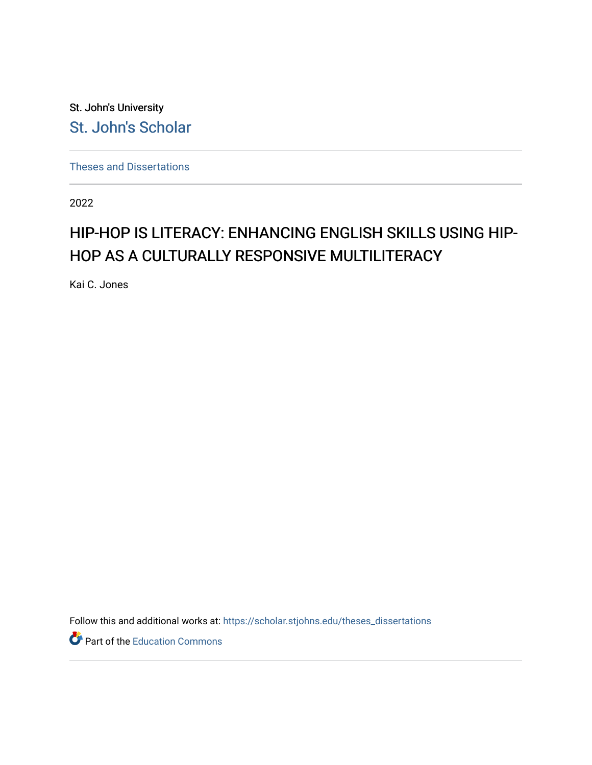St. John's University [St. John's Scholar](https://scholar.stjohns.edu/) 

[Theses and Dissertations](https://scholar.stjohns.edu/theses_dissertations)

2022

# HIP-HOP IS LITERACY: ENHANCING ENGLISH SKILLS USING HIP-HOP AS A CULTURALLY RESPONSIVE MULTILITERACY

Kai C. Jones

Follow this and additional works at: [https://scholar.stjohns.edu/theses\\_dissertations](https://scholar.stjohns.edu/theses_dissertations?utm_source=scholar.stjohns.edu%2Ftheses_dissertations%2F363&utm_medium=PDF&utm_campaign=PDFCoverPages)

Part of the [Education Commons](http://network.bepress.com/hgg/discipline/784?utm_source=scholar.stjohns.edu%2Ftheses_dissertations%2F363&utm_medium=PDF&utm_campaign=PDFCoverPages)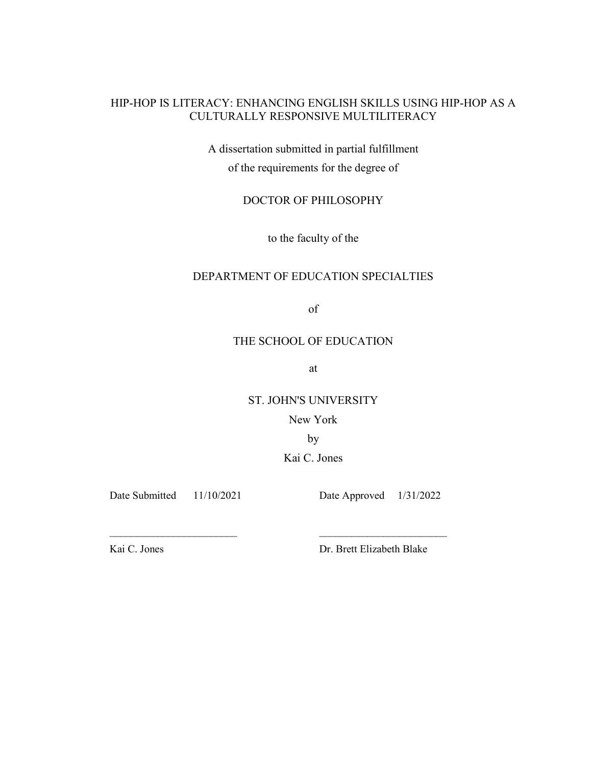# HIP-HOP IS LITERACY: ENHANCING ENGLISH SKILLS USING HIP-HOP AS A CULTURALLY RESPONSIVE MULTILITERACY

A dissertation submitted in partial fulfillment of the requirements for the degree of

DOCTOR OF PHILOSOPHY

to the faculty of the

## DEPARTMENT OF EDUCATION SPECIALTIES

of

# THE SCHOOL OF EDUCATION

at

ST. JOHN'S UNIVERSITY

New York

by

Kai C. Jones

\_\_\_\_\_\_\_\_\_\_\_\_\_\_\_\_\_\_\_\_\_\_\_\_ \_\_\_\_\_\_\_\_\_\_\_\_\_\_\_\_\_\_\_\_\_\_\_\_

Date Submitted 11/10/2021 Date Approved 1/31/2022

Kai C. Jones Dr. Brett Elizabeth Blake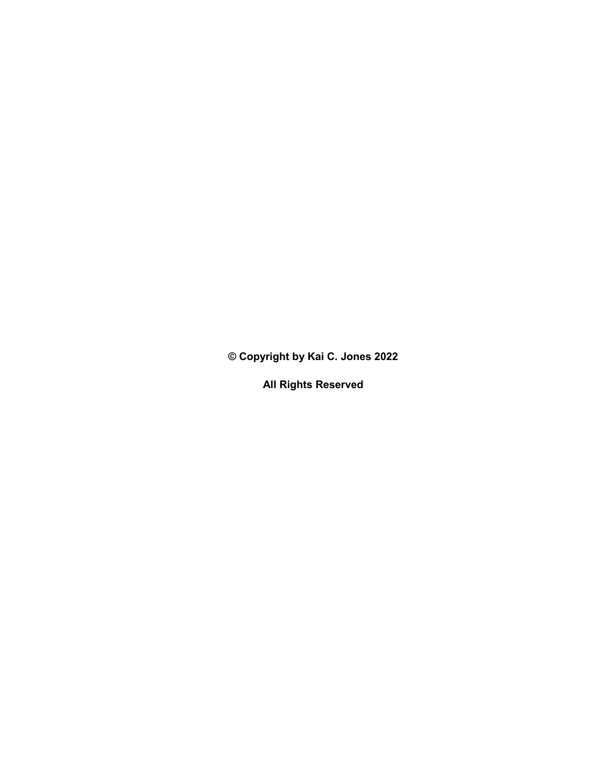**© Copyright by Kai C. Jones 2022**

**All Rights Reserved**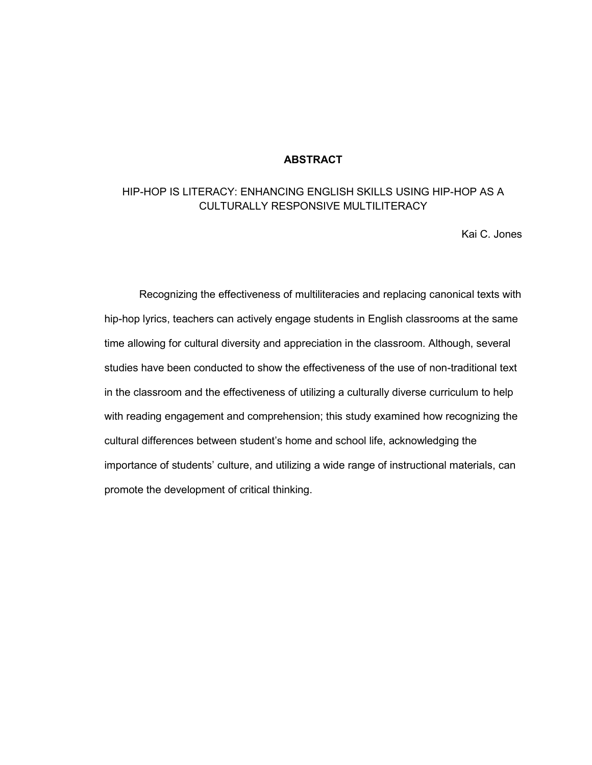## **ABSTRACT**

# HIP-HOP IS LITERACY: ENHANCING ENGLISH SKILLS USING HIP-HOP AS A CULTURALLY RESPONSIVE MULTILITERACY

Kai C. Jones

Recognizing the effectiveness of multiliteracies and replacing canonical texts with hip-hop lyrics, teachers can actively engage students in English classrooms at the same time allowing for cultural diversity and appreciation in the classroom. Although, several studies have been conducted to show the effectiveness of the use of non-traditional text in the classroom and the effectiveness of utilizing a culturally diverse curriculum to help with reading engagement and comprehension; this study examined how recognizing the cultural differences between student's home and school life, acknowledging the importance of students' culture, and utilizing a wide range of instructional materials, can promote the development of critical thinking.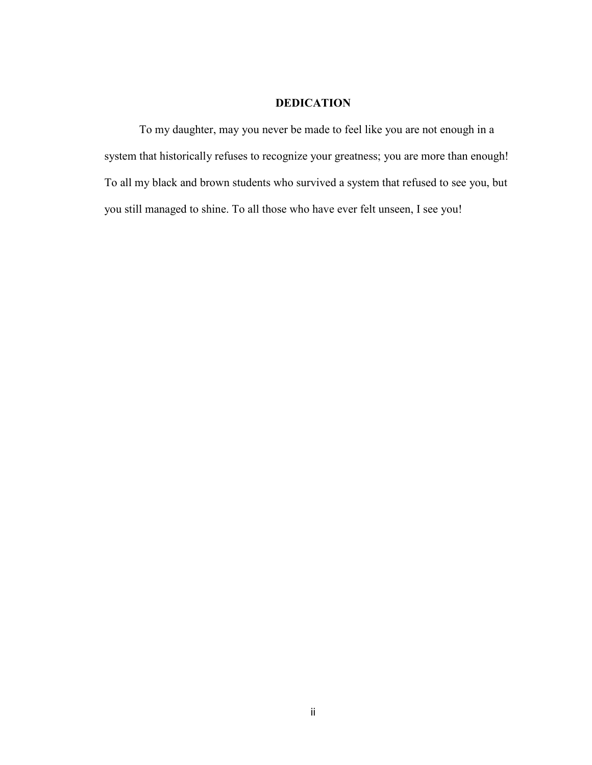# **DEDICATION**

<span id="page-4-0"></span>To my daughter, may you never be made to feel like you are not enough in a system that historically refuses to recognize your greatness; you are more than enough! To all my black and brown students who survived a system that refused to see you, but you still managed to shine. To all those who have ever felt unseen, I see you!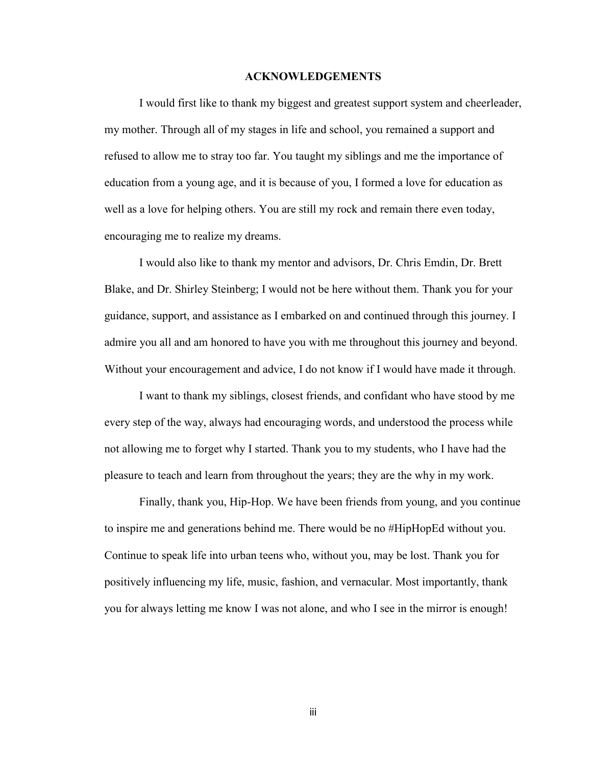#### **ACKNOWLEDGEMENTS**

<span id="page-5-0"></span>I would first like to thank my biggest and greatest support system and cheerleader, my mother. Through all of my stages in life and school, you remained a support and refused to allow me to stray too far. You taught my siblings and me the importance of education from a young age, and it is because of you, I formed a love for education as well as a love for helping others. You are still my rock and remain there even today, encouraging me to realize my dreams.

I would also like to thank my mentor and advisors, Dr. Chris Emdin, Dr. Brett Blake, and Dr. Shirley Steinberg; I would not be here without them. Thank you for your guidance, support, and assistance as I embarked on and continued through this journey. I admire you all and am honored to have you with me throughout this journey and beyond. Without your encouragement and advice, I do not know if I would have made it through.

I want to thank my siblings, closest friends, and confidant who have stood by me every step of the way, always had encouraging words, and understood the process while not allowing me to forget why I started. Thank you to my students, who I have had the pleasure to teach and learn from throughout the years; they are the why in my work.

Finally, thank you, Hip-Hop. We have been friends from young, and you continue to inspire me and generations behind me. There would be no #HipHopEd without you. Continue to speak life into urban teens who, without you, may be lost. Thank you for positively influencing my life, music, fashion, and vernacular. Most importantly, thank you for always letting me know I was not alone, and who I see in the mirror is enough!

iii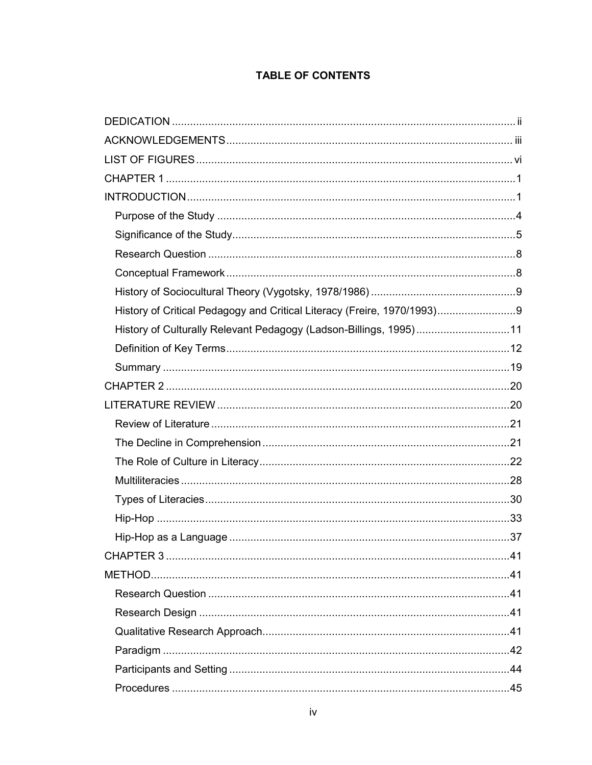# **TABLE OF CONTENTS**

| History of Critical Pedagogy and Critical Literacy (Freire, 1970/1993) 9 |  |
|--------------------------------------------------------------------------|--|
| History of Culturally Relevant Pedagogy (Ladson-Billings, 1995)11        |  |
|                                                                          |  |
|                                                                          |  |
|                                                                          |  |
|                                                                          |  |
|                                                                          |  |
|                                                                          |  |
|                                                                          |  |
|                                                                          |  |
|                                                                          |  |
|                                                                          |  |
|                                                                          |  |
|                                                                          |  |
|                                                                          |  |
|                                                                          |  |
|                                                                          |  |
|                                                                          |  |
|                                                                          |  |
|                                                                          |  |
|                                                                          |  |
|                                                                          |  |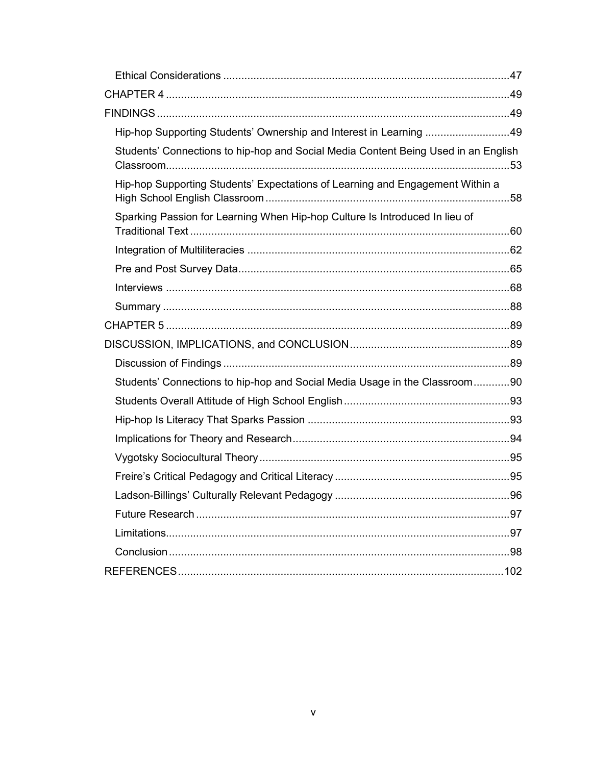| Hip-hop Supporting Students' Ownership and Interest in Learning 49                 |  |
|------------------------------------------------------------------------------------|--|
| Students' Connections to hip-hop and Social Media Content Being Used in an English |  |
| Hip-hop Supporting Students' Expectations of Learning and Engagement Within a      |  |
| Sparking Passion for Learning When Hip-hop Culture Is Introduced In lieu of        |  |
|                                                                                    |  |
|                                                                                    |  |
|                                                                                    |  |
|                                                                                    |  |
|                                                                                    |  |
|                                                                                    |  |
|                                                                                    |  |
| Students' Connections to hip-hop and Social Media Usage in the Classroom90         |  |
|                                                                                    |  |
|                                                                                    |  |
|                                                                                    |  |
|                                                                                    |  |
|                                                                                    |  |
|                                                                                    |  |
|                                                                                    |  |
|                                                                                    |  |
|                                                                                    |  |
|                                                                                    |  |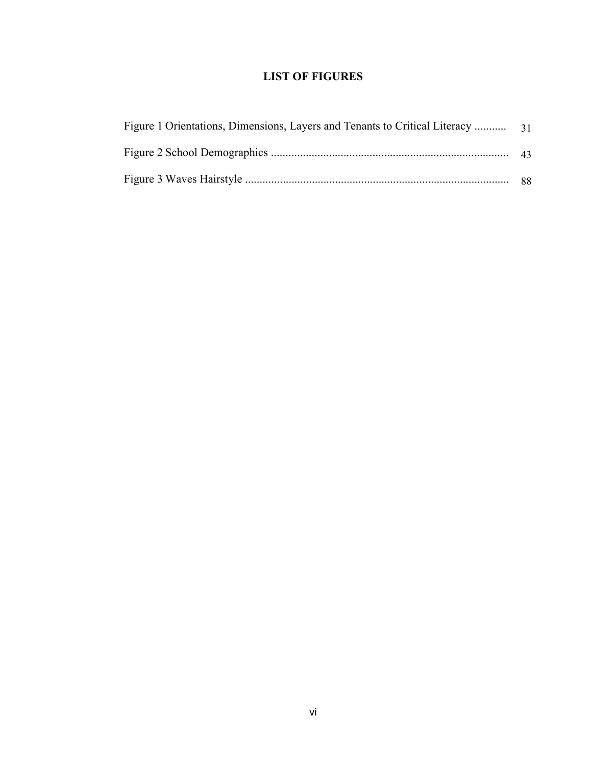# **LIST OF FIGURES**

<span id="page-8-0"></span>

| Figure 1 Orientations, Dimensions, Layers and Tenants to Critical Literacy |  |
|----------------------------------------------------------------------------|--|
|                                                                            |  |
|                                                                            |  |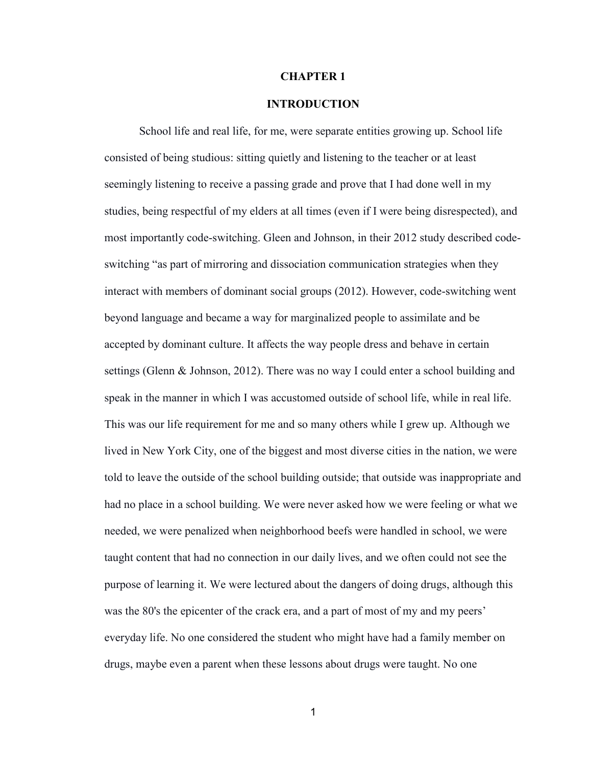#### <span id="page-9-1"></span>**CHAPTER 1**

## **INTRODUCTION**

<span id="page-9-0"></span>School life and real life, for me, were separate entities growing up. School life consisted of being studious: sitting quietly and listening to the teacher or at least seemingly listening to receive a passing grade and prove that I had done well in my studies, being respectful of my elders at all times (even if I were being disrespected), and most importantly code-switching. Gleen and Johnson, in their 2012 study described codeswitching "as part of mirroring and dissociation communication strategies when they interact with members of dominant social groups (2012). However, code-switching went beyond language and became a way for marginalized people to assimilate and be accepted by dominant culture. It affects the way people dress and behave in certain settings (Glenn & Johnson, 2012). There was no way I could enter a school building and speak in the manner in which I was accustomed outside of school life, while in real life. This was our life requirement for me and so many others while I grew up. Although we lived in New York City, one of the biggest and most diverse cities in the nation, we were told to leave the outside of the school building outside; that outside was inappropriate and had no place in a school building. We were never asked how we were feeling or what we needed, we were penalized when neighborhood beefs were handled in school, we were taught content that had no connection in our daily lives, and we often could not see the purpose of learning it. We were lectured about the dangers of doing drugs, although this was the 80's the epicenter of the crack era, and a part of most of my and my peers' everyday life. No one considered the student who might have had a family member on drugs, maybe even a parent when these lessons about drugs were taught. No one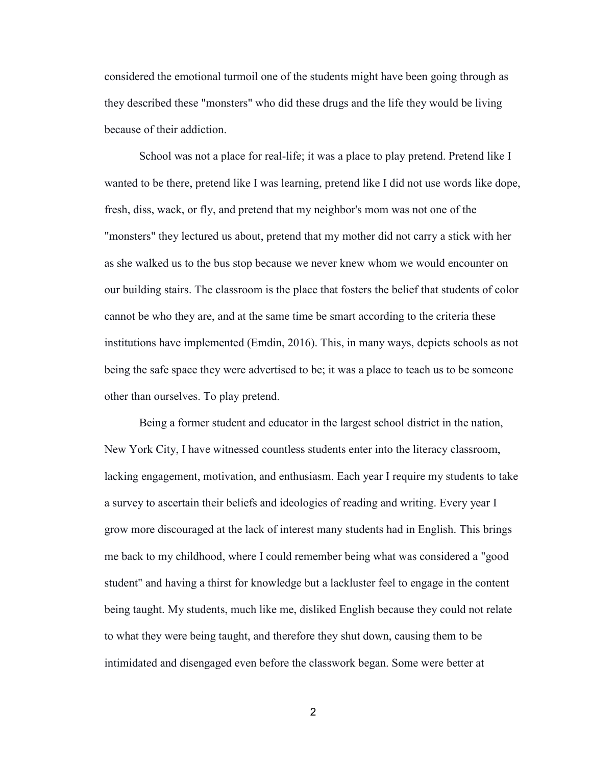considered the emotional turmoil one of the students might have been going through as they described these "monsters" who did these drugs and the life they would be living because of their addiction.

School was not a place for real-life; it was a place to play pretend. Pretend like I wanted to be there, pretend like I was learning, pretend like I did not use words like dope, fresh, diss, wack, or fly, and pretend that my neighbor's mom was not one of the "monsters" they lectured us about, pretend that my mother did not carry a stick with her as she walked us to the bus stop because we never knew whom we would encounter on our building stairs. The classroom is the place that fosters the belief that students of color cannot be who they are, and at the same time be smart according to the criteria these institutions have implemented (Emdin, 2016). This, in many ways, depicts schools as not being the safe space they were advertised to be; it was a place to teach us to be someone other than ourselves. To play pretend.

Being a former student and educator in the largest school district in the nation, New York City, I have witnessed countless students enter into the literacy classroom, lacking engagement, motivation, and enthusiasm. Each year I require my students to take a survey to ascertain their beliefs and ideologies of reading and writing. Every year I grow more discouraged at the lack of interest many students had in English. This brings me back to my childhood, where I could remember being what was considered a "good student" and having a thirst for knowledge but a lackluster feel to engage in the content being taught. My students, much like me, disliked English because they could not relate to what they were being taught, and therefore they shut down, causing them to be intimidated and disengaged even before the classwork began. Some were better at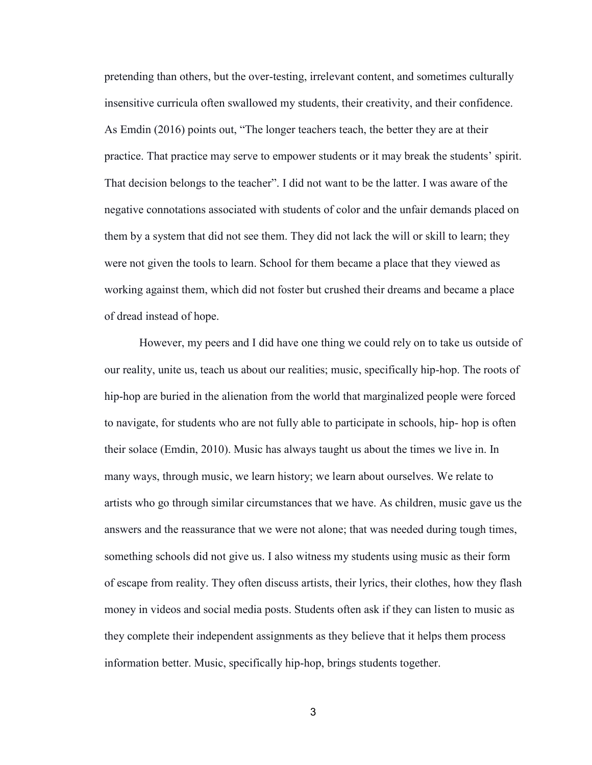pretending than others, but the over-testing, irrelevant content, and sometimes culturally insensitive curricula often swallowed my students, their creativity, and their confidence. As Emdin (2016) points out, "The longer teachers teach, the better they are at their practice. That practice may serve to empower students or it may break the students' spirit. That decision belongs to the teacher". I did not want to be the latter. I was aware of the negative connotations associated with students of color and the unfair demands placed on them by a system that did not see them. They did not lack the will or skill to learn; they were not given the tools to learn. School for them became a place that they viewed as working against them, which did not foster but crushed their dreams and became a place of dread instead of hope.

However, my peers and I did have one thing we could rely on to take us outside of our reality, unite us, teach us about our realities; music, specifically hip-hop. The roots of hip-hop are buried in the alienation from the world that marginalized people were forced to navigate, for students who are not fully able to participate in schools, hip- hop is often their solace (Emdin, 2010). Music has always taught us about the times we live in. In many ways, through music, we learn history; we learn about ourselves. We relate to artists who go through similar circumstances that we have. As children, music gave us the answers and the reassurance that we were not alone; that was needed during tough times, something schools did not give us. I also witness my students using music as their form of escape from reality. They often discuss artists, their lyrics, their clothes, how they flash money in videos and social media posts. Students often ask if they can listen to music as they complete their independent assignments as they believe that it helps them process information better. Music, specifically hip-hop, brings students together.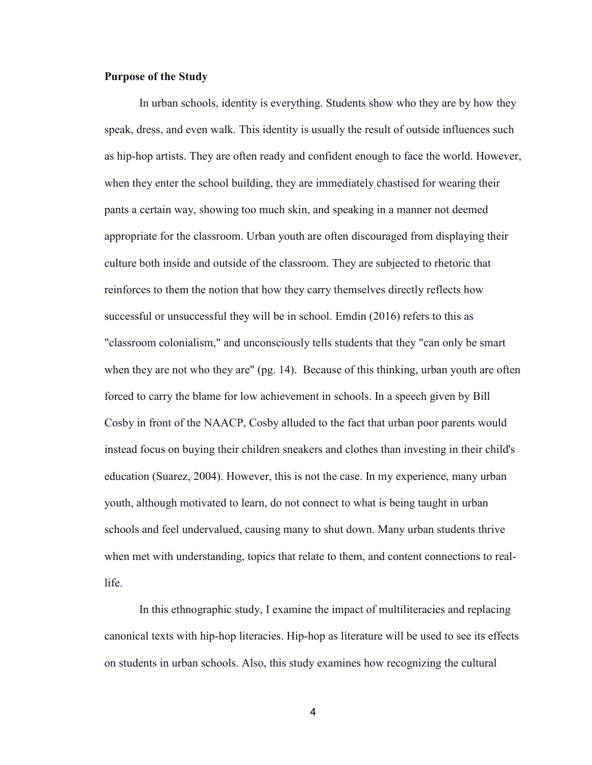#### <span id="page-12-0"></span>**Purpose of the Study**

In urban schools, identity is everything. Students show who they are by how they speak, dress, and even walk. This identity is usually the result of outside influences such as hip-hop artists. They are often ready and confident enough to face the world. However, when they enter the school building, they are immediately chastised for wearing their pants a certain way, showing too much skin, and speaking in a manner not deemed appropriate for the classroom. Urban youth are often discouraged from displaying their culture both inside and outside of the classroom. They are subjected to rhetoric that reinforces to them the notion that how they carry themselves directly reflects how successful or unsuccessful they will be in school. Emdin (2016) refers to this as "classroom colonialism," and unconsciously tells students that they "can only be smart when they are not who they are" (pg. 14). Because of this thinking, urban youth are often forced to carry the blame for low achievement in schools. In a speech given by Bill Cosby in front of the NAACP, Cosby alluded to the fact that urban poor parents would instead focus on buying their children sneakers and clothes than investing in their child's education (Suarez, 2004). However, this is not the case. In my experience, many urban youth, although motivated to learn, do not connect to what is being taught in urban schools and feel undervalued, causing many to shut down. Many urban students thrive when met with understanding, topics that relate to them, and content connections to reallife.

In this ethnographic study, I examine the impact of multiliteracies and replacing canonical texts with hip-hop literacies. Hip-hop as literature will be used to see its effects on students in urban schools. Also, this study examines how recognizing the cultural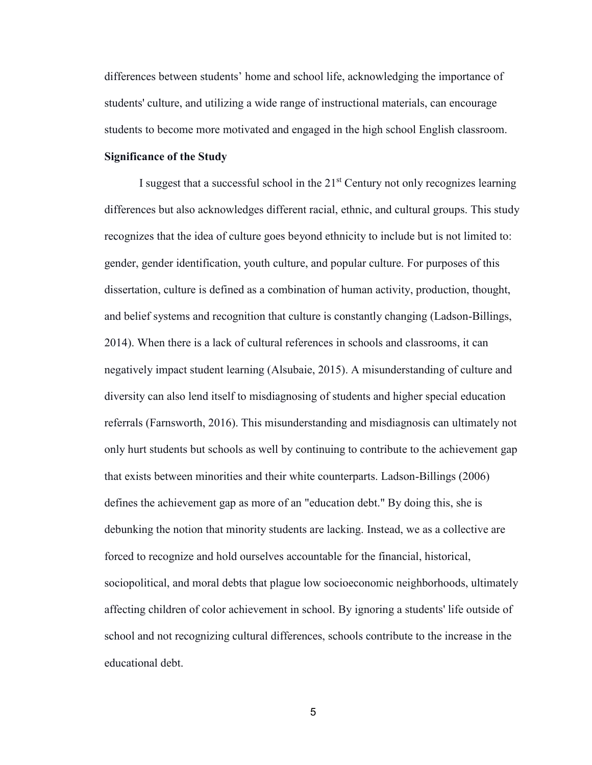differences between students' home and school life, acknowledging the importance of students' culture, and utilizing a wide range of instructional materials, can encourage students to become more motivated and engaged in the high school English classroom.

#### <span id="page-13-0"></span>**Significance of the Study**

I suggest that a successful school in the  $21<sup>st</sup>$  Century not only recognizes learning differences but also acknowledges different racial, ethnic, and cultural groups. This study recognizes that the idea of culture goes beyond ethnicity to include but is not limited to: gender, gender identification, youth culture, and popular culture. For purposes of this dissertation, culture is defined as a combination of human activity, production, thought, and belief systems and recognition that culture is constantly changing (Ladson-Billings, 2014). When there is a lack of cultural references in schools and classrooms, it can negatively impact student learning (Alsubaie, 2015). A misunderstanding of culture and diversity can also lend itself to misdiagnosing of students and higher special education referrals (Farnsworth, 2016). This misunderstanding and misdiagnosis can ultimately not only hurt students but schools as well by continuing to contribute to the achievement gap that exists between minorities and their white counterparts. Ladson-Billings (2006) defines the achievement gap as more of an "education debt." By doing this, she is debunking the notion that minority students are lacking. Instead, we as a collective are forced to recognize and hold ourselves accountable for the financial, historical, sociopolitical, and moral debts that plague low socioeconomic neighborhoods, ultimately affecting children of color achievement in school. By ignoring a students' life outside of school and not recognizing cultural differences, schools contribute to the increase in the educational debt.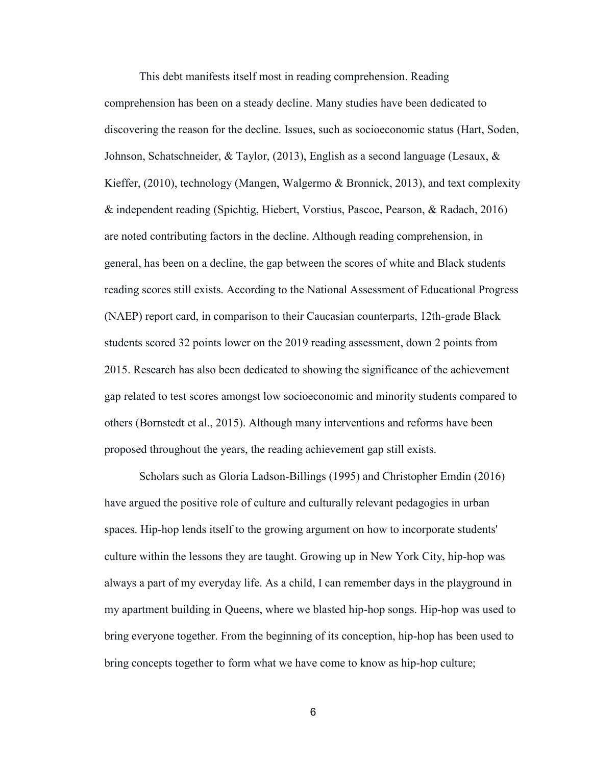This debt manifests itself most in reading comprehension. Reading comprehension has been on a steady decline. Many studies have been dedicated to discovering the reason for the decline. Issues, such as socioeconomic status (Hart, Soden, Johnson, Schatschneider, & Taylor, (2013), English as a second language (Lesaux, & Kieffer, (2010), technology (Mangen, Walgermo & Bronnick, 2013), and text complexity & independent reading (Spichtig, Hiebert, Vorstius, Pascoe, Pearson, & Radach, 2016) are noted contributing factors in the decline. Although reading comprehension, in general, has been on a decline, the gap between the scores of white and Black students reading scores still exists. According to the National Assessment of Educational Progress (NAEP) report card, in comparison to their Caucasian counterparts, 12th-grade Black students scored 32 points lower on the 2019 reading assessment, down 2 points from 2015. Research has also been dedicated to showing the significance of the achievement gap related to test scores amongst low socioeconomic and minority students compared to others (Bornstedt et al., 2015). Although many interventions and reforms have been proposed throughout the years, the reading achievement gap still exists.

Scholars such as Gloria Ladson-Billings (1995) and Christopher Emdin (2016) have argued the positive role of culture and culturally relevant pedagogies in urban spaces. Hip-hop lends itself to the growing argument on how to incorporate students' culture within the lessons they are taught. Growing up in New York City, hip-hop was always a part of my everyday life. As a child, I can remember days in the playground in my apartment building in Queens, where we blasted hip-hop songs. Hip-hop was used to bring everyone together. From the beginning of its conception, hip-hop has been used to bring concepts together to form what we have come to know as hip-hop culture;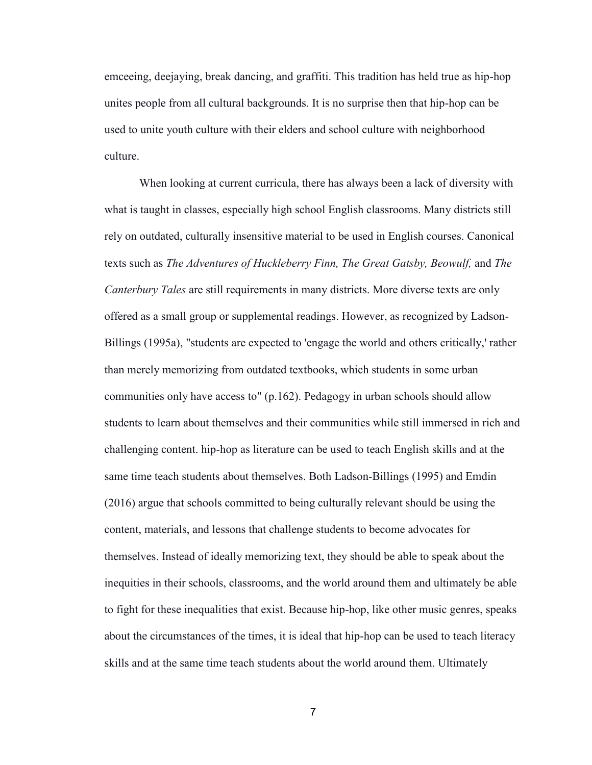emceeing, deejaying, break dancing, and graffiti. This tradition has held true as hip-hop unites people from all cultural backgrounds. It is no surprise then that hip-hop can be used to unite youth culture with their elders and school culture with neighborhood culture.

When looking at current curricula, there has always been a lack of diversity with what is taught in classes, especially high school English classrooms. Many districts still rely on outdated, culturally insensitive material to be used in English courses. Canonical texts such as *The Adventures of Huckleberry Finn, The Great Gatsby, Beowulf,* and *The Canterbury Tales* are still requirements in many districts. More diverse texts are only offered as a small group or supplemental readings. However, as recognized by Ladson-Billings (1995a), "students are expected to 'engage the world and others critically,' rather than merely memorizing from outdated textbooks, which students in some urban communities only have access to" (p.162). Pedagogy in urban schools should allow students to learn about themselves and their communities while still immersed in rich and challenging content. hip-hop as literature can be used to teach English skills and at the same time teach students about themselves. Both Ladson-Billings (1995) and Emdin (2016) argue that schools committed to being culturally relevant should be using the content, materials, and lessons that challenge students to become advocates for themselves. Instead of ideally memorizing text, they should be able to speak about the inequities in their schools, classrooms, and the world around them and ultimately be able to fight for these inequalities that exist. Because hip-hop, like other music genres, speaks about the circumstances of the times, it is ideal that hip-hop can be used to teach literacy skills and at the same time teach students about the world around them. Ultimately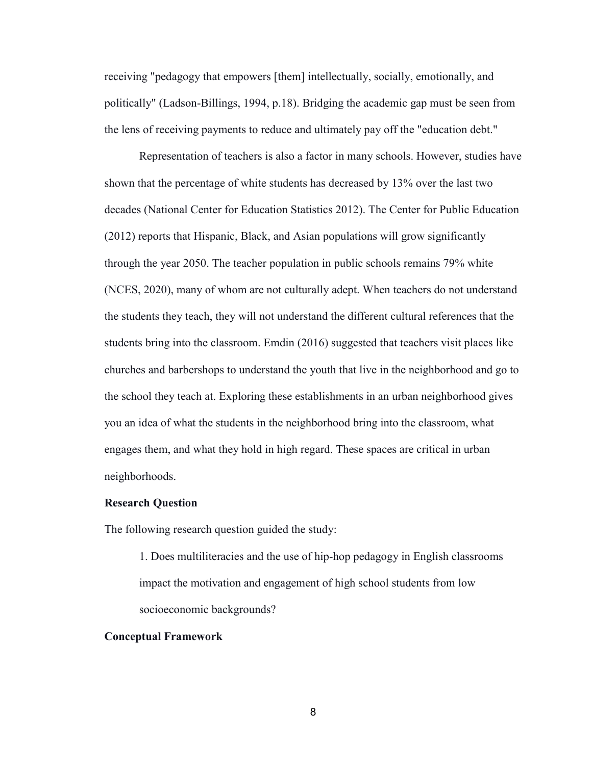receiving "pedagogy that empowers [them] intellectually, socially, emotionally, and politically" (Ladson-Billings, 1994, p.18). Bridging the academic gap must be seen from the lens of receiving payments to reduce and ultimately pay off the "education debt."

Representation of teachers is also a factor in many schools. However, studies have shown that the percentage of white students has decreased by 13% over the last two decades (National Center for Education Statistics 2012). The Center for Public Education (2012) reports that Hispanic, Black, and Asian populations will grow significantly through the year 2050. The teacher population in public schools remains 79% white (NCES, 2020), many of whom are not culturally adept. When teachers do not understand the students they teach, they will not understand the different cultural references that the students bring into the classroom. Emdin (2016) suggested that teachers visit places like churches and barbershops to understand the youth that live in the neighborhood and go to the school they teach at. Exploring these establishments in an urban neighborhood gives you an idea of what the students in the neighborhood bring into the classroom, what engages them, and what they hold in high regard. These spaces are critical in urban neighborhoods.

#### <span id="page-16-0"></span>**Research Question**

The following research question guided the study:

1. Does multiliteracies and the use of hip-hop pedagogy in English classrooms impact the motivation and engagement of high school students from low socioeconomic backgrounds?

#### <span id="page-16-1"></span>**Conceptual Framework**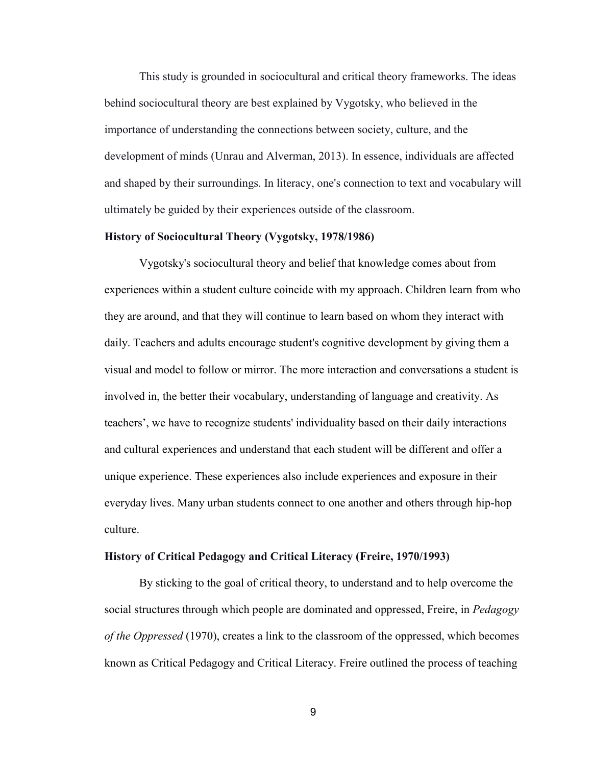This study is grounded in sociocultural and critical theory frameworks. The ideas behind sociocultural theory are best explained by Vygotsky, who believed in the importance of understanding the connections between society, culture, and the development of minds (Unrau and Alverman, 2013). In essence, individuals are affected and shaped by their surroundings. In literacy, one's connection to text and vocabulary will ultimately be guided by their experiences outside of the classroom.

#### <span id="page-17-0"></span>**History of Sociocultural Theory (Vygotsky, 1978/1986)**

Vygotsky's sociocultural theory and belief that knowledge comes about from experiences within a student culture coincide with my approach. Children learn from who they are around, and that they will continue to learn based on whom they interact with daily. Teachers and adults encourage student's cognitive development by giving them a visual and model to follow or mirror. The more interaction and conversations a student is involved in, the better their vocabulary, understanding of language and creativity. As teachers', we have to recognize students' individuality based on their daily interactions and cultural experiences and understand that each student will be different and offer a unique experience. These experiences also include experiences and exposure in their everyday lives. Many urban students connect to one another and others through hip-hop culture.

#### <span id="page-17-1"></span>**History of Critical Pedagogy and Critical Literacy (Freire, 1970/1993)**

By sticking to the goal of critical theory, to understand and to help overcome the social structures through which people are dominated and oppressed, Freire, in *Pedagogy of the Oppressed* (1970), creates a link to the classroom of the oppressed, which becomes known as Critical Pedagogy and Critical Literacy. Freire outlined the process of teaching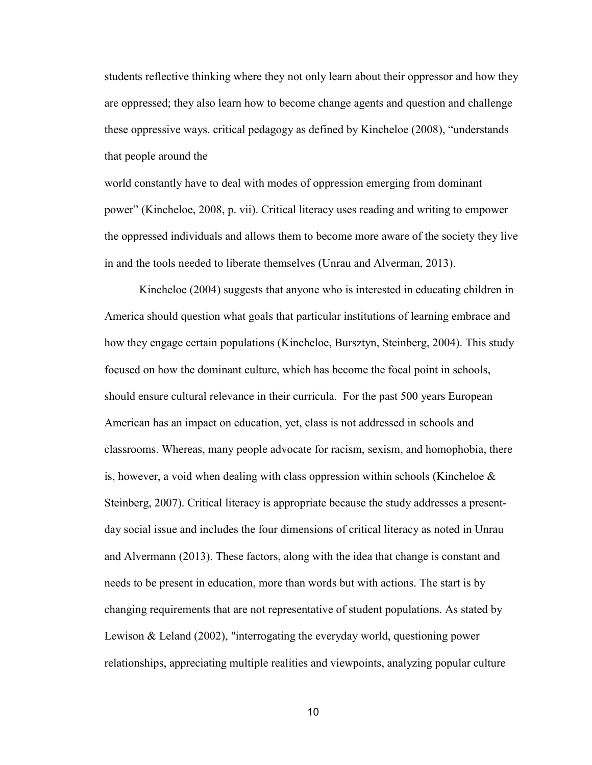students reflective thinking where they not only learn about their oppressor and how they are oppressed; they also learn how to become change agents and question and challenge these oppressive ways. critical pedagogy as defined by Kincheloe (2008), "understands that people around the

world constantly have to deal with modes of oppression emerging from dominant power" (Kincheloe, 2008, p. vii). Critical literacy uses reading and writing to empower the oppressed individuals and allows them to become more aware of the society they live in and the tools needed to liberate themselves (Unrau and Alverman, 2013).

Kincheloe (2004) suggests that anyone who is interested in educating children in America should question what goals that particular institutions of learning embrace and how they engage certain populations (Kincheloe, Bursztyn, Steinberg, 2004). This study focused on how the dominant culture, which has become the focal point in schools, should ensure cultural relevance in their curricula. For the past 500 years European American has an impact on education, yet, class is not addressed in schools and classrooms. Whereas, many people advocate for racism, sexism, and homophobia, there is, however, a void when dealing with class oppression within schools (Kincheloe  $\&$ Steinberg, 2007). Critical literacy is appropriate because the study addresses a presentday social issue and includes the four dimensions of critical literacy as noted in Unrau and Alvermann (2013). These factors, along with the idea that change is constant and needs to be present in education, more than words but with actions. The start is by changing requirements that are not representative of student populations. As stated by Lewison & Leland (2002), "interrogating the everyday world, questioning power relationships, appreciating multiple realities and viewpoints, analyzing popular culture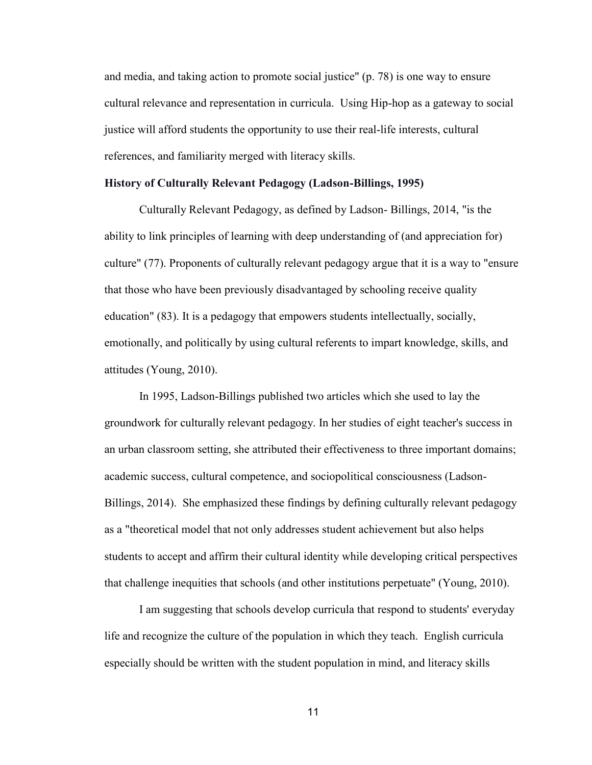and media, and taking action to promote social justice" (p. 78) is one way to ensure cultural relevance and representation in curricula. Using Hip-hop as a gateway to social justice will afford students the opportunity to use their real-life interests, cultural references, and familiarity merged with literacy skills.

#### <span id="page-19-0"></span>**History of Culturally Relevant Pedagogy (Ladson-Billings, 1995)**

Culturally Relevant Pedagogy, as defined by Ladson- Billings, 2014, "is the ability to link principles of learning with deep understanding of (and appreciation for) culture" (77). Proponents of culturally relevant pedagogy argue that it is a way to "ensure that those who have been previously disadvantaged by schooling receive quality education" (83). It is a pedagogy that empowers students intellectually, socially, emotionally, and politically by using cultural referents to impart knowledge, skills, and attitudes (Young, 2010).

In 1995, Ladson-Billings published two articles which she used to lay the groundwork for culturally relevant pedagogy. In her studies of eight teacher's success in an urban classroom setting, she attributed their effectiveness to three important domains; academic success, cultural competence, and sociopolitical consciousness (Ladson-Billings, 2014). She emphasized these findings by defining culturally relevant pedagogy as a "theoretical model that not only addresses student achievement but also helps students to accept and affirm their cultural identity while developing critical perspectives that challenge inequities that schools (and other institutions perpetuate" (Young, 2010).

I am suggesting that schools develop curricula that respond to students' everyday life and recognize the culture of the population in which they teach. English curricula especially should be written with the student population in mind, and literacy skills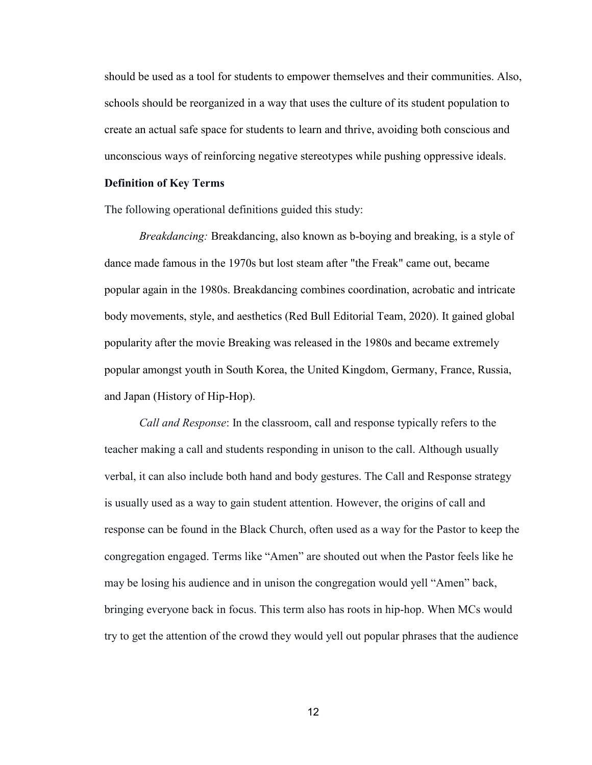should be used as a tool for students to empower themselves and their communities. Also, schools should be reorganized in a way that uses the culture of its student population to create an actual safe space for students to learn and thrive, avoiding both conscious and unconscious ways of reinforcing negative stereotypes while pushing oppressive ideals.

#### <span id="page-20-0"></span>**Definition of Key Terms**

The following operational definitions guided this study:

*Breakdancing:* Breakdancing, also known as b-boying and breaking, is a style of dance made famous in the 1970s but lost steam after "the Freak" came out, became popular again in the 1980s. Breakdancing combines coordination, acrobatic and intricate body movements, style, and aesthetics (Red Bull Editorial Team, 2020). It gained global popularity after the movie Breaking was released in the 1980s and became extremely popular amongst youth in South Korea, the United Kingdom, Germany, France, Russia, and Japan (History of Hip-Hop).

*Call and Response*: In the classroom, call and response typically refers to the teacher making a call and students responding in unison to the call. Although usually verbal, it can also include both hand and body gestures. The Call and Response strategy is usually used as a way to gain student attention. However, the origins of call and response can be found in the Black Church, often used as a way for the Pastor to keep the congregation engaged. Terms like "Amen" are shouted out when the Pastor feels like he may be losing his audience and in unison the congregation would yell "Amen" back, bringing everyone back in focus. This term also has roots in hip-hop. When MCs would try to get the attention of the crowd they would yell out popular phrases that the audience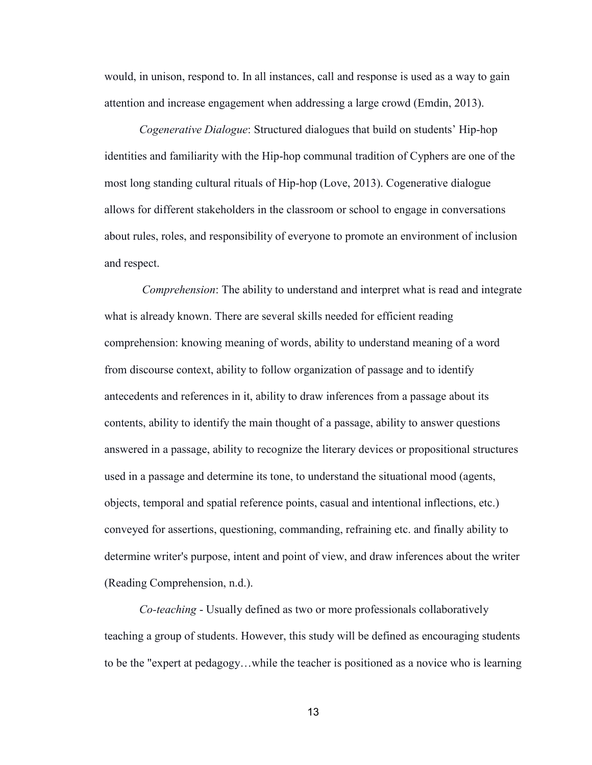would, in unison, respond to. In all instances, call and response is used as a way to gain attention and increase engagement when addressing a large crowd (Emdin, 2013).

*Cogenerative Dialogue*: Structured dialogues that build on students' Hip-hop identities and familiarity with the Hip-hop communal tradition of Cyphers are one of the most long standing cultural rituals of Hip-hop (Love, 2013). Cogenerative dialogue allows for different stakeholders in the classroom or school to engage in conversations about rules, roles, and responsibility of everyone to promote an environment of inclusion and respect.

*Comprehension*: The ability to understand and interpret what is read and integrate what is already known. There are several skills needed for efficient reading comprehension: knowing meaning of words, ability to understand meaning of a word from discourse context, ability to follow organization of passage and to identify antecedents and references in it, ability to draw inferences from a passage about its contents, ability to identify the main thought of a passage, ability to answer questions answered in a passage, ability to recognize the literary devices or propositional structures used in a passage and determine its tone, to understand the situational mood (agents, objects, temporal and spatial reference points, casual and intentional inflections, etc.) conveyed for assertions, questioning, commanding, refraining etc. and finally ability to determine writer's purpose, intent and point of view, and draw inferences about the writer (Reading Comprehension, n.d.).

*Co-teaching* - Usually defined as two or more professionals collaboratively teaching a group of students. However, this study will be defined as encouraging students to be the "expert at pedagogy…while the teacher is positioned as a novice who is learning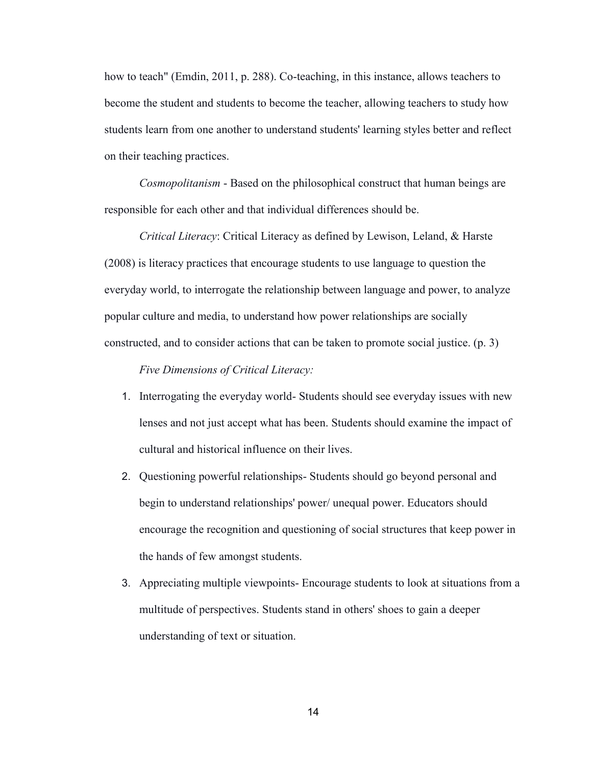how to teach" (Emdin, 2011, p. 288). Co-teaching, in this instance, allows teachers to become the student and students to become the teacher, allowing teachers to study how students learn from one another to understand students' learning styles better and reflect on their teaching practices.

*Cosmopolitanism* - Based on the philosophical construct that human beings are responsible for each other and that individual differences should be.

*Critical Literacy*: Critical Literacy as defined by Lewison, Leland, & Harste (2008) is literacy practices that encourage students to use language to question the everyday world, to interrogate the relationship between language and power, to analyze popular culture and media, to understand how power relationships are socially constructed, and to consider actions that can be taken to promote social justice. (p. 3)

*Five Dimensions of Critical Literacy:* 

- 1. Interrogating the everyday world- Students should see everyday issues with new lenses and not just accept what has been. Students should examine the impact of cultural and historical influence on their lives.
- 2. Questioning powerful relationships- Students should go beyond personal and begin to understand relationships' power/ unequal power. Educators should encourage the recognition and questioning of social structures that keep power in the hands of few amongst students.
- 3. Appreciating multiple viewpoints- Encourage students to look at situations from a multitude of perspectives. Students stand in others' shoes to gain a deeper understanding of text or situation.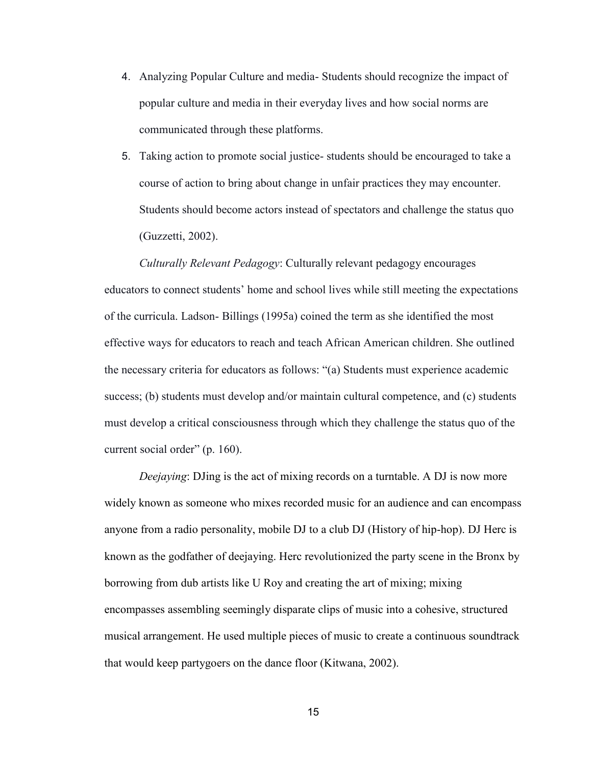- 4. Analyzing Popular Culture and media- Students should recognize the impact of popular culture and media in their everyday lives and how social norms are communicated through these platforms.
- 5. Taking action to promote social justice- students should be encouraged to take a course of action to bring about change in unfair practices they may encounter. Students should become actors instead of spectators and challenge the status quo (Guzzetti, 2002).

*Culturally Relevant Pedagogy*: Culturally relevant pedagogy encourages educators to connect students' home and school lives while still meeting the expectations of the curricula. Ladson- Billings (1995a) coined the term as she identified the most effective ways for educators to reach and teach African American children. She outlined the necessary criteria for educators as follows: "(a) Students must experience academic success; (b) students must develop and/or maintain cultural competence, and (c) students must develop a critical consciousness through which they challenge the status quo of the current social order" (p. 160).

*Deejaying*: DJing is the act of mixing records on a turntable. A DJ is now more widely known as someone who mixes recorded music for an audience and can encompass anyone from a radio personality, mobile DJ to a club DJ (History of hip-hop). DJ Herc is known as the godfather of deejaying. Herc revolutionized the party scene in the Bronx by borrowing from dub artists like U Roy and creating the art of mixing; mixing encompasses assembling seemingly disparate clips of music into a cohesive, structured musical arrangement. He used multiple pieces of music to create a continuous soundtrack that would keep partygoers on the dance floor (Kitwana, 2002).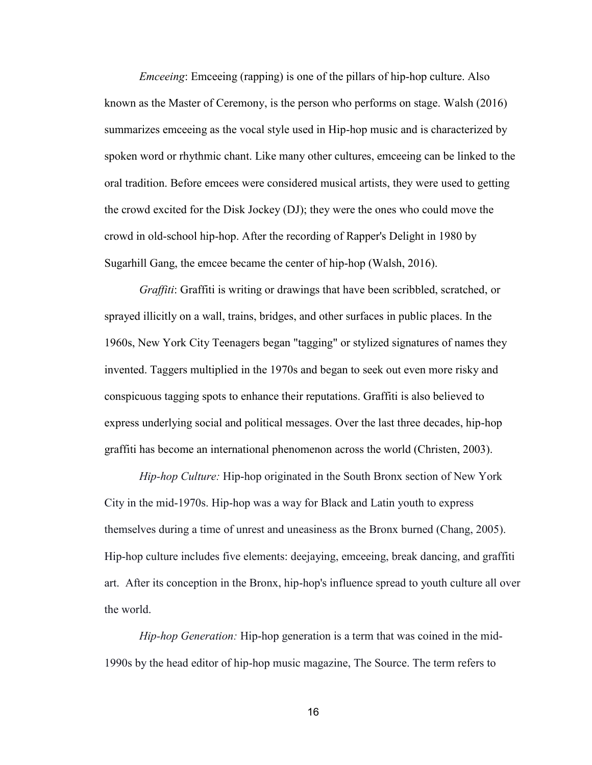*Emceeing*: Emceeing (rapping) is one of the pillars of hip-hop culture. Also known as the Master of Ceremony, is the person who performs on stage. Walsh (2016) summarizes emceeing as the vocal style used in Hip-hop music and is characterized by spoken word or rhythmic chant. Like many other cultures, emceeing can be linked to the oral tradition. Before emcees were considered musical artists, they were used to getting the crowd excited for the Disk Jockey (DJ); they were the ones who could move the crowd in old-school hip-hop. After the recording of Rapper's Delight in 1980 by Sugarhill Gang, the emcee became the center of hip-hop (Walsh, 2016).

*Graffiti*: Graffiti is writing or drawings that have been scribbled, scratched, or sprayed illicitly on a wall, trains, bridges, and other surfaces in public places. In the 1960s, New York City Teenagers began "tagging" or stylized signatures of names they invented. Taggers multiplied in the 1970s and began to seek out even more risky and conspicuous tagging spots to enhance their reputations. Graffiti is also believed to express underlying social and political messages. Over the last three decades, hip-hop graffiti has become an international phenomenon across the world (Christen, 2003).

*Hip-hop Culture:* Hip-hop originated in the South Bronx section of New York City in the mid-1970s. Hip-hop was a way for Black and Latin youth to express themselves during a time of unrest and uneasiness as the Bronx burned (Chang, 2005). Hip-hop culture includes five elements: deejaying, emceeing, break dancing, and graffiti art. After its conception in the Bronx, hip-hop's influence spread to youth culture all over the world.

*Hip-hop Generation:* Hip-hop generation is a term that was coined in the mid-1990s by the head editor of hip-hop music magazine, The Source. The term refers to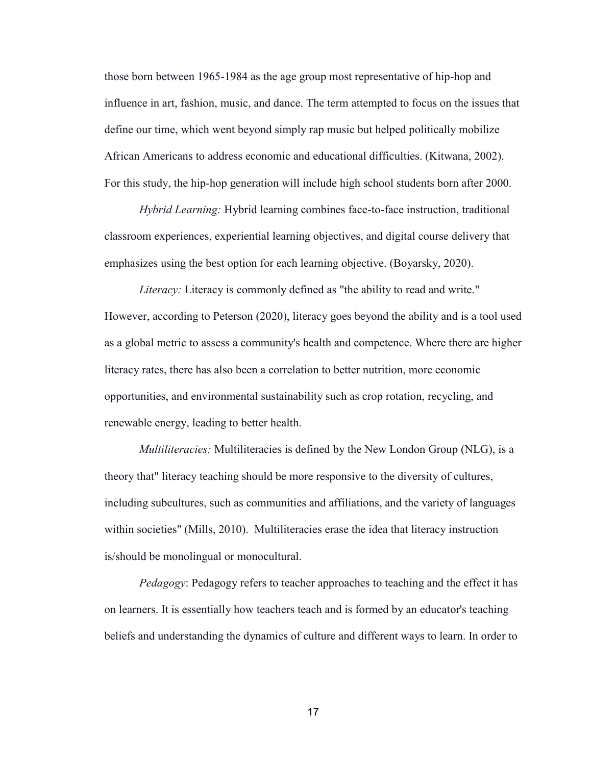those born between 1965-1984 as the age group most representative of hip-hop and influence in art, fashion, music, and dance. The term attempted to focus on the issues that define our time, which went beyond simply rap music but helped politically mobilize African Americans to address economic and educational difficulties. (Kitwana, 2002). For this study, the hip-hop generation will include high school students born after 2000.

*Hybrid Learning:* Hybrid learning combines face-to-face instruction, traditional classroom experiences, experiential learning objectives, and digital course delivery that emphasizes using the best option for each learning objective. (Boyarsky, 2020).

*Literacy:* Literacy is commonly defined as "the ability to read and write." However, according to Peterson (2020), literacy goes beyond the ability and is a tool used as a global metric to assess a community's health and competence. Where there are higher literacy rates, there has also been a correlation to better nutrition, more economic opportunities, and environmental sustainability such as crop rotation, recycling, and renewable energy, leading to better health.

*Multiliteracies:* Multiliteracies is defined by the New London Group (NLG), is a theory that" literacy teaching should be more responsive to the diversity of cultures, including subcultures, such as communities and affiliations, and the variety of languages within societies" (Mills, 2010). Multiliteracies erase the idea that literacy instruction is/should be monolingual or monocultural.

*Pedagogy*: Pedagogy refers to teacher approaches to teaching and the effect it has on learners. It is essentially how teachers teach and is formed by an educator's teaching beliefs and understanding the dynamics of culture and different ways to learn. In order to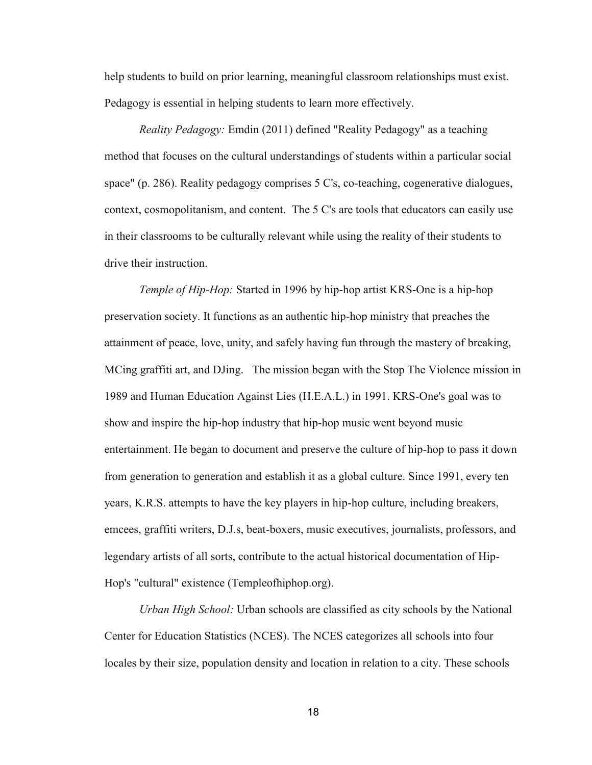help students to build on prior learning, meaningful classroom relationships must exist. Pedagogy is essential in helping students to learn more effectively.

*Reality Pedagogy:* Emdin (2011) defined "Reality Pedagogy" as a teaching method that focuses on the cultural understandings of students within a particular social space" (p. 286). Reality pedagogy comprises 5 C's, co-teaching, cogenerative dialogues, context, cosmopolitanism, and content. The 5 C's are tools that educators can easily use in their classrooms to be culturally relevant while using the reality of their students to drive their instruction.

*Temple of Hip-Hop:* Started in 1996 by hip-hop artist KRS-One is a hip-hop preservation society. It functions as an authentic hip-hop ministry that preaches the attainment of peace, love, unity, and safely having fun through the mastery of breaking, MCing graffiti art, and DJing. The mission began with the Stop The Violence mission in 1989 and Human Education Against Lies (H.E.A.L.) in 1991. KRS-One's goal was to show and inspire the hip-hop industry that hip-hop music went beyond music entertainment. He began to document and preserve the culture of hip-hop to pass it down from generation to generation and establish it as a global culture. Since 1991, every ten years, K.R.S. attempts to have the key players in hip-hop culture, including breakers, emcees, graffiti writers, D.J.s, beat-boxers, music executives, journalists, professors, and legendary artists of all sorts, contribute to the actual historical documentation of Hip-Hop's "cultural" existence (Templeofhiphop.org).

*Urban High School:* Urban schools are classified as city schools by the National Center for Education Statistics (NCES). The NCES categorizes all schools into four locales by their size, population density and location in relation to a city. These schools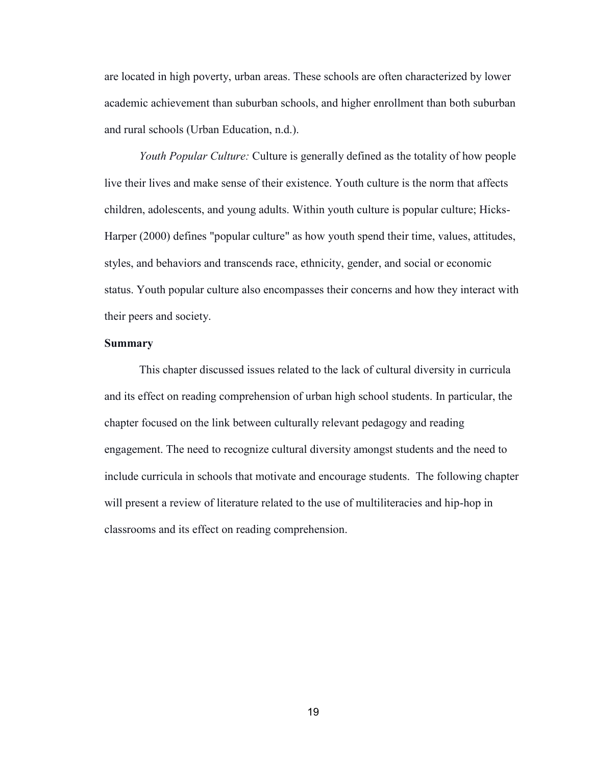are located in high poverty, urban areas. These schools are often characterized by lower academic achievement than suburban schools, and higher enrollment than both suburban and rural schools (Urban Education, n.d.).

*Youth Popular Culture:* Culture is generally defined as the totality of how people live their lives and make sense of their existence. Youth culture is the norm that affects children, adolescents, and young adults. Within youth culture is popular culture; Hicks-Harper (2000) defines "popular culture" as how youth spend their time, values, attitudes, styles, and behaviors and transcends race, ethnicity, gender, and social or economic status. Youth popular culture also encompasses their concerns and how they interact with their peers and society.

#### <span id="page-27-0"></span>**Summary**

This chapter discussed issues related to the lack of cultural diversity in curricula and its effect on reading comprehension of urban high school students. In particular, the chapter focused on the link between culturally relevant pedagogy and reading engagement. The need to recognize cultural diversity amongst students and the need to include curricula in schools that motivate and encourage students. The following chapter will present a review of literature related to the use of multiliteracies and hip-hop in classrooms and its effect on reading comprehension.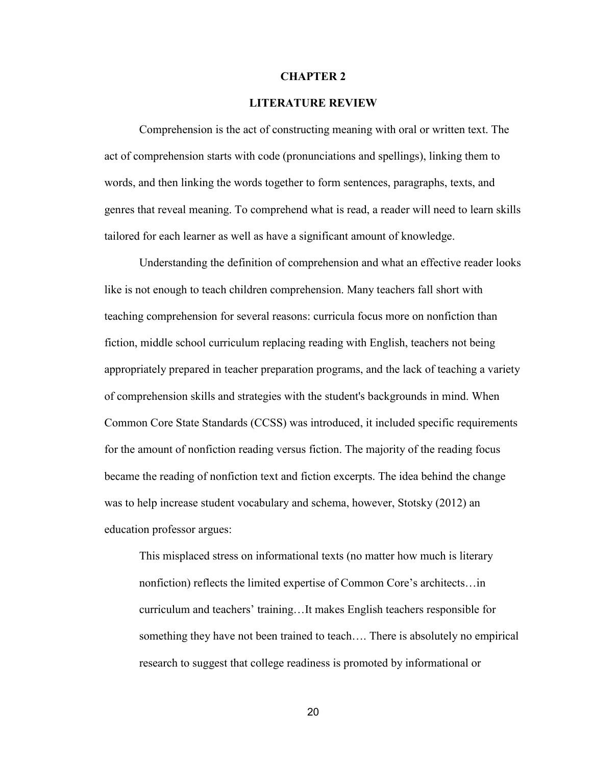#### **CHAPTER 2**

# **LITERATURE REVIEW**

<span id="page-28-1"></span><span id="page-28-0"></span>Comprehension is the act of constructing meaning with oral or written text. The act of comprehension starts with code (pronunciations and spellings), linking them to words, and then linking the words together to form sentences, paragraphs, texts, and genres that reveal meaning. To comprehend what is read, a reader will need to learn skills tailored for each learner as well as have a significant amount of knowledge.

Understanding the definition of comprehension and what an effective reader looks like is not enough to teach children comprehension. Many teachers fall short with teaching comprehension for several reasons: curricula focus more on nonfiction than fiction, middle school curriculum replacing reading with English, teachers not being appropriately prepared in teacher preparation programs, and the lack of teaching a variety of comprehension skills and strategies with the student's backgrounds in mind. When Common Core State Standards (CCSS) was introduced, it included specific requirements for the amount of nonfiction reading versus fiction. The majority of the reading focus became the reading of nonfiction text and fiction excerpts. The idea behind the change was to help increase student vocabulary and schema, however, Stotsky (2012) an education professor argues:

This misplaced stress on informational texts (no matter how much is literary nonfiction) reflects the limited expertise of Common Core's architects…in curriculum and teachers' training…It makes English teachers responsible for something they have not been trained to teach…. There is absolutely no empirical research to suggest that college readiness is promoted by informational or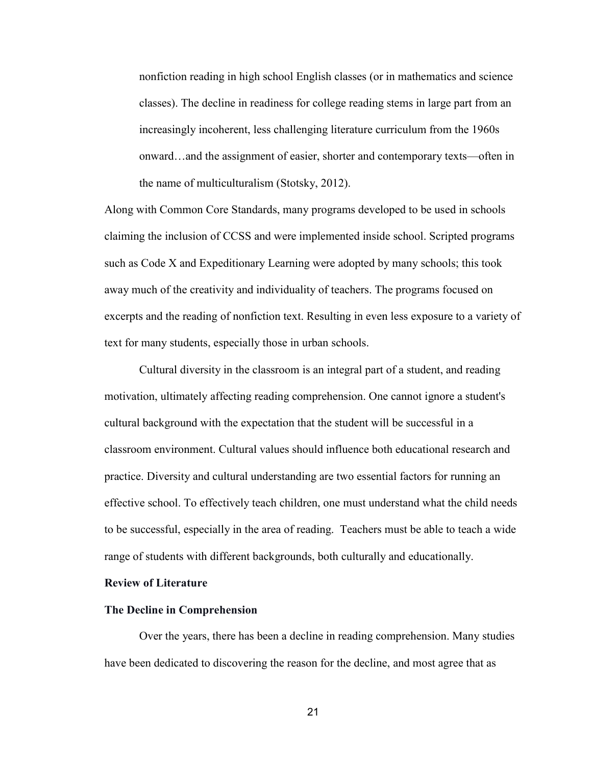nonfiction reading in high school English classes (or in mathematics and science classes). The decline in readiness for college reading stems in large part from an increasingly incoherent, less challenging literature curriculum from the 1960s onward…and the assignment of easier, shorter and contemporary texts—often in the name of multiculturalism (Stotsky, 2012).

Along with Common Core Standards, many programs developed to be used in schools claiming the inclusion of CCSS and were implemented inside school. Scripted programs such as Code X and Expeditionary Learning were adopted by many schools; this took away much of the creativity and individuality of teachers. The programs focused on excerpts and the reading of nonfiction text. Resulting in even less exposure to a variety of text for many students, especially those in urban schools.

Cultural diversity in the classroom is an integral part of a student, and reading motivation, ultimately affecting reading comprehension. One cannot ignore a student's cultural background with the expectation that the student will be successful in a classroom environment. Cultural values should influence both educational research and practice. Diversity and cultural understanding are two essential factors for running an effective school. To effectively teach children, one must understand what the child needs to be successful, especially in the area of reading. Teachers must be able to teach a wide range of students with different backgrounds, both culturally and educationally.

#### <span id="page-29-0"></span>**Review of Literature**

#### <span id="page-29-1"></span>**The Decline in Comprehension**

Over the years, there has been a decline in reading comprehension. Many studies have been dedicated to discovering the reason for the decline, and most agree that as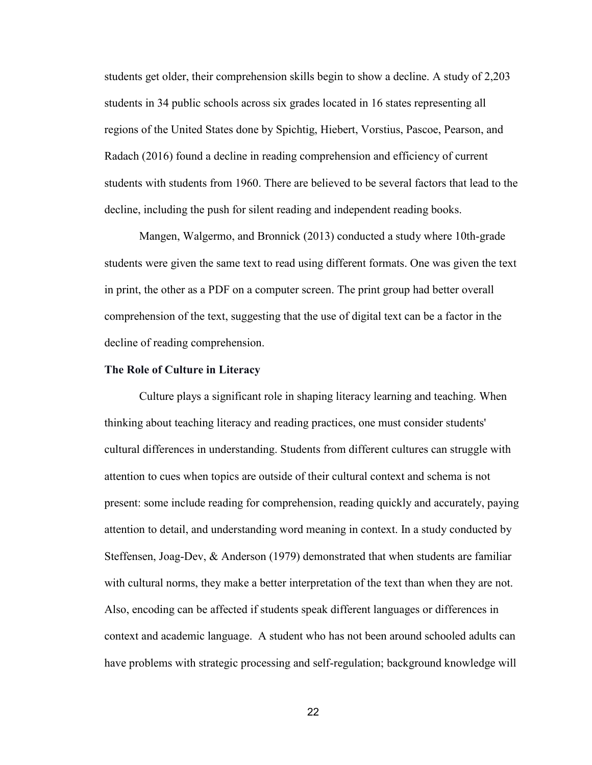students get older, their comprehension skills begin to show a decline. A study of 2,203 students in 34 public schools across six grades located in 16 states representing all regions of the United States done by Spichtig, Hiebert, Vorstius, Pascoe, Pearson, and Radach (2016) found a decline in reading comprehension and efficiency of current students with students from 1960. There are believed to be several factors that lead to the decline, including the push for silent reading and independent reading books.

Mangen, Walgermo, and Bronnick (2013) conducted a study where 10th-grade students were given the same text to read using different formats. One was given the text in print, the other as a PDF on a computer screen. The print group had better overall comprehension of the text, suggesting that the use of digital text can be a factor in the decline of reading comprehension.

#### <span id="page-30-0"></span>**The Role of Culture in Literacy**

Culture plays a significant role in shaping literacy learning and teaching. When thinking about teaching literacy and reading practices, one must consider students' cultural differences in understanding. Students from different cultures can struggle with attention to cues when topics are outside of their cultural context and schema is not present: some include reading for comprehension, reading quickly and accurately, paying attention to detail, and understanding word meaning in context. In a study conducted by Steffensen, Joag-Dev, & Anderson (1979) demonstrated that when students are familiar with cultural norms, they make a better interpretation of the text than when they are not. Also, encoding can be affected if students speak different languages or differences in context and academic language. A student who has not been around schooled adults can have problems with strategic processing and self-regulation; background knowledge will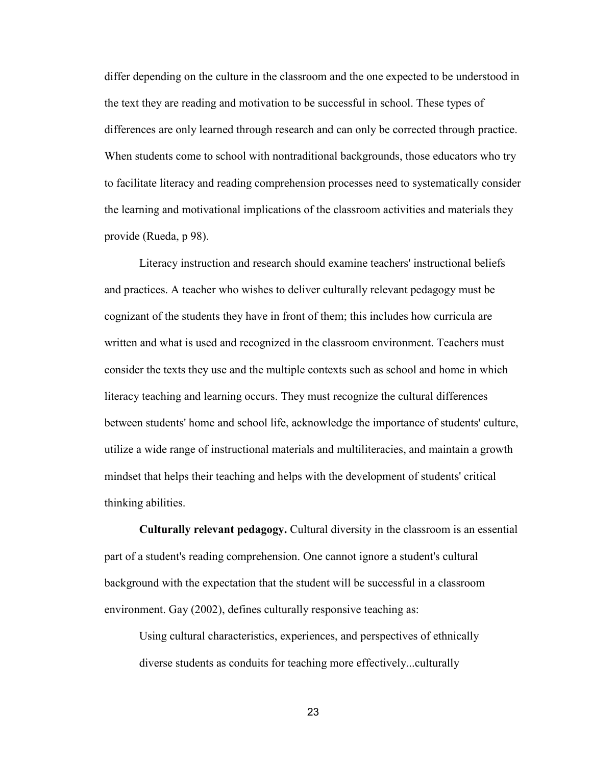differ depending on the culture in the classroom and the one expected to be understood in the text they are reading and motivation to be successful in school. These types of differences are only learned through research and can only be corrected through practice. When students come to school with nontraditional backgrounds, those educators who try to facilitate literacy and reading comprehension processes need to systematically consider the learning and motivational implications of the classroom activities and materials they provide (Rueda, p 98).

Literacy instruction and research should examine teachers' instructional beliefs and practices. A teacher who wishes to deliver culturally relevant pedagogy must be cognizant of the students they have in front of them; this includes how curricula are written and what is used and recognized in the classroom environment. Teachers must consider the texts they use and the multiple contexts such as school and home in which literacy teaching and learning occurs. They must recognize the cultural differences between students' home and school life, acknowledge the importance of students' culture, utilize a wide range of instructional materials and multiliteracies, and maintain a growth mindset that helps their teaching and helps with the development of students' critical thinking abilities.

**Culturally relevant pedagogy.** Cultural diversity in the classroom is an essential part of a student's reading comprehension. One cannot ignore a student's cultural background with the expectation that the student will be successful in a classroom environment. Gay (2002), defines culturally responsive teaching as:

Using cultural characteristics, experiences, and perspectives of ethnically diverse students as conduits for teaching more effectively...culturally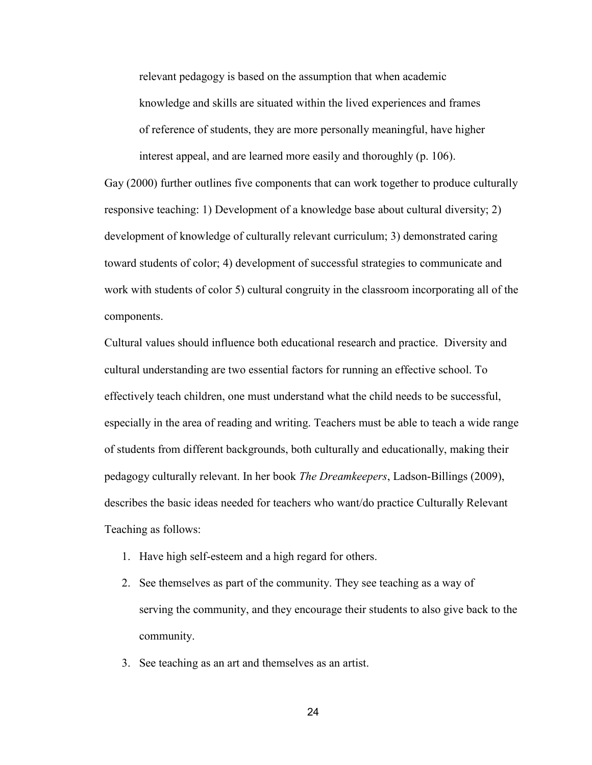relevant pedagogy is based on the assumption that when academic knowledge and skills are situated within the lived experiences and frames of reference of students, they are more personally meaningful, have higher interest appeal, and are learned more easily and thoroughly (p. 106).

Gay (2000) further outlines five components that can work together to produce culturally responsive teaching: 1) Development of a knowledge base about cultural diversity; 2) development of knowledge of culturally relevant curriculum; 3) demonstrated caring toward students of color; 4) development of successful strategies to communicate and work with students of color 5) cultural congruity in the classroom incorporating all of the components.

Cultural values should influence both educational research and practice. Diversity and cultural understanding are two essential factors for running an effective school. To effectively teach children, one must understand what the child needs to be successful, especially in the area of reading and writing. Teachers must be able to teach a wide range of students from different backgrounds, both culturally and educationally, making their pedagogy culturally relevant. In her book *The Dreamkeepers*, Ladson-Billings (2009), describes the basic ideas needed for teachers who want/do practice Culturally Relevant Teaching as follows:

- 1. Have high self-esteem and a high regard for others.
- 2. See themselves as part of the community. They see teaching as a way of serving the community, and they encourage their students to also give back to the community.
- 3. See teaching as an art and themselves as an artist.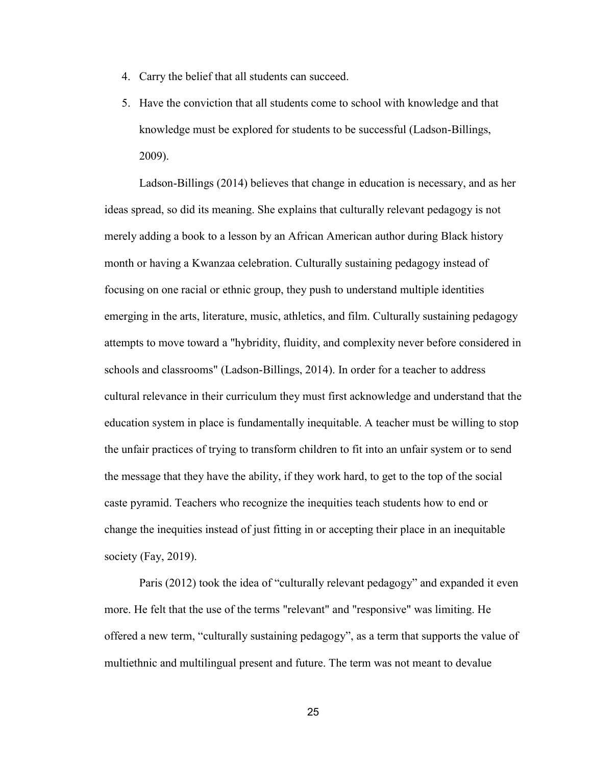- 4. Carry the belief that all students can succeed.
- 5. Have the conviction that all students come to school with knowledge and that knowledge must be explored for students to be successful (Ladson-Billings, 2009).

Ladson-Billings (2014) believes that change in education is necessary, and as her ideas spread, so did its meaning. She explains that culturally relevant pedagogy is not merely adding a book to a lesson by an African American author during Black history month or having a Kwanzaa celebration. Culturally sustaining pedagogy instead of focusing on one racial or ethnic group, they push to understand multiple identities emerging in the arts, literature, music, athletics, and film. Culturally sustaining pedagogy attempts to move toward a "hybridity, fluidity, and complexity never before considered in schools and classrooms" (Ladson-Billings, 2014). In order for a teacher to address cultural relevance in their curriculum they must first acknowledge and understand that the education system in place is fundamentally inequitable. A teacher must be willing to stop the unfair practices of trying to transform children to fit into an unfair system or to send the message that they have the ability, if they work hard, to get to the top of the social caste pyramid. Teachers who recognize the inequities teach students how to end or change the inequities instead of just fitting in or accepting their place in an inequitable society (Fay, 2019).

Paris (2012) took the idea of "culturally relevant pedagogy" and expanded it even more. He felt that the use of the terms "relevant" and "responsive" was limiting. He offered a new term, "culturally sustaining pedagogy", as a term that supports the value of multiethnic and multilingual present and future. The term was not meant to devalue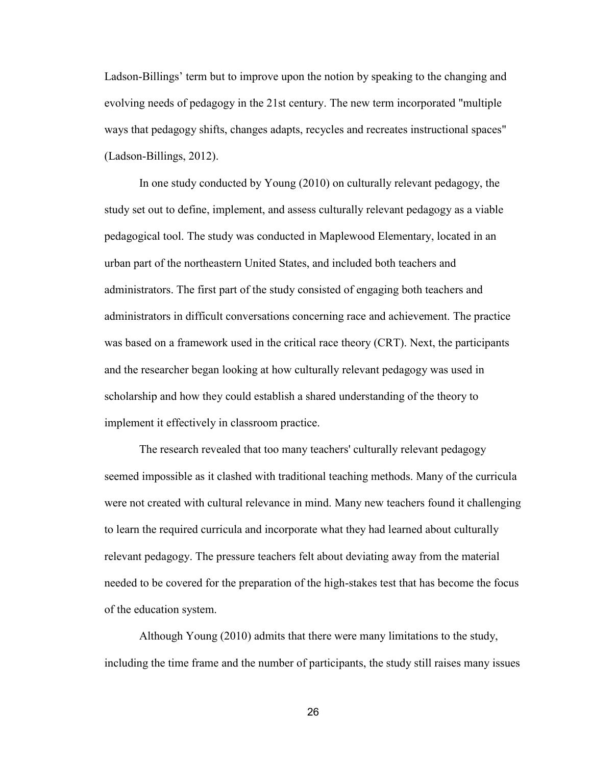Ladson-Billings' term but to improve upon the notion by speaking to the changing and evolving needs of pedagogy in the 21st century. The new term incorporated "multiple ways that pedagogy shifts, changes adapts, recycles and recreates instructional spaces" (Ladson-Billings, 2012).

In one study conducted by Young (2010) on culturally relevant pedagogy, the study set out to define, implement, and assess culturally relevant pedagogy as a viable pedagogical tool. The study was conducted in Maplewood Elementary, located in an urban part of the northeastern United States, and included both teachers and administrators. The first part of the study consisted of engaging both teachers and administrators in difficult conversations concerning race and achievement. The practice was based on a framework used in the critical race theory (CRT). Next, the participants and the researcher began looking at how culturally relevant pedagogy was used in scholarship and how they could establish a shared understanding of the theory to implement it effectively in classroom practice.

The research revealed that too many teachers' culturally relevant pedagogy seemed impossible as it clashed with traditional teaching methods. Many of the curricula were not created with cultural relevance in mind. Many new teachers found it challenging to learn the required curricula and incorporate what they had learned about culturally relevant pedagogy. The pressure teachers felt about deviating away from the material needed to be covered for the preparation of the high-stakes test that has become the focus of the education system.

Although Young (2010) admits that there were many limitations to the study, including the time frame and the number of participants, the study still raises many issues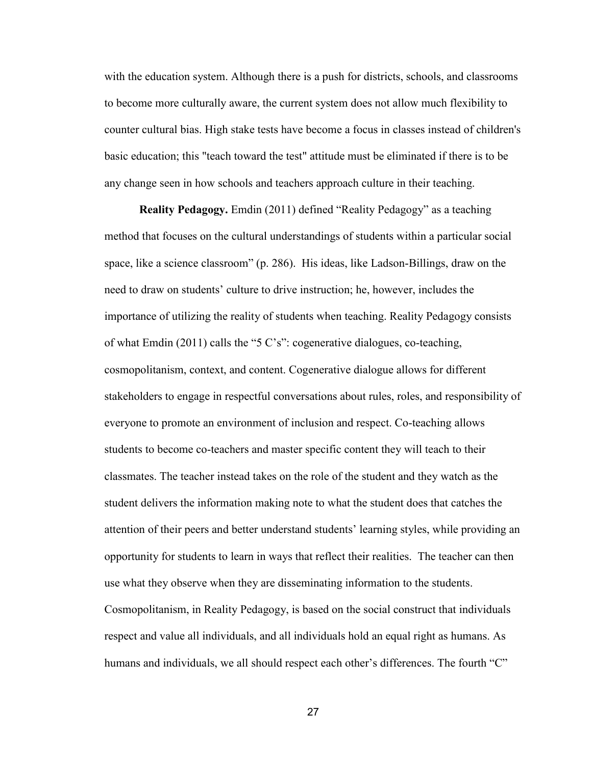with the education system. Although there is a push for districts, schools, and classrooms to become more culturally aware, the current system does not allow much flexibility to counter cultural bias. High stake tests have become a focus in classes instead of children's basic education; this "teach toward the test" attitude must be eliminated if there is to be any change seen in how schools and teachers approach culture in their teaching.

**Reality Pedagogy.** Emdin (2011) defined "Reality Pedagogy" as a teaching method that focuses on the cultural understandings of students within a particular social space, like a science classroom" (p. 286). His ideas, like Ladson-Billings, draw on the need to draw on students' culture to drive instruction; he, however, includes the importance of utilizing the reality of students when teaching. Reality Pedagogy consists of what Emdin (2011) calls the "5 C's": cogenerative dialogues, co-teaching, cosmopolitanism, context, and content. Cogenerative dialogue allows for different stakeholders to engage in respectful conversations about rules, roles, and responsibility of everyone to promote an environment of inclusion and respect. Co-teaching allows students to become co-teachers and master specific content they will teach to their classmates. The teacher instead takes on the role of the student and they watch as the student delivers the information making note to what the student does that catches the attention of their peers and better understand students' learning styles, while providing an opportunity for students to learn in ways that reflect their realities. The teacher can then use what they observe when they are disseminating information to the students. Cosmopolitanism, in Reality Pedagogy, is based on the social construct that individuals respect and value all individuals, and all individuals hold an equal right as humans. As humans and individuals, we all should respect each other's differences. The fourth "C"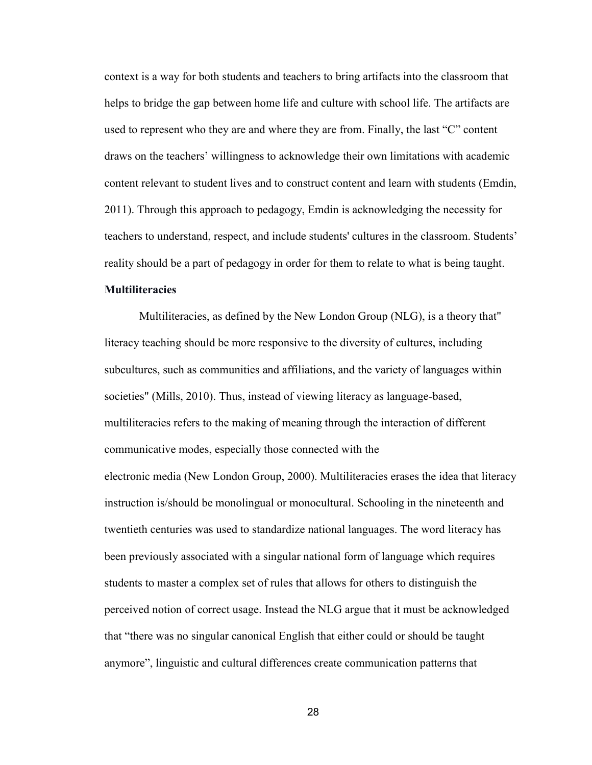context is a way for both students and teachers to bring artifacts into the classroom that helps to bridge the gap between home life and culture with school life. The artifacts are used to represent who they are and where they are from. Finally, the last "C" content draws on the teachers' willingness to acknowledge their own limitations with academic content relevant to student lives and to construct content and learn with students (Emdin, 2011). Through this approach to pedagogy, Emdin is acknowledging the necessity for teachers to understand, respect, and include students' cultures in the classroom. Students' reality should be a part of pedagogy in order for them to relate to what is being taught. **Multiliteracies**

Multiliteracies, as defined by the New London Group (NLG), is a theory that" literacy teaching should be more responsive to the diversity of cultures, including subcultures, such as communities and affiliations, and the variety of languages within societies" (Mills, 2010). Thus, instead of viewing literacy as language-based, multiliteracies refers to the making of meaning through the interaction of different communicative modes, especially those connected with the electronic media (New London Group, 2000). Multiliteracies erases the idea that literacy instruction is/should be monolingual or monocultural. Schooling in the nineteenth and twentieth centuries was used to standardize national languages. The word literacy has been previously associated with a singular national form of language which requires students to master a complex set of rules that allows for others to distinguish the perceived notion of correct usage. Instead the NLG argue that it must be acknowledged that "there was no singular canonical English that either could or should be taught anymore", linguistic and cultural differences create communication patterns that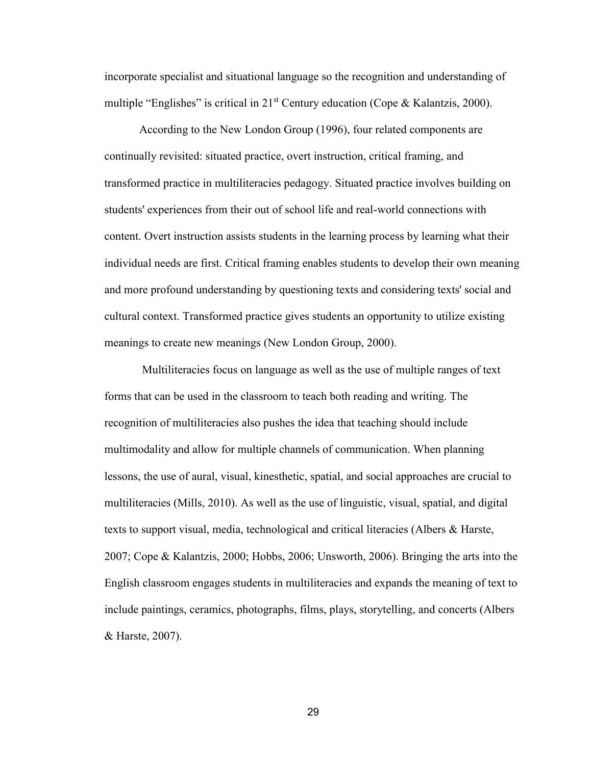incorporate specialist and situational language so the recognition and understanding of multiple "Englishes" is critical in  $21<sup>st</sup>$  Century education (Cope & Kalantzis, 2000).

According to the New London Group (1996), four related components are continually revisited: situated practice, overt instruction, critical framing, and transformed practice in multiliteracies pedagogy. Situated practice involves building on students' experiences from their out of school life and real-world connections with content. Overt instruction assists students in the learning process by learning what their individual needs are first. Critical framing enables students to develop their own meaning and more profound understanding by questioning texts and considering texts' social and cultural context. Transformed practice gives students an opportunity to utilize existing meanings to create new meanings (New London Group, 2000).

Multiliteracies focus on language as well as the use of multiple ranges of text forms that can be used in the classroom to teach both reading and writing. The recognition of multiliteracies also pushes the idea that teaching should include multimodality and allow for multiple channels of communication. When planning lessons, the use of aural, visual, kinesthetic, spatial, and social approaches are crucial to multiliteracies (Mills, 2010). As well as the use of linguistic, visual, spatial, and digital texts to support visual, media, technological and critical literacies (Albers & Harste, 2007; Cope & Kalantzis, 2000; Hobbs, 2006; Unsworth, 2006). Bringing the arts into the English classroom engages students in multiliteracies and expands the meaning of text to include paintings, ceramics, photographs, films, plays, storytelling, and concerts (Albers & Harste, 2007).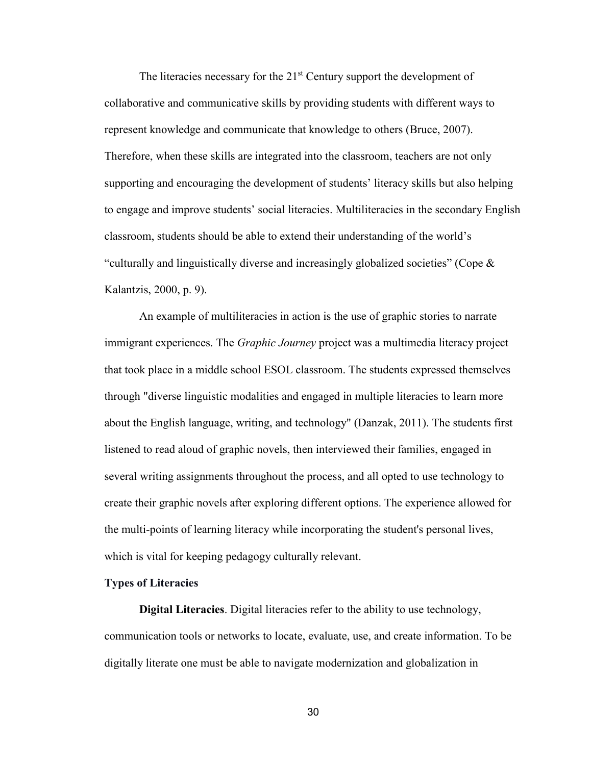The literacies necessary for the  $21<sup>st</sup>$  Century support the development of collaborative and communicative skills by providing students with different ways to represent knowledge and communicate that knowledge to others (Bruce, 2007). Therefore, when these skills are integrated into the classroom, teachers are not only supporting and encouraging the development of students' literacy skills but also helping to engage and improve students' social literacies. Multiliteracies in the secondary English classroom, students should be able to extend their understanding of the world's "culturally and linguistically diverse and increasingly globalized societies" (Cope & Kalantzis, 2000, p. 9).

An example of multiliteracies in action is the use of graphic stories to narrate immigrant experiences. The *Graphic Journey* project was a multimedia literacy project that took place in a middle school ESOL classroom. The students expressed themselves through "diverse linguistic modalities and engaged in multiple literacies to learn more about the English language, writing, and technology" (Danzak, 2011). The students first listened to read aloud of graphic novels, then interviewed their families, engaged in several writing assignments throughout the process, and all opted to use technology to create their graphic novels after exploring different options. The experience allowed for the multi-points of learning literacy while incorporating the student's personal lives, which is vital for keeping pedagogy culturally relevant.

### **Types of Literacies**

**Digital Literacies**. Digital literacies refer to the ability to use technology, communication tools or networks to locate, evaluate, use, and create information. To be digitally literate one must be able to navigate modernization and globalization in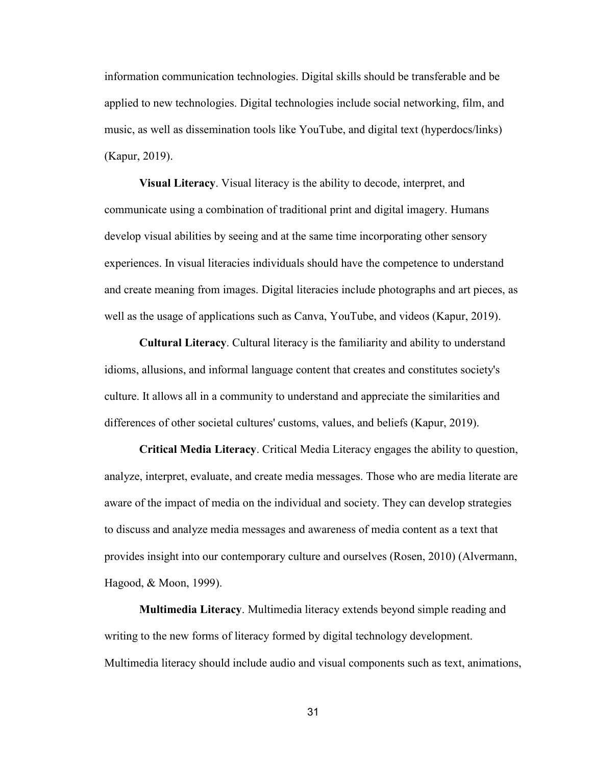information communication technologies. Digital skills should be transferable and be applied to new technologies. Digital technologies include social networking, film, and music, as well as dissemination tools like YouTube, and digital text (hyperdocs/links) (Kapur, 2019).

**Visual Literacy**. Visual literacy is the ability to decode, interpret, and communicate using a combination of traditional print and digital imagery. Humans develop visual abilities by seeing and at the same time incorporating other sensory experiences. In visual literacies individuals should have the competence to understand and create meaning from images. Digital literacies include photographs and art pieces, as well as the usage of applications such as Canva, YouTube, and videos (Kapur, 2019).

**Cultural Literacy**. Cultural literacy is the familiarity and ability to understand idioms, allusions, and informal language content that creates and constitutes society's culture. It allows all in a community to understand and appreciate the similarities and differences of other societal cultures' customs, values, and beliefs (Kapur, 2019).

**Critical Media Literacy**. Critical Media Literacy engages the ability to question, analyze, interpret, evaluate, and create media messages. Those who are media literate are aware of the impact of media on the individual and society. They can develop strategies to discuss and analyze media messages and awareness of media content as a text that provides insight into our contemporary culture and ourselves (Rosen, 2010) (Alvermann, Hagood, & Moon, 1999).

**Multimedia Literacy**. Multimedia literacy extends beyond simple reading and writing to the new forms of literacy formed by digital technology development. Multimedia literacy should include audio and visual components such as text, animations,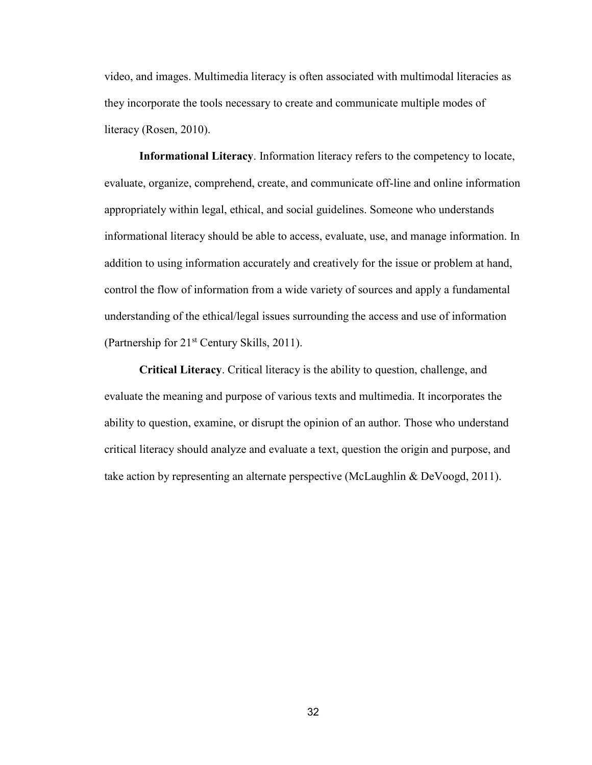video, and images. Multimedia literacy is often associated with multimodal literacies as they incorporate the tools necessary to create and communicate multiple modes of literacy (Rosen, 2010).

**Informational Literacy**. Information literacy refers to the competency to locate, evaluate, organize, comprehend, create, and communicate off-line and online information appropriately within legal, ethical, and social guidelines. Someone who understands informational literacy should be able to access, evaluate, use, and manage information. In addition to using information accurately and creatively for the issue or problem at hand, control the flow of information from a wide variety of sources and apply a fundamental understanding of the ethical/legal issues surrounding the access and use of information (Partnership for 21<sup>st</sup> Century Skills, 2011).

**Critical Literacy**. Critical literacy is the ability to question, challenge, and evaluate the meaning and purpose of various texts and multimedia. It incorporates the ability to question, examine, or disrupt the opinion of an author. Those who understand critical literacy should analyze and evaluate a text, question the origin and purpose, and take action by representing an alternate perspective (McLaughlin & DeVoogd, 2011).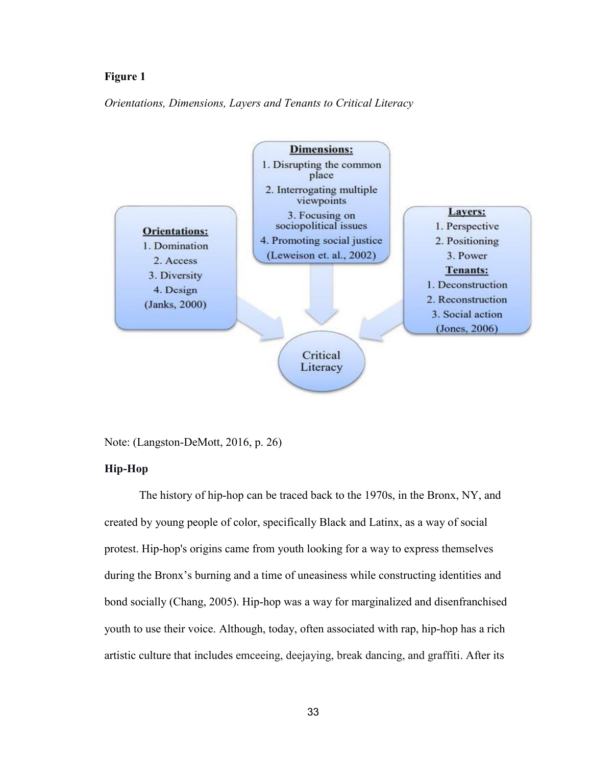### **Figure 1**

*Orientations, Dimensions, Layers and Tenants to Critical Literacy*



Note: (Langston-DeMott, 2016, p. 26)

### **Hip-Hop**

The history of hip-hop can be traced back to the 1970s, in the Bronx, NY, and created by young people of color, specifically Black and Latinx, as a way of social protest. Hip-hop's origins came from youth looking for a way to express themselves during the Bronx's burning and a time of uneasiness while constructing identities and bond socially (Chang, 2005). Hip-hop was a way for marginalized and disenfranchised youth to use their voice. Although, today, often associated with rap, hip-hop has a rich artistic culture that includes emceeing, deejaying, break dancing, and graffiti. After its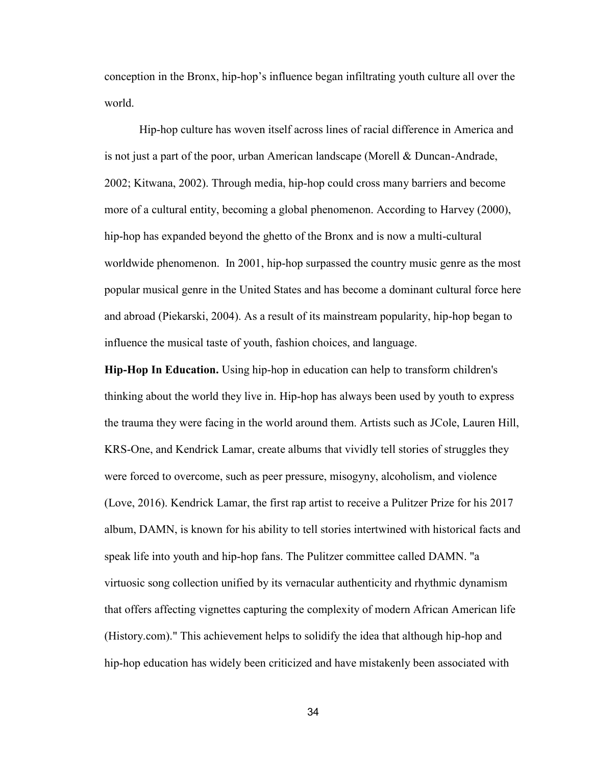conception in the Bronx, hip-hop's influence began infiltrating youth culture all over the world.

Hip-hop culture has woven itself across lines of racial difference in America and is not just a part of the poor, urban American landscape (Morell & Duncan-Andrade, 2002; Kitwana, 2002). Through media, hip-hop could cross many barriers and become more of a cultural entity, becoming a global phenomenon. According to Harvey (2000), hip-hop has expanded beyond the ghetto of the Bronx and is now a multi-cultural worldwide phenomenon. In 2001, hip-hop surpassed the country music genre as the most popular musical genre in the United States and has become a dominant cultural force here and abroad (Piekarski, 2004). As a result of its mainstream popularity, hip-hop began to influence the musical taste of youth, fashion choices, and language.

**Hip-Hop In Education.** Using hip-hop in education can help to transform children's thinking about the world they live in. Hip-hop has always been used by youth to express the trauma they were facing in the world around them. Artists such as JCole, Lauren Hill, KRS-One, and Kendrick Lamar, create albums that vividly tell stories of struggles they were forced to overcome, such as peer pressure, misogyny, alcoholism, and violence (Love, 2016). Kendrick Lamar, the first rap artist to receive a Pulitzer Prize for his 2017 album, DAMN, is known for his ability to tell stories intertwined with historical facts and speak life into youth and hip-hop fans. The Pulitzer committee called DAMN. "a virtuosic song collection unified by its vernacular authenticity and rhythmic dynamism that offers affecting vignettes capturing the complexity of modern African American life (History.com)." This achievement helps to solidify the idea that although hip-hop and hip-hop education has widely been criticized and have mistakenly been associated with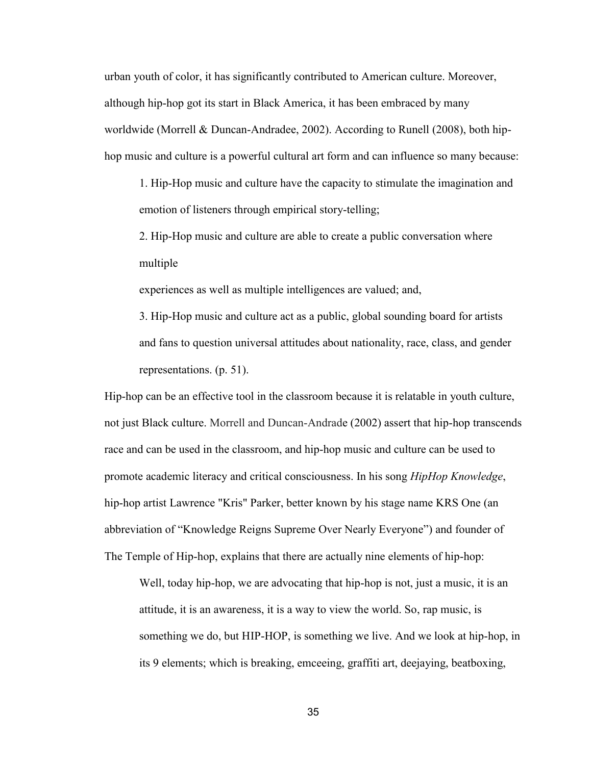urban youth of color, it has significantly contributed to American culture. Moreover, although hip-hop got its start in Black America, it has been embraced by many worldwide (Morrell & Duncan-Andradee, 2002). According to Runell (2008), both hiphop music and culture is a powerful cultural art form and can influence so many because:

1. Hip-Hop music and culture have the capacity to stimulate the imagination and emotion of listeners through empirical story-telling;

2. Hip-Hop music and culture are able to create a public conversation where multiple

experiences as well as multiple intelligences are valued; and,

3. Hip-Hop music and culture act as a public, global sounding board for artists and fans to question universal attitudes about nationality, race, class, and gender representations. (p. 51).

Hip-hop can be an effective tool in the classroom because it is relatable in youth culture, not just Black culture. Morrell and Duncan-Andrade (2002) assert that hip-hop transcends race and can be used in the classroom, and hip-hop music and culture can be used to promote academic literacy and critical consciousness. In his song *HipHop Knowledge*, hip-hop artist Lawrence "Kris" Parker, better known by his stage name KRS One (an abbreviation of "Knowledge Reigns Supreme Over Nearly Everyone") and founder of The Temple of Hip-hop, explains that there are actually nine elements of hip-hop:

Well, today hip-hop, we are advocating that hip-hop is not, just a music, it is an attitude, it is an awareness, it is a way to view the world. So, rap music, is something we do, but HIP-HOP, is something we live. And we look at hip-hop, in its 9 elements; which is breaking, emceeing, graffiti art, deejaying, beatboxing,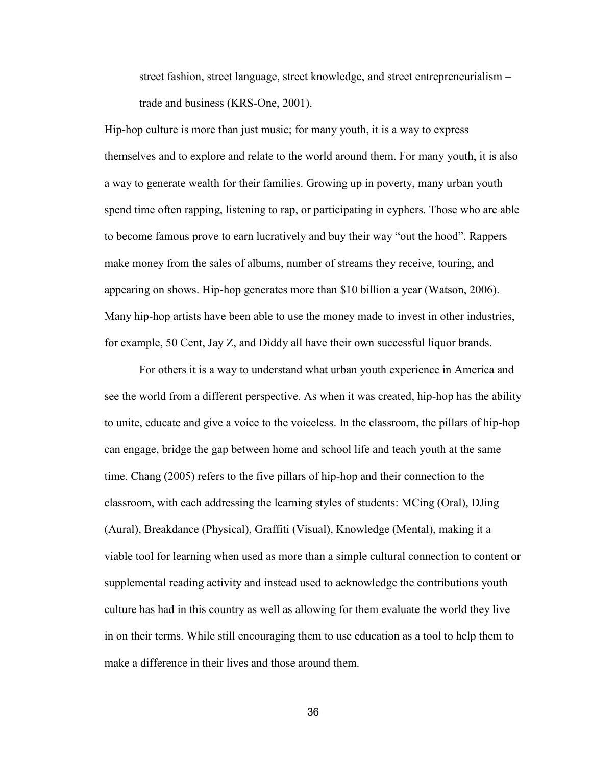street fashion, street language, street knowledge, and street entrepreneurialism – trade and business (KRS-One, 2001).

Hip-hop culture is more than just music; for many youth, it is a way to express themselves and to explore and relate to the world around them. For many youth, it is also a way to generate wealth for their families. Growing up in poverty, many urban youth spend time often rapping, listening to rap, or participating in cyphers. Those who are able to become famous prove to earn lucratively and buy their way "out the hood". Rappers make money from the sales of albums, number of streams they receive, touring, and appearing on shows. Hip-hop generates more than \$10 billion a year (Watson, 2006). Many hip-hop artists have been able to use the money made to invest in other industries, for example, 50 Cent, Jay Z, and Diddy all have their own successful liquor brands.

For others it is a way to understand what urban youth experience in America and see the world from a different perspective. As when it was created, hip-hop has the ability to unite, educate and give a voice to the voiceless. In the classroom, the pillars of hip-hop can engage, bridge the gap between home and school life and teach youth at the same time. Chang (2005) refers to the five pillars of hip-hop and their connection to the classroom, with each addressing the learning styles of students: MCing (Oral), DJing (Aural), Breakdance (Physical), Graffiti (Visual), Knowledge (Mental), making it a viable tool for learning when used as more than a simple cultural connection to content or supplemental reading activity and instead used to acknowledge the contributions youth culture has had in this country as well as allowing for them evaluate the world they live in on their terms. While still encouraging them to use education as a tool to help them to make a difference in their lives and those around them.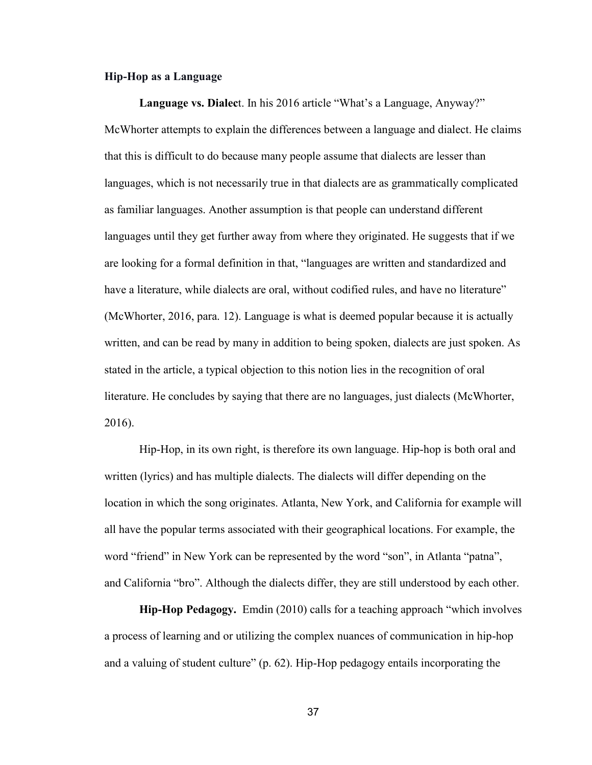## **Hip-Hop as a Language**

**Language vs. Dialec**t. In his 2016 article "What's a Language, Anyway?" McWhorter attempts to explain the differences between a language and dialect. He claims that this is difficult to do because many people assume that dialects are lesser than languages, which is not necessarily true in that dialects are as grammatically complicated as familiar languages. Another assumption is that people can understand different languages until they get further away from where they originated. He suggests that if we are looking for a formal definition in that, "languages are written and standardized and have a literature, while dialects are oral, without codified rules, and have no literature" (McWhorter, 2016, para. 12). Language is what is deemed popular because it is actually written, and can be read by many in addition to being spoken, dialects are just spoken. As stated in the article, a typical objection to this notion lies in the recognition of oral literature. He concludes by saying that there are no languages, just dialects (McWhorter, 2016).

Hip-Hop, in its own right, is therefore its own language. Hip-hop is both oral and written (lyrics) and has multiple dialects. The dialects will differ depending on the location in which the song originates. Atlanta, New York, and California for example will all have the popular terms associated with their geographical locations. For example, the word "friend" in New York can be represented by the word "son", in Atlanta "patna", and California "bro". Although the dialects differ, they are still understood by each other.

**Hip-Hop Pedagogy.** Emdin (2010) calls for a teaching approach "which involves a process of learning and or utilizing the complex nuances of communication in hip-hop and a valuing of student culture" (p. 62). Hip-Hop pedagogy entails incorporating the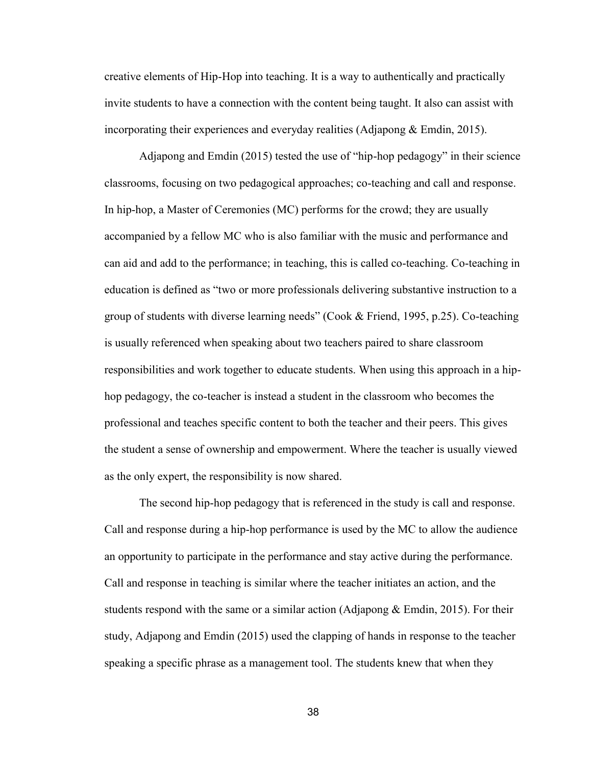creative elements of Hip-Hop into teaching. It is a way to authentically and practically invite students to have a connection with the content being taught. It also can assist with incorporating their experiences and everyday realities (Adjapong & Emdin, 2015).

Adjapong and Emdin (2015) tested the use of "hip-hop pedagogy" in their science classrooms, focusing on two pedagogical approaches; co-teaching and call and response. In hip-hop, a Master of Ceremonies (MC) performs for the crowd; they are usually accompanied by a fellow MC who is also familiar with the music and performance and can aid and add to the performance; in teaching, this is called co-teaching. Co-teaching in education is defined as "two or more professionals delivering substantive instruction to a group of students with diverse learning needs" (Cook & Friend, 1995, p.25). Co-teaching is usually referenced when speaking about two teachers paired to share classroom responsibilities and work together to educate students. When using this approach in a hiphop pedagogy, the co-teacher is instead a student in the classroom who becomes the professional and teaches specific content to both the teacher and their peers. This gives the student a sense of ownership and empowerment. Where the teacher is usually viewed as the only expert, the responsibility is now shared.

The second hip-hop pedagogy that is referenced in the study is call and response. Call and response during a hip-hop performance is used by the MC to allow the audience an opportunity to participate in the performance and stay active during the performance. Call and response in teaching is similar where the teacher initiates an action, and the students respond with the same or a similar action (Adjapong & Emdin, 2015). For their study, Adjapong and Emdin (2015) used the clapping of hands in response to the teacher speaking a specific phrase as a management tool. The students knew that when they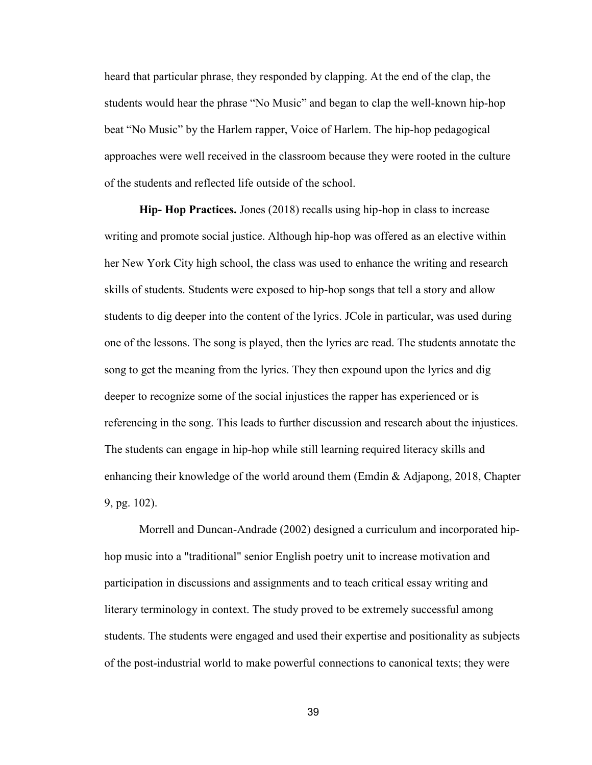heard that particular phrase, they responded by clapping. At the end of the clap, the students would hear the phrase "No Music" and began to clap the well-known hip-hop beat "No Music" by the Harlem rapper, Voice of Harlem. The hip-hop pedagogical approaches were well received in the classroom because they were rooted in the culture of the students and reflected life outside of the school.

**Hip- Hop Practices.** Jones (2018) recalls using hip-hop in class to increase writing and promote social justice. Although hip-hop was offered as an elective within her New York City high school, the class was used to enhance the writing and research skills of students. Students were exposed to hip-hop songs that tell a story and allow students to dig deeper into the content of the lyrics. JCole in particular, was used during one of the lessons. The song is played, then the lyrics are read. The students annotate the song to get the meaning from the lyrics. They then expound upon the lyrics and dig deeper to recognize some of the social injustices the rapper has experienced or is referencing in the song. This leads to further discussion and research about the injustices. The students can engage in hip-hop while still learning required literacy skills and enhancing their knowledge of the world around them (Emdin & Adjapong, 2018, Chapter 9, pg. 102).

Morrell and Duncan-Andrade (2002) designed a curriculum and incorporated hiphop music into a "traditional" senior English poetry unit to increase motivation and participation in discussions and assignments and to teach critical essay writing and literary terminology in context. The study proved to be extremely successful among students. The students were engaged and used their expertise and positionality as subjects of the post-industrial world to make powerful connections to canonical texts; they were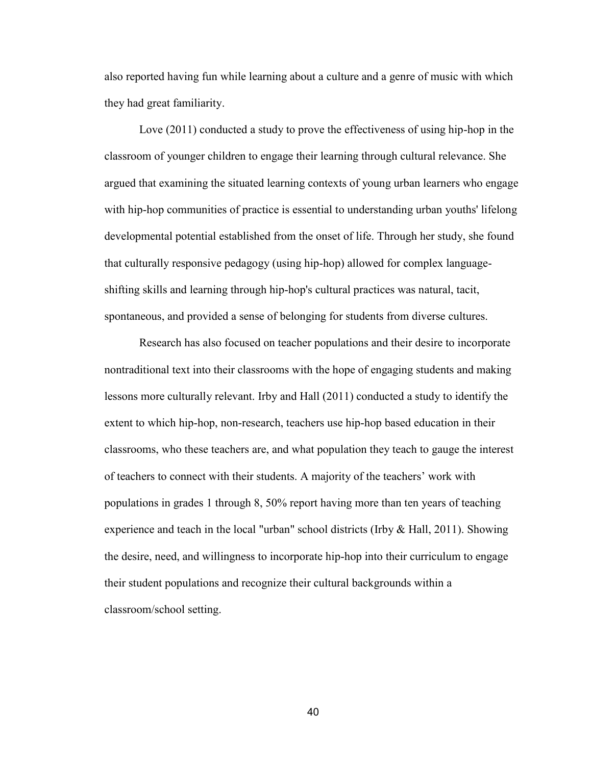also reported having fun while learning about a culture and a genre of music with which they had great familiarity.

Love (2011) conducted a study to prove the effectiveness of using hip-hop in the classroom of younger children to engage their learning through cultural relevance. She argued that examining the situated learning contexts of young urban learners who engage with hip-hop communities of practice is essential to understanding urban youths' lifelong developmental potential established from the onset of life. Through her study, she found that culturally responsive pedagogy (using hip-hop) allowed for complex languageshifting skills and learning through hip-hop's cultural practices was natural, tacit, spontaneous, and provided a sense of belonging for students from diverse cultures.

Research has also focused on teacher populations and their desire to incorporate nontraditional text into their classrooms with the hope of engaging students and making lessons more culturally relevant. Irby and Hall (2011) conducted a study to identify the extent to which hip-hop, non-research, teachers use hip-hop based education in their classrooms, who these teachers are, and what population they teach to gauge the interest of teachers to connect with their students. A majority of the teachers' work with populations in grades 1 through 8, 50% report having more than ten years of teaching experience and teach in the local "urban" school districts (Irby & Hall, 2011). Showing the desire, need, and willingness to incorporate hip-hop into their curriculum to engage their student populations and recognize their cultural backgrounds within a classroom/school setting.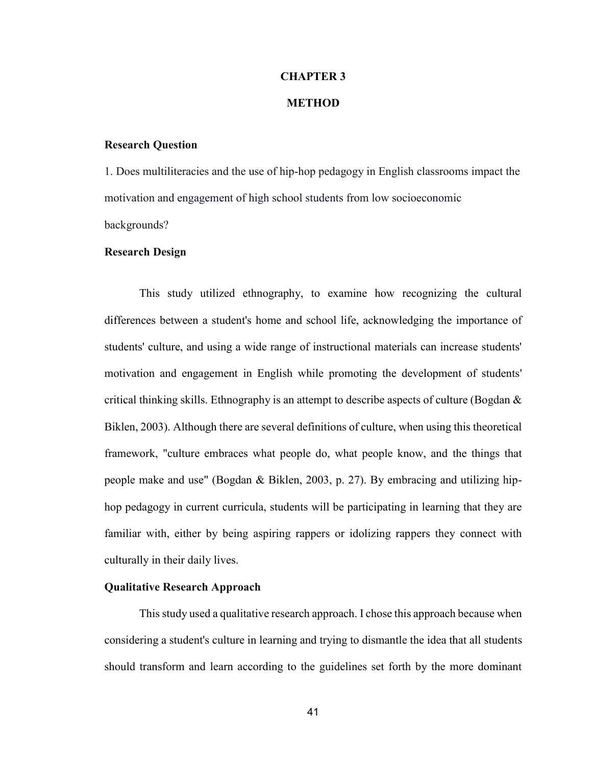### **CHAPTER 3**

### **METHOD**

### **Research Question**

1. Does multiliteracies and the use of hip-hop pedagogy in English classrooms impact the motivation and engagement of high school students from low socioeconomic backgrounds?

### **Research Design**

This study utilized ethnography, to examine how recognizing the cultural differences between a student's home and school life, acknowledging the importance of students' culture, and using a wide range of instructional materials can increase students' motivation and engagement in English while promoting the development of students' critical thinking skills. Ethnography is an attempt to describe aspects of culture (Bogdan  $\&$ Biklen, 2003). Although there are several definitions of culture, when using this theoretical framework, "culture embraces what people do, what people know, and the things that people make and use" (Bogdan & Biklen, 2003, p. 27). By embracing and utilizing hiphop pedagogy in current curricula, students will be participating in learning that they are familiar with, either by being aspiring rappers or idolizing rappers they connect with culturally in their daily lives.

### **Qualitative Research Approach**

This study used a qualitative research approach. I chose this approach because when considering a student's culture in learning and trying to dismantle the idea that all students should transform and learn according to the guidelines set forth by the more dominant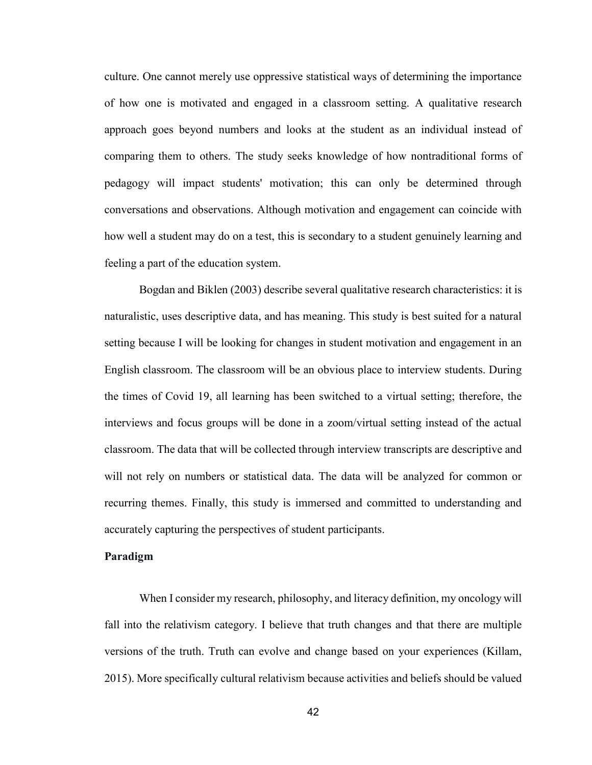culture. One cannot merely use oppressive statistical ways of determining the importance of how one is motivated and engaged in a classroom setting. A qualitative research approach goes beyond numbers and looks at the student as an individual instead of comparing them to others. The study seeks knowledge of how nontraditional forms of pedagogy will impact students' motivation; this can only be determined through conversations and observations. Although motivation and engagement can coincide with how well a student may do on a test, this is secondary to a student genuinely learning and feeling a part of the education system.

Bogdan and Biklen (2003) describe several qualitative research characteristics: it is naturalistic, uses descriptive data, and has meaning. This study is best suited for a natural setting because I will be looking for changes in student motivation and engagement in an English classroom. The classroom will be an obvious place to interview students. During the times of Covid 19, all learning has been switched to a virtual setting; therefore, the interviews and focus groups will be done in a zoom/virtual setting instead of the actual classroom. The data that will be collected through interview transcripts are descriptive and will not rely on numbers or statistical data. The data will be analyzed for common or recurring themes. Finally, this study is immersed and committed to understanding and accurately capturing the perspectives of student participants.

### **Paradigm**

When I consider my research, philosophy, and literacy definition, my oncology will fall into the relativism category. I believe that truth changes and that there are multiple versions of the truth. Truth can evolve and change based on your experiences (Killam, 2015). More specifically cultural relativism because activities and beliefs should be valued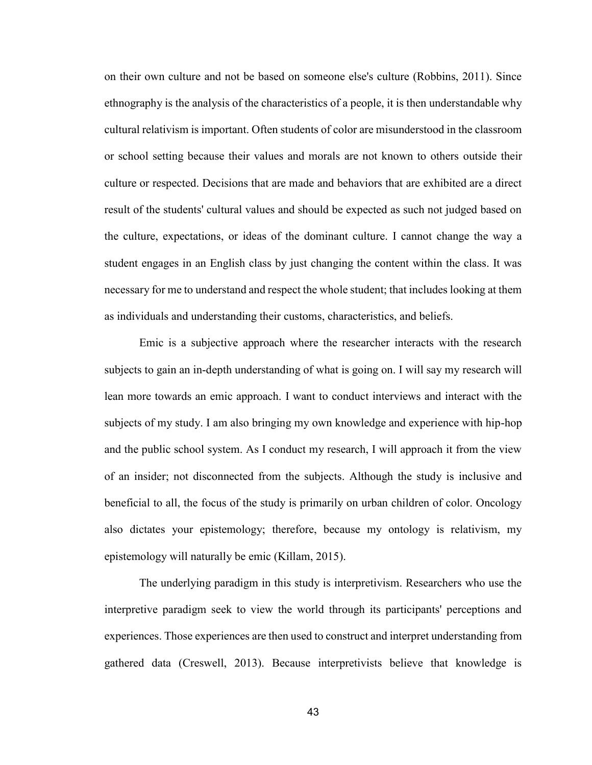on their own culture and not be based on someone else's culture (Robbins, 2011). Since ethnography is the analysis of the characteristics of a people, it is then understandable why cultural relativism is important. Often students of color are misunderstood in the classroom or school setting because their values and morals are not known to others outside their culture or respected. Decisions that are made and behaviors that are exhibited are a direct result of the students' cultural values and should be expected as such not judged based on the culture, expectations, or ideas of the dominant culture. I cannot change the way a student engages in an English class by just changing the content within the class. It was necessary for me to understand and respect the whole student; that includes looking at them as individuals and understanding their customs, characteristics, and beliefs.

Emic is a subjective approach where the researcher interacts with the research subjects to gain an in-depth understanding of what is going on. I will say my research will lean more towards an emic approach. I want to conduct interviews and interact with the subjects of my study. I am also bringing my own knowledge and experience with hip-hop and the public school system. As I conduct my research, I will approach it from the view of an insider; not disconnected from the subjects. Although the study is inclusive and beneficial to all, the focus of the study is primarily on urban children of color. Oncology also dictates your epistemology; therefore, because my ontology is relativism, my epistemology will naturally be emic (Killam, 2015).

The underlying paradigm in this study is interpretivism. Researchers who use the interpretive paradigm seek to view the world through its participants' perceptions and experiences. Those experiences are then used to construct and interpret understanding from gathered data (Creswell, 2013). Because interpretivists believe that knowledge is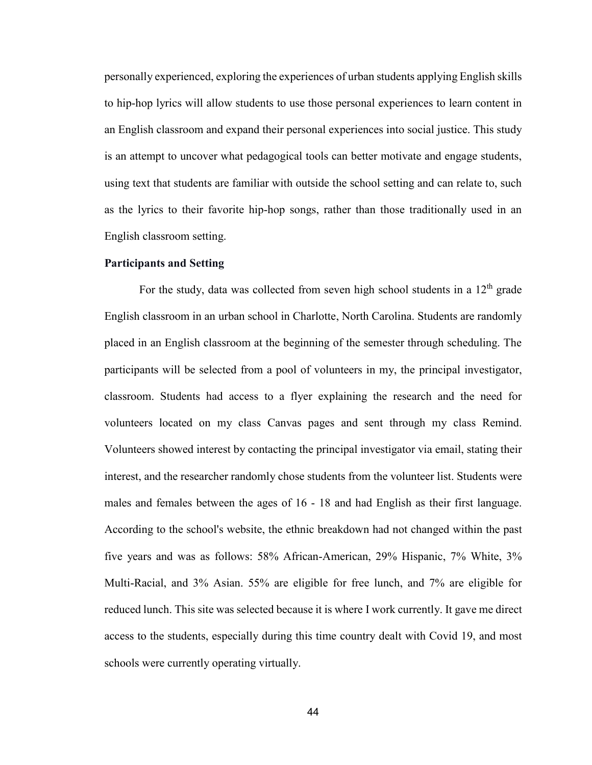personally experienced, exploring the experiences of urban students applying English skills to hip-hop lyrics will allow students to use those personal experiences to learn content in an English classroom and expand their personal experiences into social justice. This study is an attempt to uncover what pedagogical tools can better motivate and engage students, using text that students are familiar with outside the school setting and can relate to, such as the lyrics to their favorite hip-hop songs, rather than those traditionally used in an English classroom setting.

### **Participants and Setting**

For the study, data was collected from seven high school students in a  $12<sup>th</sup>$  grade English classroom in an urban school in Charlotte, North Carolina. Students are randomly placed in an English classroom at the beginning of the semester through scheduling. The participants will be selected from a pool of volunteers in my, the principal investigator, classroom. Students had access to a flyer explaining the research and the need for volunteers located on my class Canvas pages and sent through my class Remind. Volunteers showed interest by contacting the principal investigator via email, stating their interest, and the researcher randomly chose students from the volunteer list. Students were males and females between the ages of 16 - 18 and had English as their first language. According to the school's website, the ethnic breakdown had not changed within the past five years and was as follows: 58% African-American, 29% Hispanic, 7% White, 3% Multi-Racial, and 3% Asian. 55% are eligible for free lunch, and 7% are eligible for reduced lunch. This site was selected because it is where I work currently. It gave me direct access to the students, especially during this time country dealt with Covid 19, and most schools were currently operating virtually.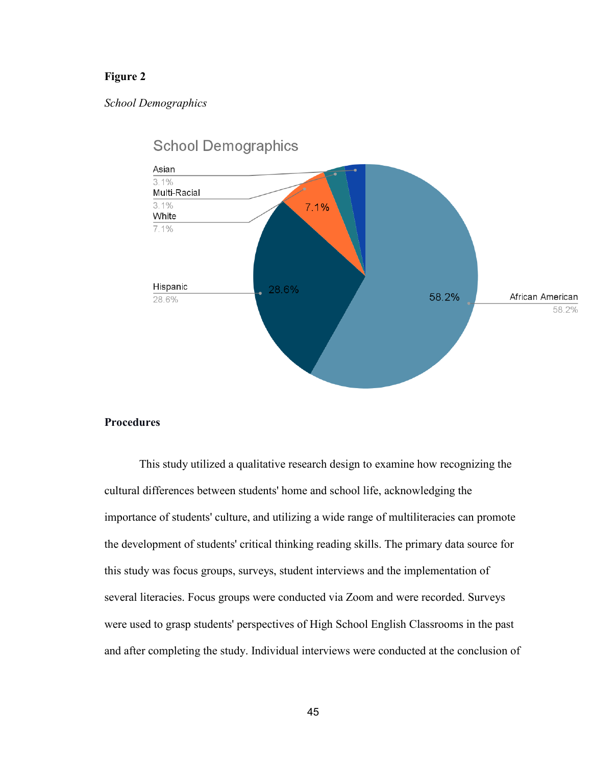# **Figure 2**

### *School Demographics*



# **School Demographics**

# **Procedures**

This study utilized a qualitative research design to examine how recognizing the cultural differences between students' home and school life, acknowledging the importance of students' culture, and utilizing a wide range of multiliteracies can promote the development of students' critical thinking reading skills. The primary data source for this study was focus groups, surveys, student interviews and the implementation of several literacies. Focus groups were conducted via Zoom and were recorded. Surveys were used to grasp students' perspectives of High School English Classrooms in the past and after completing the study. Individual interviews were conducted at the conclusion of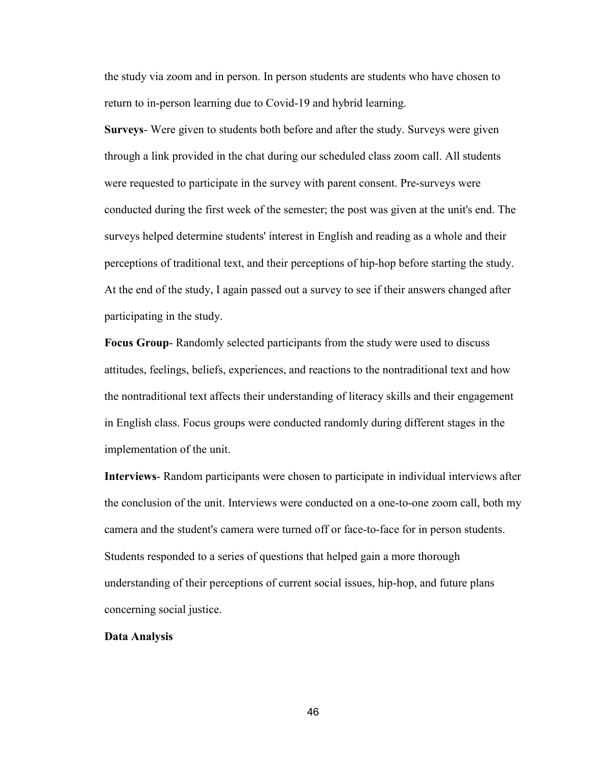the study via zoom and in person. In person students are students who have chosen to return to in-person learning due to Covid-19 and hybrid learning.

**Surveys**- Were given to students both before and after the study. Surveys were given through a link provided in the chat during our scheduled class zoom call. All students were requested to participate in the survey with parent consent. Pre-surveys were conducted during the first week of the semester; the post was given at the unit's end. The surveys helped determine students' interest in English and reading as a whole and their perceptions of traditional text, and their perceptions of hip-hop before starting the study. At the end of the study, I again passed out a survey to see if their answers changed after participating in the study.

**Focus Group**- Randomly selected participants from the study were used to discuss attitudes, feelings, beliefs, experiences, and reactions to the nontraditional text and how the nontraditional text affects their understanding of literacy skills and their engagement in English class. Focus groups were conducted randomly during different stages in the implementation of the unit.

**Interviews**- Random participants were chosen to participate in individual interviews after the conclusion of the unit. Interviews were conducted on a one-to-one zoom call, both my camera and the student's camera were turned off or face-to-face for in person students. Students responded to a series of questions that helped gain a more thorough understanding of their perceptions of current social issues, hip-hop, and future plans concerning social justice.

## **Data Analysis**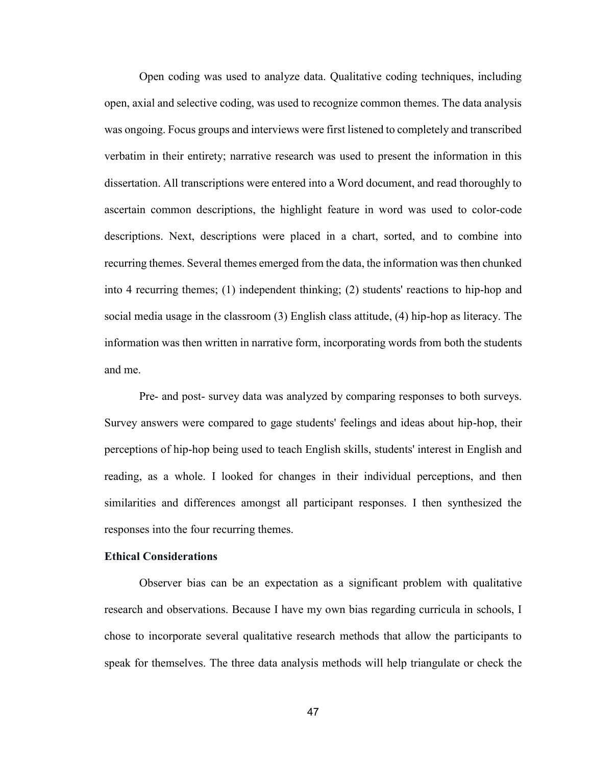Open coding was used to analyze data. Qualitative coding techniques, including open, axial and selective coding, was used to recognize common themes. The data analysis was ongoing. Focus groups and interviews were first listened to completely and transcribed verbatim in their entirety; narrative research was used to present the information in this dissertation. All transcriptions were entered into a Word document, and read thoroughly to ascertain common descriptions, the highlight feature in word was used to color-code descriptions. Next, descriptions were placed in a chart, sorted, and to combine into recurring themes. Several themes emerged from the data, the information was then chunked into 4 recurring themes; (1) independent thinking; (2) students' reactions to hip-hop and social media usage in the classroom (3) English class attitude, (4) hip-hop as literacy. The information was then written in narrative form, incorporating words from both the students and me.

Pre- and post- survey data was analyzed by comparing responses to both surveys. Survey answers were compared to gage students' feelings and ideas about hip-hop, their perceptions of hip-hop being used to teach English skills, students' interest in English and reading, as a whole. I looked for changes in their individual perceptions, and then similarities and differences amongst all participant responses. I then synthesized the responses into the four recurring themes.

### **Ethical Considerations**

Observer bias can be an expectation as a significant problem with qualitative research and observations. Because I have my own bias regarding curricula in schools, I chose to incorporate several qualitative research methods that allow the participants to speak for themselves. The three data analysis methods will help triangulate or check the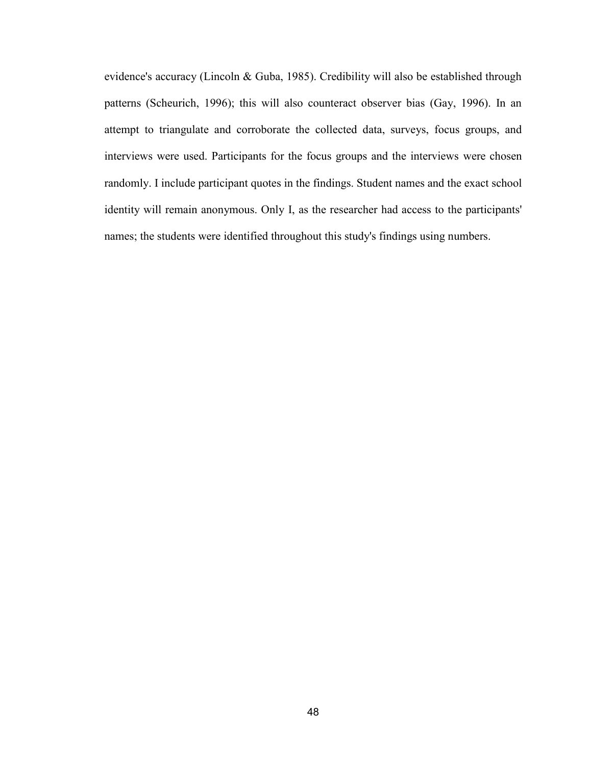evidence's accuracy (Lincoln & Guba, 1985). Credibility will also be established through patterns (Scheurich, 1996); this will also counteract observer bias (Gay, 1996). In an attempt to triangulate and corroborate the collected data, surveys, focus groups, and interviews were used. Participants for the focus groups and the interviews were chosen randomly. I include participant quotes in the findings. Student names and the exact school identity will remain anonymous. Only I, as the researcher had access to the participants' names; the students were identified throughout this study's findings using numbers.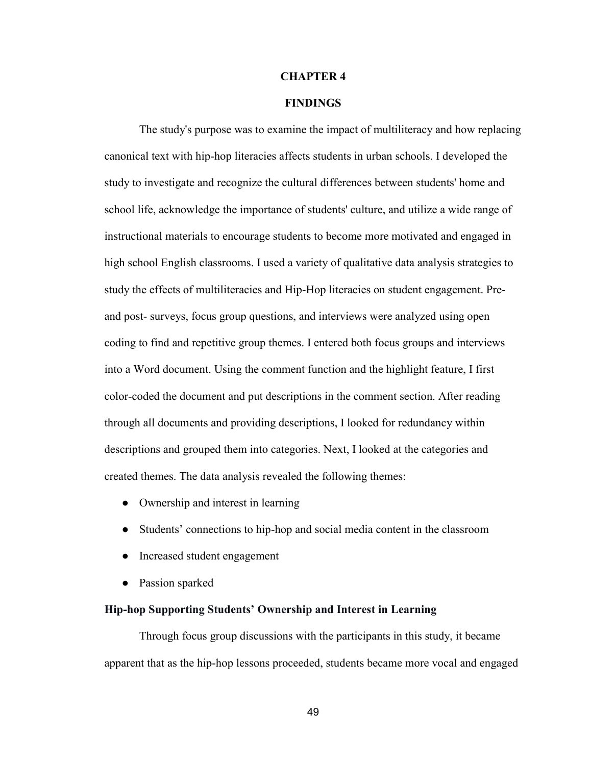### **CHAPTER 4**

# **FINDINGS**

The study's purpose was to examine the impact of multiliteracy and how replacing canonical text with hip-hop literacies affects students in urban schools. I developed the study to investigate and recognize the cultural differences between students' home and school life, acknowledge the importance of students' culture, and utilize a wide range of instructional materials to encourage students to become more motivated and engaged in high school English classrooms. I used a variety of qualitative data analysis strategies to study the effects of multiliteracies and Hip-Hop literacies on student engagement. Preand post- surveys, focus group questions, and interviews were analyzed using open coding to find and repetitive group themes. I entered both focus groups and interviews into a Word document. Using the comment function and the highlight feature, I first color-coded the document and put descriptions in the comment section. After reading through all documents and providing descriptions, I looked for redundancy within descriptions and grouped them into categories. Next, I looked at the categories and created themes. The data analysis revealed the following themes:

- Ownership and interest in learning
- Students' connections to hip-hop and social media content in the classroom
- Increased student engagement
- Passion sparked

## **Hip-hop Supporting Students' Ownership and Interest in Learning**

Through focus group discussions with the participants in this study, it became apparent that as the hip-hop lessons proceeded, students became more vocal and engaged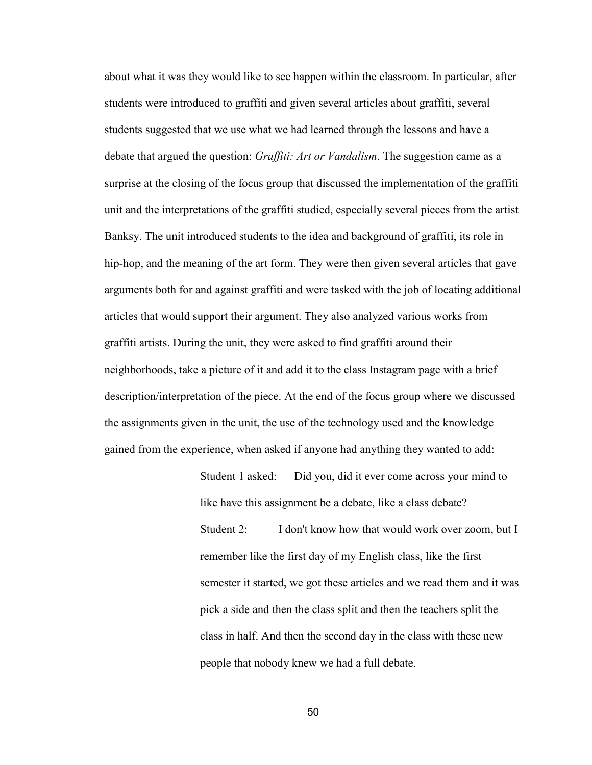about what it was they would like to see happen within the classroom. In particular, after students were introduced to graffiti and given several articles about graffiti, several students suggested that we use what we had learned through the lessons and have a debate that argued the question: *Graffiti: Art or Vandalism*. The suggestion came as a surprise at the closing of the focus group that discussed the implementation of the graffiti unit and the interpretations of the graffiti studied, especially several pieces from the artist Banksy. The unit introduced students to the idea and background of graffiti, its role in hip-hop, and the meaning of the art form. They were then given several articles that gave arguments both for and against graffiti and were tasked with the job of locating additional articles that would support their argument. They also analyzed various works from graffiti artists. During the unit, they were asked to find graffiti around their neighborhoods, take a picture of it and add it to the class Instagram page with a brief description/interpretation of the piece. At the end of the focus group where we discussed the assignments given in the unit, the use of the technology used and the knowledge gained from the experience, when asked if anyone had anything they wanted to add:

> Student 1 asked: Did you, did it ever come across your mind to like have this assignment be a debate, like a class debate? Student 2: I don't know how that would work over zoom, but I remember like the first day of my English class, like the first semester it started, we got these articles and we read them and it was pick a side and then the class split and then the teachers split the class in half. And then the second day in the class with these new people that nobody knew we had a full debate.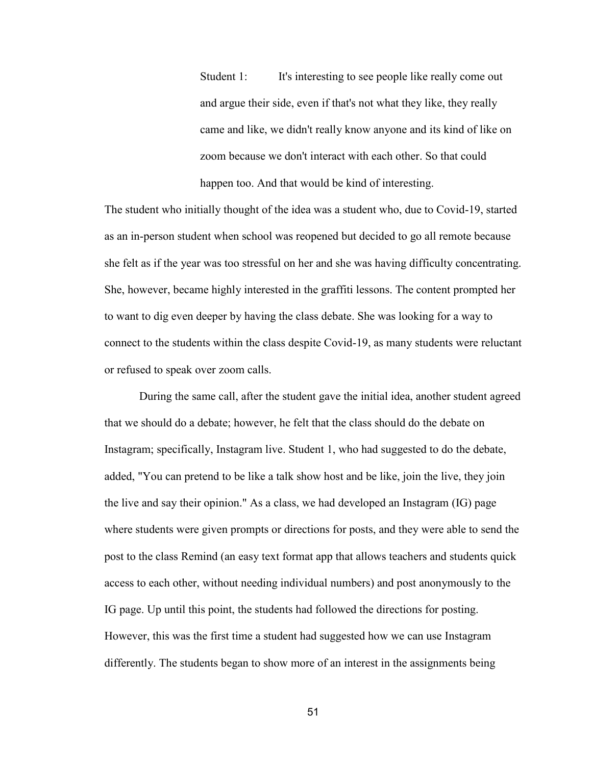Student 1: It's interesting to see people like really come out and argue their side, even if that's not what they like, they really came and like, we didn't really know anyone and its kind of like on zoom because we don't interact with each other. So that could happen too. And that would be kind of interesting.

The student who initially thought of the idea was a student who, due to Covid-19, started as an in-person student when school was reopened but decided to go all remote because she felt as if the year was too stressful on her and she was having difficulty concentrating. She, however, became highly interested in the graffiti lessons. The content prompted her to want to dig even deeper by having the class debate. She was looking for a way to connect to the students within the class despite Covid-19, as many students were reluctant or refused to speak over zoom calls.

During the same call, after the student gave the initial idea, another student agreed that we should do a debate; however, he felt that the class should do the debate on Instagram; specifically, Instagram live. Student 1, who had suggested to do the debate, added, "You can pretend to be like a talk show host and be like, join the live, they join the live and say their opinion." As a class, we had developed an Instagram (IG) page where students were given prompts or directions for posts, and they were able to send the post to the class Remind (an easy text format app that allows teachers and students quick access to each other, without needing individual numbers) and post anonymously to the IG page. Up until this point, the students had followed the directions for posting. However, this was the first time a student had suggested how we can use Instagram differently. The students began to show more of an interest in the assignments being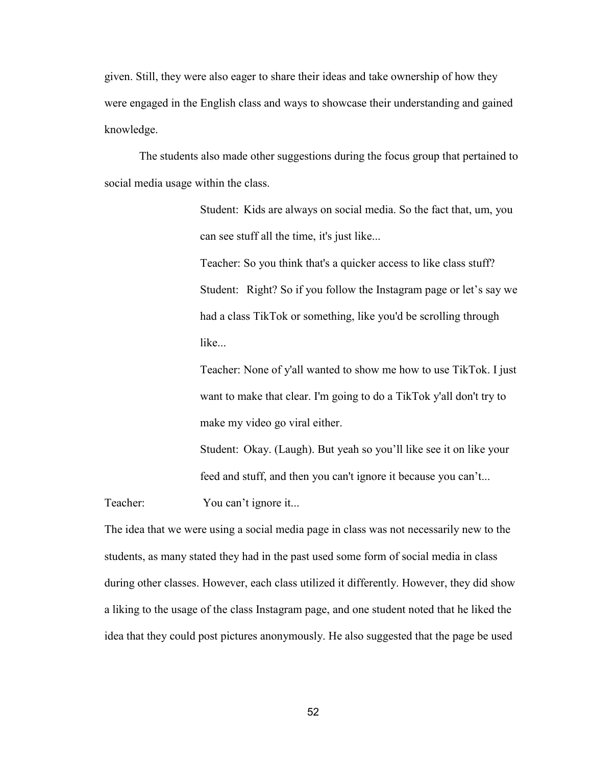given. Still, they were also eager to share their ideas and take ownership of how they were engaged in the English class and ways to showcase their understanding and gained knowledge.

The students also made other suggestions during the focus group that pertained to social media usage within the class.

> Student: Kids are always on social media. So the fact that, um, you can see stuff all the time, it's just like...

Teacher: So you think that's a quicker access to like class stuff? Student: Right? So if you follow the Instagram page or let's say we had a class TikTok or something, like you'd be scrolling through like...

Teacher: None of y'all wanted to show me how to use TikTok. I just want to make that clear. I'm going to do a TikTok y'all don't try to make my video go viral either.

Student: Okay. (Laugh). But yeah so you'll like see it on like your feed and stuff, and then you can't ignore it because you can't...

Teacher: You can't ignore it...

The idea that we were using a social media page in class was not necessarily new to the students, as many stated they had in the past used some form of social media in class during other classes. However, each class utilized it differently. However, they did show a liking to the usage of the class Instagram page, and one student noted that he liked the idea that they could post pictures anonymously. He also suggested that the page be used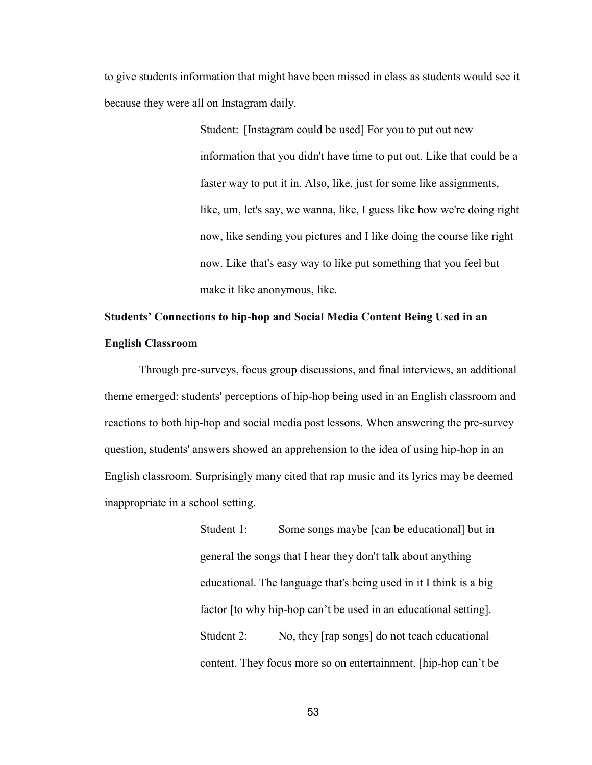to give students information that might have been missed in class as students would see it because they were all on Instagram daily.

> Student: [Instagram could be used] For you to put out new information that you didn't have time to put out. Like that could be a faster way to put it in. Also, like, just for some like assignments, like, um, let's say, we wanna, like, I guess like how we're doing right now, like sending you pictures and I like doing the course like right now. Like that's easy way to like put something that you feel but make it like anonymous, like.

# **Students' Connections to hip-hop and Social Media Content Being Used in an English Classroom**

Through pre-surveys, focus group discussions, and final interviews, an additional theme emerged: students' perceptions of hip-hop being used in an English classroom and reactions to both hip-hop and social media post lessons. When answering the pre-survey question, students' answers showed an apprehension to the idea of using hip-hop in an English classroom. Surprisingly many cited that rap music and its lyrics may be deemed inappropriate in a school setting.

> Student 1: Some songs maybe [can be educational] but in general the songs that I hear they don't talk about anything educational. The language that's being used in it I think is a big factor [to why hip-hop can't be used in an educational setting]. Student 2: No, they [rap songs] do not teach educational content. They focus more so on entertainment. [hip-hop can't be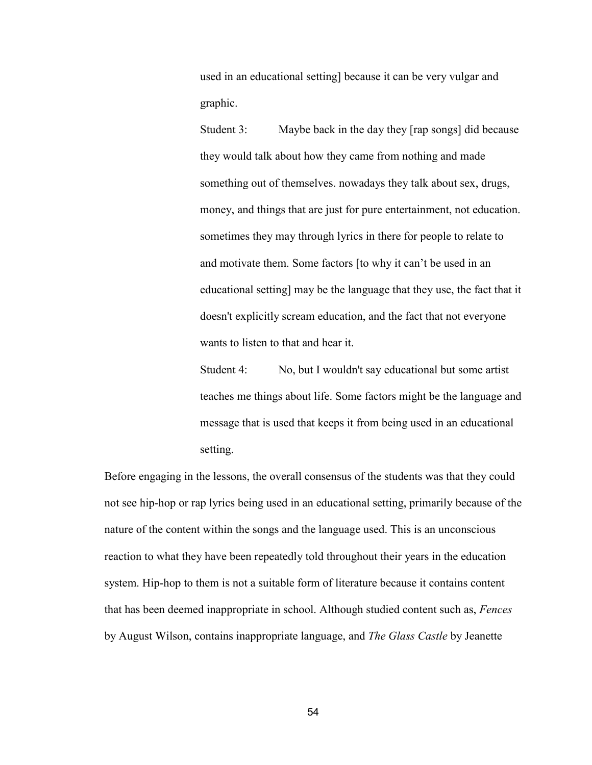used in an educational setting] because it can be very vulgar and graphic.

Student 3: Maybe back in the day they [rap songs] did because they would talk about how they came from nothing and made something out of themselves. nowadays they talk about sex, drugs, money, and things that are just for pure entertainment, not education. sometimes they may through lyrics in there for people to relate to and motivate them. Some factors [to why it can't be used in an educational setting] may be the language that they use, the fact that it doesn't explicitly scream education, and the fact that not everyone wants to listen to that and hear it.

Student 4: No, but I wouldn't say educational but some artist teaches me things about life. Some factors might be the language and message that is used that keeps it from being used in an educational setting.

Before engaging in the lessons, the overall consensus of the students was that they could not see hip-hop or rap lyrics being used in an educational setting, primarily because of the nature of the content within the songs and the language used. This is an unconscious reaction to what they have been repeatedly told throughout their years in the education system. Hip-hop to them is not a suitable form of literature because it contains content that has been deemed inappropriate in school. Although studied content such as, *Fences* by August Wilson, contains inappropriate language, and *The Glass Castle* by Jeanette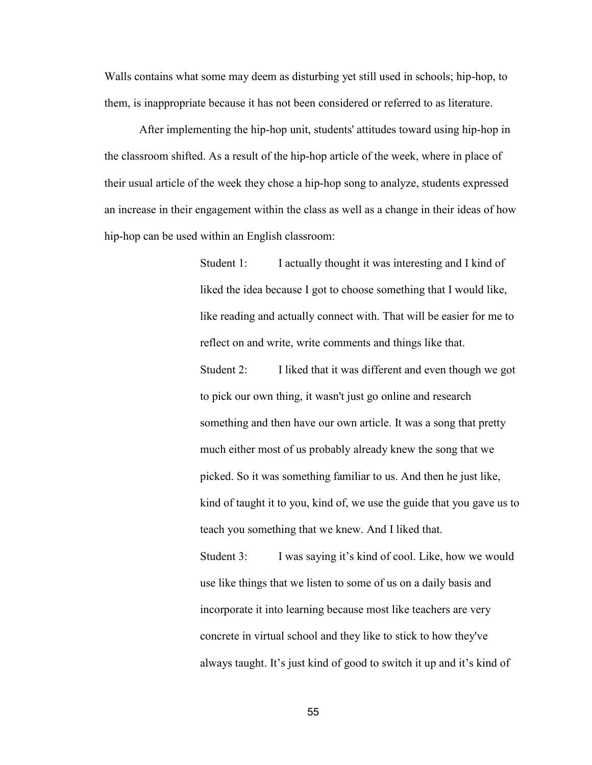Walls contains what some may deem as disturbing yet still used in schools; hip-hop, to them, is inappropriate because it has not been considered or referred to as literature.

After implementing the hip-hop unit, students' attitudes toward using hip-hop in the classroom shifted. As a result of the hip-hop article of the week, where in place of their usual article of the week they chose a hip-hop song to analyze, students expressed an increase in their engagement within the class as well as a change in their ideas of how hip-hop can be used within an English classroom:

> Student 1: I actually thought it was interesting and I kind of liked the idea because I got to choose something that I would like, like reading and actually connect with. That will be easier for me to reflect on and write, write comments and things like that. Student 2: I liked that it was different and even though we got to pick our own thing, it wasn't just go online and research something and then have our own article. It was a song that pretty much either most of us probably already knew the song that we picked. So it was something familiar to us. And then he just like, kind of taught it to you, kind of, we use the guide that you gave us to teach you something that we knew. And I liked that. Student 3: I was saying it's kind of cool. Like, how we would use like things that we listen to some of us on a daily basis and incorporate it into learning because most like teachers are very

always taught. It's just kind of good to switch it up and it's kind of

concrete in virtual school and they like to stick to how they've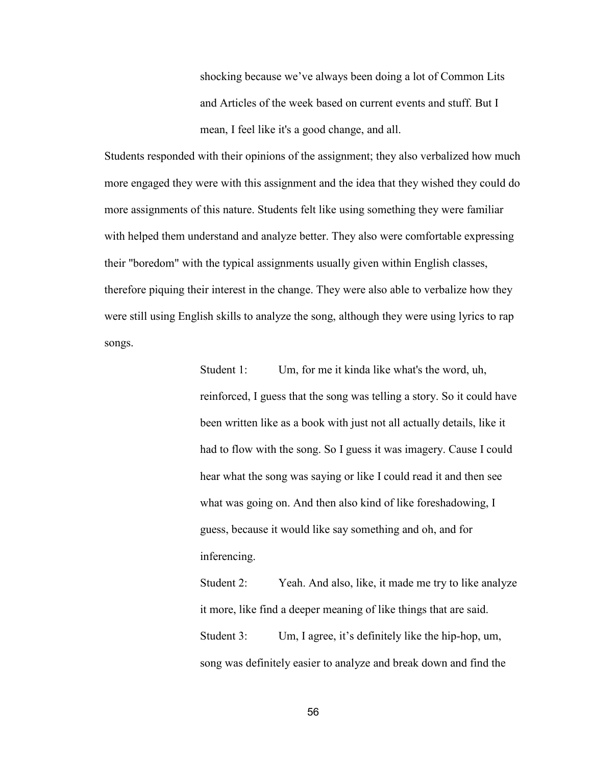shocking because we've always been doing a lot of Common Lits and Articles of the week based on current events and stuff. But I mean, I feel like it's a good change, and all.

Students responded with their opinions of the assignment; they also verbalized how much more engaged they were with this assignment and the idea that they wished they could do more assignments of this nature. Students felt like using something they were familiar with helped them understand and analyze better. They also were comfortable expressing their "boredom" with the typical assignments usually given within English classes, therefore piquing their interest in the change. They were also able to verbalize how they were still using English skills to analyze the song, although they were using lyrics to rap songs.

> Student 1: Um, for me it kinda like what's the word, uh, reinforced, I guess that the song was telling a story. So it could have been written like as a book with just not all actually details, like it had to flow with the song. So I guess it was imagery. Cause I could hear what the song was saying or like I could read it and then see what was going on. And then also kind of like foreshadowing, I guess, because it would like say something and oh, and for inferencing.

> Student 2: Yeah. And also, like, it made me try to like analyze it more, like find a deeper meaning of like things that are said. Student 3: Um, I agree, it's definitely like the hip-hop, um, song was definitely easier to analyze and break down and find the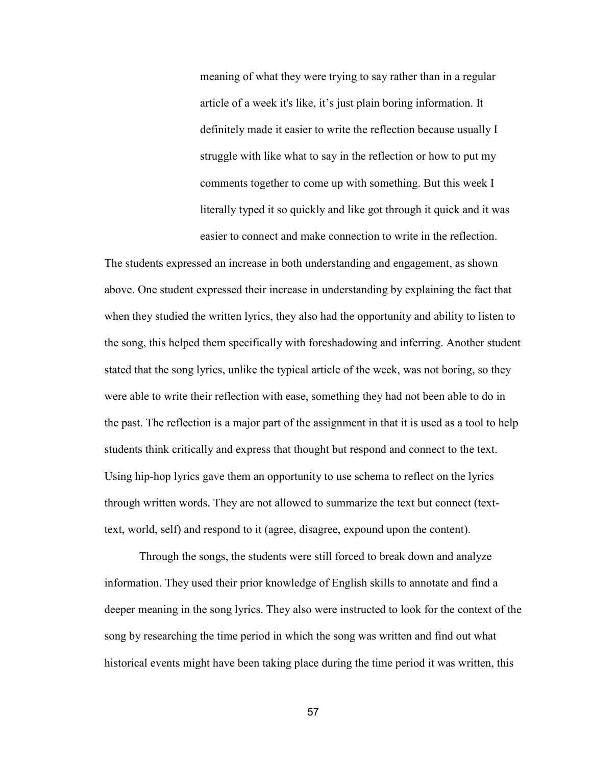meaning of what they were trying to say rather than in a regular article of a week it's like, it's just plain boring information. It definitely made it easier to write the reflection because usually I struggle with like what to say in the reflection or how to put my comments together to come up with something. But this week I literally typed it so quickly and like got through it quick and it was easier to connect and make connection to write in the reflection.

The students expressed an increase in both understanding and engagement, as shown above. One student expressed their increase in understanding by explaining the fact that when they studied the written lyrics, they also had the opportunity and ability to listen to the song, this helped them specifically with foreshadowing and inferring. Another student stated that the song lyrics, unlike the typical article of the week, was not boring, so they were able to write their reflection with ease, something they had not been able to do in the past. The reflection is a major part of the assignment in that it is used as a tool to help students think critically and express that thought but respond and connect to the text. Using hip-hop lyrics gave them an opportunity to use schema to reflect on the lyrics through written words. They are not allowed to summarize the text but connect (texttext, world, self) and respond to it (agree, disagree, expound upon the content).

Through the songs, the students were still forced to break down and analyze information. They used their prior knowledge of English skills to annotate and find a deeper meaning in the song lyrics. They also were instructed to look for the context of the song by researching the time period in which the song was written and find out what historical events might have been taking place during the time period it was written, this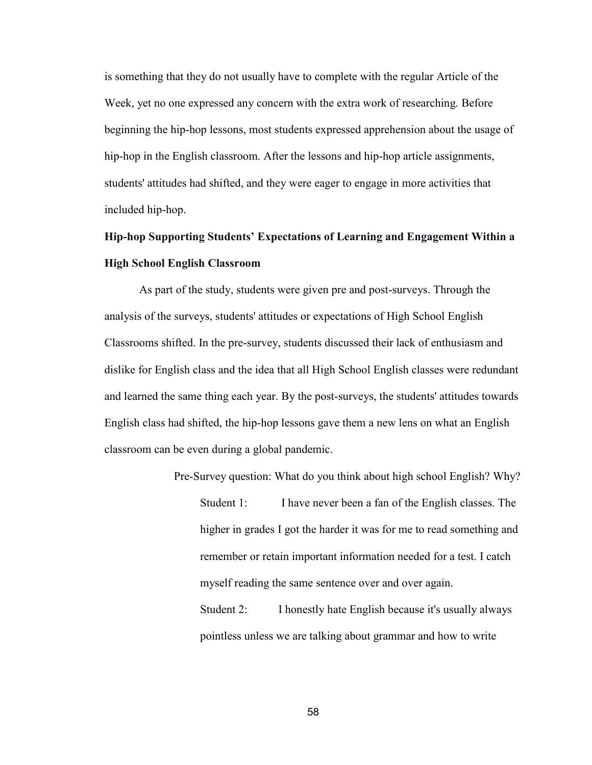is something that they do not usually have to complete with the regular Article of the Week, yet no one expressed any concern with the extra work of researching. Before beginning the hip-hop lessons, most students expressed apprehension about the usage of hip-hop in the English classroom. After the lessons and hip-hop article assignments, students' attitudes had shifted, and they were eager to engage in more activities that included hip-hop.

# **Hip-hop Supporting Students' Expectations of Learning and Engagement Within a High School English Classroom**

As part of the study, students were given pre and post-surveys. Through the analysis of the surveys, students' attitudes or expectations of High School English Classrooms shifted. In the pre-survey, students discussed their lack of enthusiasm and dislike for English class and the idea that all High School English classes were redundant and learned the same thing each year. By the post-surveys, the students' attitudes towards English class had shifted, the hip-hop lessons gave them a new lens on what an English classroom can be even during a global pandemic.

> Pre-Survey question: What do you think about high school English? Why? Student 1: I have never been a fan of the English classes. The higher in grades I got the harder it was for me to read something and remember or retain important information needed for a test. I catch myself reading the same sentence over and over again.

Student 2: I honestly hate English because it's usually always pointless unless we are talking about grammar and how to write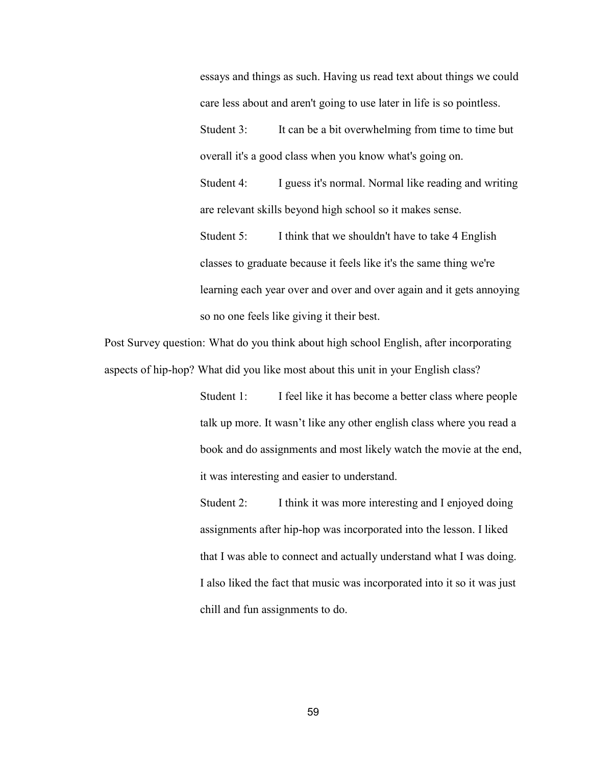essays and things as such. Having us read text about things we could care less about and aren't going to use later in life is so pointless. Student 3: It can be a bit overwhelming from time to time but overall it's a good class when you know what's going on. Student 4: I guess it's normal. Normal like reading and writing are relevant skills beyond high school so it makes sense. Student 5: I think that we shouldn't have to take 4 English classes to graduate because it feels like it's the same thing we're learning each year over and over and over again and it gets annoying so no one feels like giving it their best.

Post Survey question: What do you think about high school English, after incorporating aspects of hip-hop? What did you like most about this unit in your English class?

> Student 1: I feel like it has become a better class where people talk up more. It wasn't like any other english class where you read a book and do assignments and most likely watch the movie at the end, it was interesting and easier to understand.

Student 2: I think it was more interesting and I enjoyed doing assignments after hip-hop was incorporated into the lesson. I liked that I was able to connect and actually understand what I was doing. I also liked the fact that music was incorporated into it so it was just chill and fun assignments to do.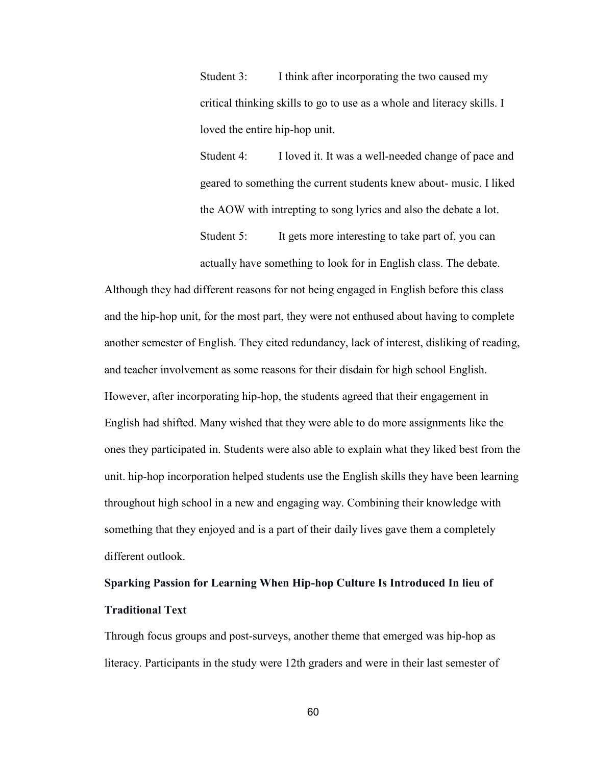Student 3: I think after incorporating the two caused my critical thinking skills to go to use as a whole and literacy skills. I loved the entire hip-hop unit.

Student 4: I loved it. It was a well-needed change of pace and geared to something the current students knew about- music. I liked the AOW with intrepting to song lyrics and also the debate a lot. Student 5: It gets more interesting to take part of, you can actually have something to look for in English class. The debate.

Although they had different reasons for not being engaged in English before this class and the hip-hop unit, for the most part, they were not enthused about having to complete another semester of English. They cited redundancy, lack of interest, disliking of reading, and teacher involvement as some reasons for their disdain for high school English. However, after incorporating hip-hop, the students agreed that their engagement in English had shifted. Many wished that they were able to do more assignments like the ones they participated in. Students were also able to explain what they liked best from the unit. hip-hop incorporation helped students use the English skills they have been learning throughout high school in a new and engaging way. Combining their knowledge with something that they enjoyed and is a part of their daily lives gave them a completely different outlook.

# **Sparking Passion for Learning When Hip-hop Culture Is Introduced In lieu of Traditional Text**

Through focus groups and post-surveys, another theme that emerged was hip-hop as literacy. Participants in the study were 12th graders and were in their last semester of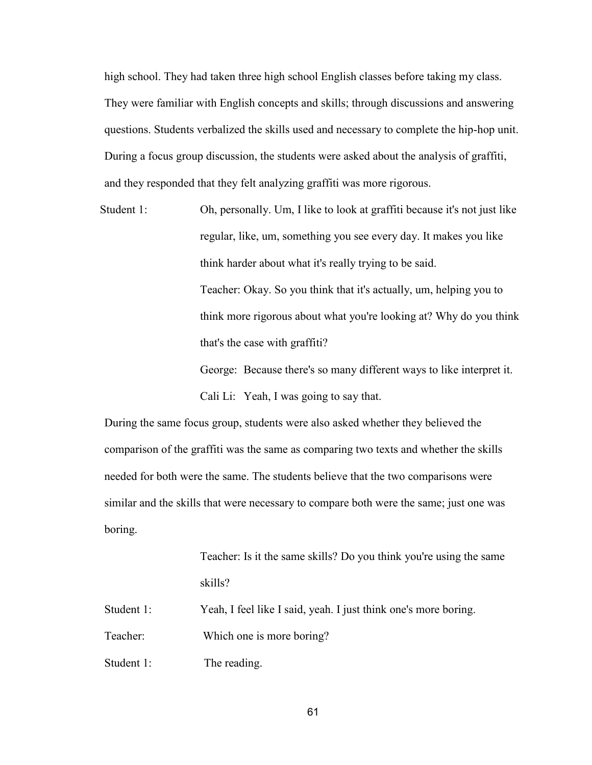high school. They had taken three high school English classes before taking my class. They were familiar with English concepts and skills; through discussions and answering questions. Students verbalized the skills used and necessary to complete the hip-hop unit. During a focus group discussion, the students were asked about the analysis of graffiti, and they responded that they felt analyzing graffiti was more rigorous.

Student 1: Oh, personally. Um, I like to look at graffiti because it's not just like regular, like, um, something you see every day. It makes you like think harder about what it's really trying to be said. Teacher: Okay. So you think that it's actually, um, helping you to think more rigorous about what you're looking at? Why do you think that's the case with graffiti? George: Because there's so many different ways to like interpret it.

Cali Li: Yeah, I was going to say that.

During the same focus group, students were also asked whether they believed the comparison of the graffiti was the same as comparing two texts and whether the skills needed for both were the same. The students believe that the two comparisons were similar and the skills that were necessary to compare both were the same; just one was boring.

> Teacher: Is it the same skills? Do you think you're using the same skills?

| Student 1: |  | Yeah, I feel like I said, yeah. I just think one's more boring. |  |
|------------|--|-----------------------------------------------------------------|--|
|------------|--|-----------------------------------------------------------------|--|

Teacher: Which one is more boring?

Student 1: The reading.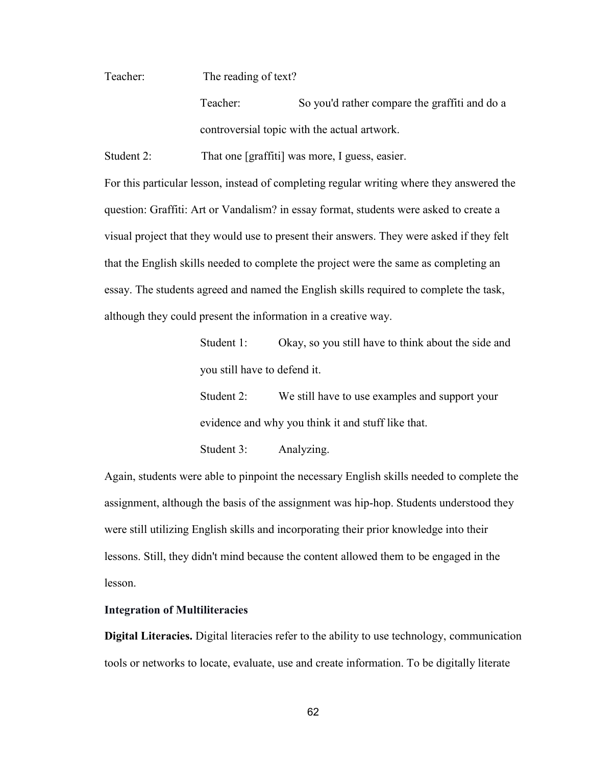Teacher: The reading of text?

Teacher: So you'd rather compare the graffiti and do a controversial topic with the actual artwork.

Student 2: That one [graffiti] was more, I guess, easier.

For this particular lesson, instead of completing regular writing where they answered the question: Graffiti: Art or Vandalism? in essay format, students were asked to create a visual project that they would use to present their answers. They were asked if they felt that the English skills needed to complete the project were the same as completing an essay. The students agreed and named the English skills required to complete the task, although they could present the information in a creative way.

> Student 1: Okay, so you still have to think about the side and you still have to defend it. Student 2: We still have to use examples and support your evidence and why you think it and stuff like that. Student 3: Analyzing.

Again, students were able to pinpoint the necessary English skills needed to complete the assignment, although the basis of the assignment was hip-hop. Students understood they were still utilizing English skills and incorporating their prior knowledge into their lessons. Still, they didn't mind because the content allowed them to be engaged in the lesson.

### **Integration of Multiliteracies**

**Digital Literacies.** Digital literacies refer to the ability to use technology, communication tools or networks to locate, evaluate, use and create information. To be digitally literate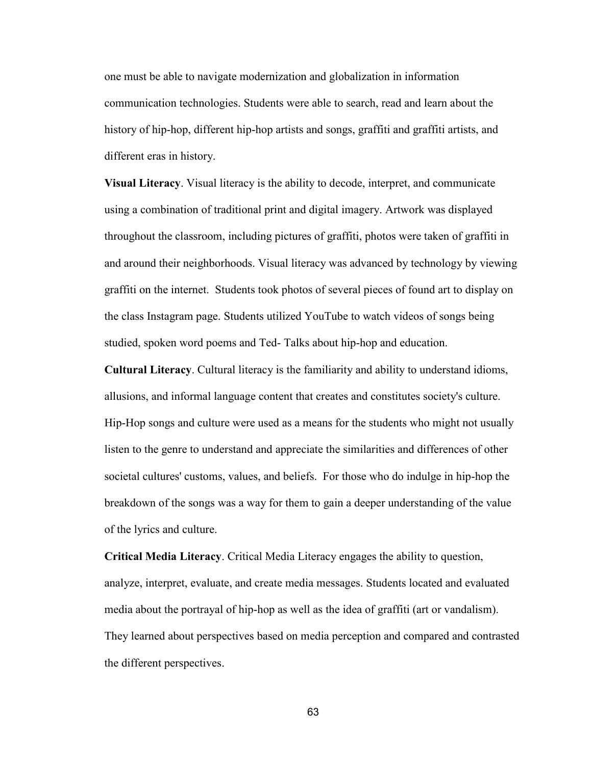one must be able to navigate modernization and globalization in information communication technologies. Students were able to search, read and learn about the history of hip-hop, different hip-hop artists and songs, graffiti and graffiti artists, and different eras in history.

**Visual Literacy**. Visual literacy is the ability to decode, interpret, and communicate using a combination of traditional print and digital imagery. Artwork was displayed throughout the classroom, including pictures of graffiti, photos were taken of graffiti in and around their neighborhoods. Visual literacy was advanced by technology by viewing graffiti on the internet. Students took photos of several pieces of found art to display on the class Instagram page. Students utilized YouTube to watch videos of songs being studied, spoken word poems and Ted- Talks about hip-hop and education.

**Cultural Literacy**. Cultural literacy is the familiarity and ability to understand idioms, allusions, and informal language content that creates and constitutes society's culture. Hip-Hop songs and culture were used as a means for the students who might not usually listen to the genre to understand and appreciate the similarities and differences of other societal cultures' customs, values, and beliefs. For those who do indulge in hip-hop the breakdown of the songs was a way for them to gain a deeper understanding of the value of the lyrics and culture.

**Critical Media Literacy**. Critical Media Literacy engages the ability to question, analyze, interpret, evaluate, and create media messages. Students located and evaluated media about the portrayal of hip-hop as well as the idea of graffiti (art or vandalism). They learned about perspectives based on media perception and compared and contrasted the different perspectives.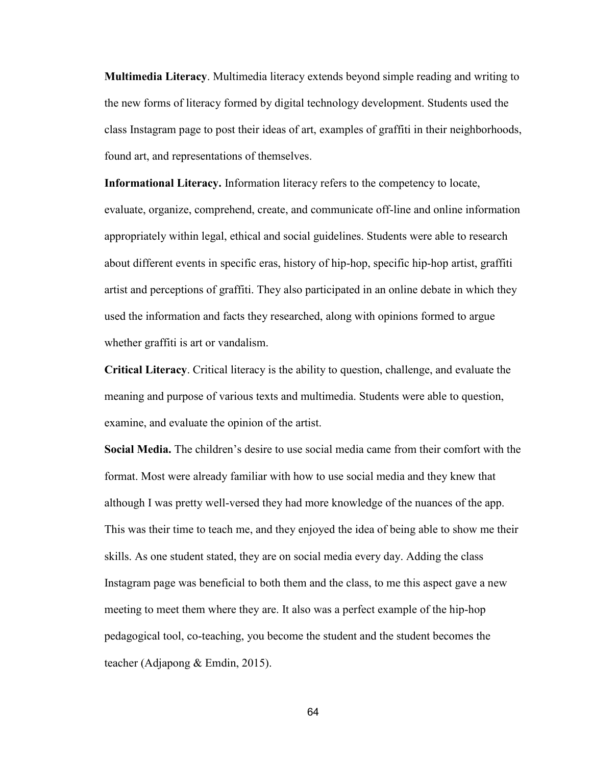**Multimedia Literacy**. Multimedia literacy extends beyond simple reading and writing to the new forms of literacy formed by digital technology development. Students used the class Instagram page to post their ideas of art, examples of graffiti in their neighborhoods, found art, and representations of themselves.

**Informational Literacy.** Information literacy refers to the competency to locate, evaluate, organize, comprehend, create, and communicate off-line and online information appropriately within legal, ethical and social guidelines. Students were able to research about different events in specific eras, history of hip-hop, specific hip-hop artist, graffiti artist and perceptions of graffiti. They also participated in an online debate in which they used the information and facts they researched, along with opinions formed to argue whether graffiti is art or vandalism.

**Critical Literacy**. Critical literacy is the ability to question, challenge, and evaluate the meaning and purpose of various texts and multimedia. Students were able to question, examine, and evaluate the opinion of the artist.

**Social Media.** The children's desire to use social media came from their comfort with the format. Most were already familiar with how to use social media and they knew that although I was pretty well-versed they had more knowledge of the nuances of the app. This was their time to teach me, and they enjoyed the idea of being able to show me their skills. As one student stated, they are on social media every day. Adding the class Instagram page was beneficial to both them and the class, to me this aspect gave a new meeting to meet them where they are. It also was a perfect example of the hip-hop pedagogical tool, co-teaching, you become the student and the student becomes the teacher (Adjapong & Emdin, 2015).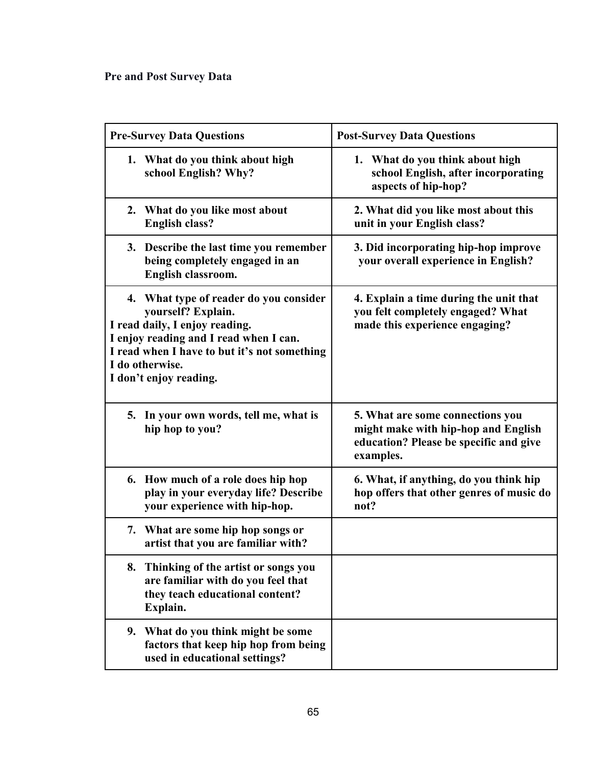# **Pre and Post Survey Data**

| <b>Pre-Survey Data Questions</b>                                                                                                                                                                                                      | <b>Post-Survey Data Questions</b>                                                                                              |
|---------------------------------------------------------------------------------------------------------------------------------------------------------------------------------------------------------------------------------------|--------------------------------------------------------------------------------------------------------------------------------|
| 1. What do you think about high<br>school English? Why?                                                                                                                                                                               | 1. What do you think about high<br>school English, after incorporating<br>aspects of hip-hop?                                  |
| 2. What do you like most about<br><b>English class?</b>                                                                                                                                                                               | 2. What did you like most about this<br>unit in your English class?                                                            |
| 3. Describe the last time you remember<br>being completely engaged in an<br>English classroom.                                                                                                                                        | 3. Did incorporating hip-hop improve<br>your overall experience in English?                                                    |
| 4. What type of reader do you consider<br>yourself? Explain.<br>I read daily, I enjoy reading.<br>I enjoy reading and I read when I can.<br>I read when I have to but it's not something<br>I do otherwise.<br>I don't enjoy reading. | 4. Explain a time during the unit that<br>you felt completely engaged? What<br>made this experience engaging?                  |
| 5. In your own words, tell me, what is<br>hip hop to you?                                                                                                                                                                             | 5. What are some connections you<br>might make with hip-hop and English<br>education? Please be specific and give<br>examples. |
| 6. How much of a role does hip hop<br>play in your everyday life? Describe<br>your experience with hip-hop.                                                                                                                           | 6. What, if anything, do you think hip<br>hop offers that other genres of music do<br>not?                                     |
| 7. What are some hip hop songs or<br>artist that you are familiar with?                                                                                                                                                               |                                                                                                                                |
| 8. Thinking of the artist or songs you<br>are familiar with do you feel that<br>they teach educational content?<br>Explain.                                                                                                           |                                                                                                                                |
| 9. What do you think might be some<br>factors that keep hip hop from being<br>used in educational settings?                                                                                                                           |                                                                                                                                |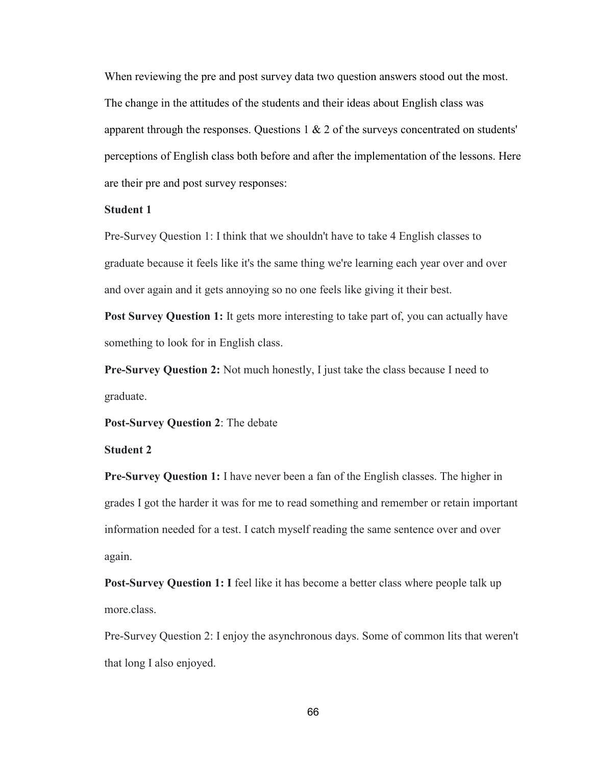When reviewing the pre and post survey data two question answers stood out the most. The change in the attitudes of the students and their ideas about English class was apparent through the responses. Questions  $1 \& 2$  of the surveys concentrated on students' perceptions of English class both before and after the implementation of the lessons. Here are their pre and post survey responses:

# **Student 1**

Pre-Survey Question 1: I think that we shouldn't have to take 4 English classes to graduate because it feels like it's the same thing we're learning each year over and over and over again and it gets annoying so no one feels like giving it their best.

**Post Survey Question 1:** It gets more interesting to take part of, you can actually have something to look for in English class.

**Pre-Survey Question 2:** Not much honestly, I just take the class because I need to graduate.

**Post-Survey Question 2**: The debate

### **Student 2**

**Pre-Survey Question 1:** I have never been a fan of the English classes. The higher in grades I got the harder it was for me to read something and remember or retain important information needed for a test. I catch myself reading the same sentence over and over again.

**Post-Survey Question 1: I** feel like it has become a better class where people talk up more.class.

Pre-Survey Question 2: I enjoy the asynchronous days. Some of common lits that weren't that long I also enjoyed.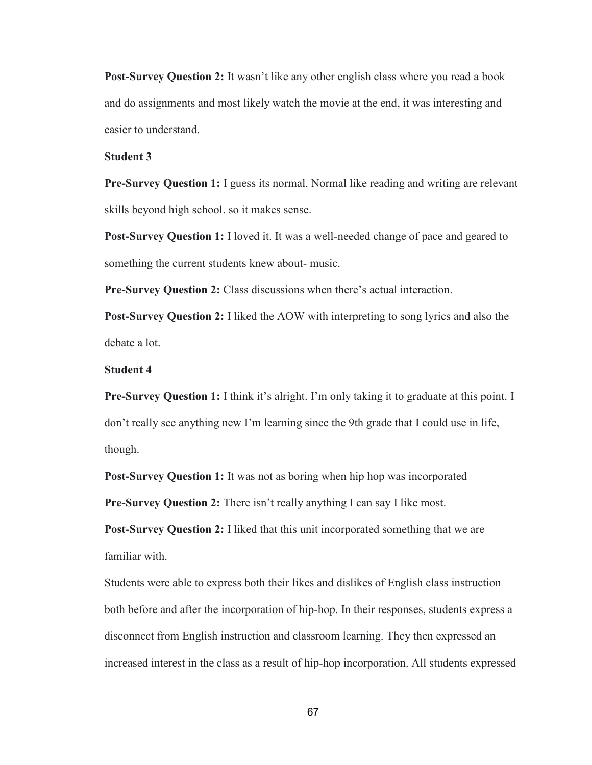**Post-Survey Question 2:** It wasn't like any other english class where you read a book and do assignments and most likely watch the movie at the end, it was interesting and easier to understand.

#### **Student 3**

**Pre-Survey Question 1:** I guess its normal. Normal like reading and writing are relevant skills beyond high school. so it makes sense.

**Post-Survey Question 1:** I loved it. It was a well-needed change of pace and geared to something the current students knew about- music.

**Pre-Survey Question 2:** Class discussions when there's actual interaction.

**Post-Survey Question 2:** I liked the AOW with interpreting to song lyrics and also the debate a lot.

# **Student 4**

**Pre-Survey Question 1:** I think it's alright. I'm only taking it to graduate at this point. I don't really see anything new I'm learning since the 9th grade that I could use in life, though.

**Post-Survey Question 1:** It was not as boring when hip hop was incorporated **Pre-Survey Question 2:** There isn't really anything I can say I like most.

**Post-Survey Question 2:** I liked that this unit incorporated something that we are familiar with.

Students were able to express both their likes and dislikes of English class instruction both before and after the incorporation of hip-hop. In their responses, students express a disconnect from English instruction and classroom learning. They then expressed an increased interest in the class as a result of hip-hop incorporation. All students expressed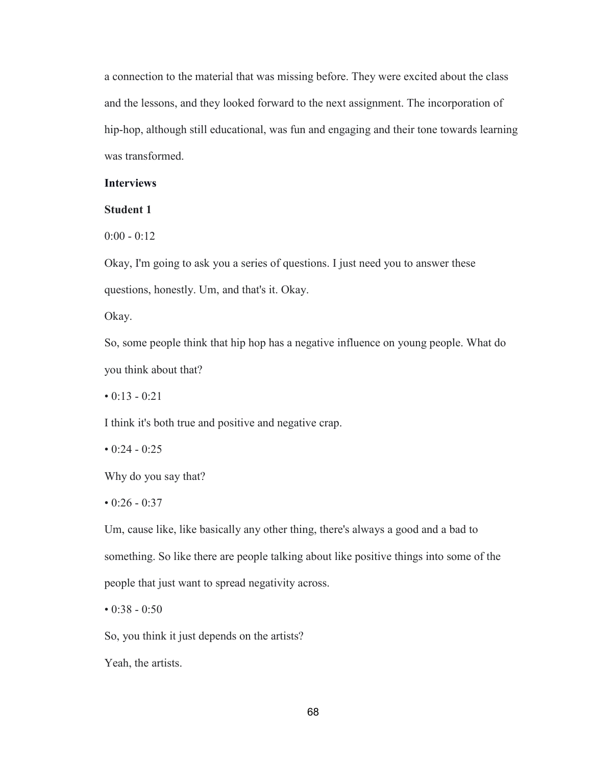a connection to the material that was missing before. They were excited about the class and the lessons, and they looked forward to the next assignment. The incorporation of hip-hop, although still educational, was fun and engaging and their tone towards learning was transformed.

# **Interviews**

#### **Student 1**

 $0:00 - 0:12$ 

Okay, I'm going to ask you a series of questions. I just need you to answer these questions, honestly. Um, and that's it. Okay.

Okay.

So, some people think that hip hop has a negative influence on young people. What do you think about that?

 $• 0:13 - 0:21$ 

I think it's both true and positive and negative crap.

 $• 0:24 - 0:25$ 

Why do you say that?

 $• 0:26 - 0:37$ 

Um, cause like, like basically any other thing, there's always a good and a bad to something. So like there are people talking about like positive things into some of the people that just want to spread negativity across.

 $• 0:38 - 0:50$ 

So, you think it just depends on the artists?

Yeah, the artists.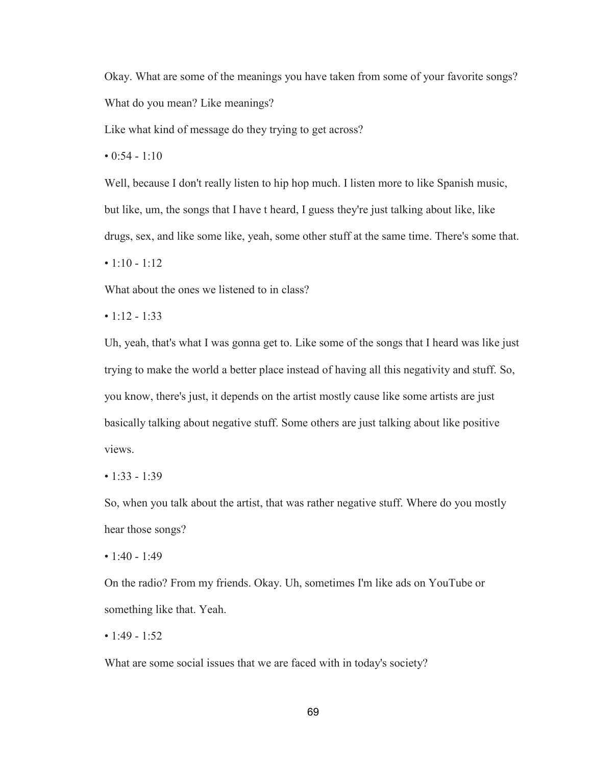Okay. What are some of the meanings you have taken from some of your favorite songs? What do you mean? Like meanings?

Like what kind of message do they trying to get across?

 $• 0:54 - 1:10$ 

Well, because I don't really listen to hip hop much. I listen more to like Spanish music, but like, um, the songs that I have t heard, I guess they're just talking about like, like drugs, sex, and like some like, yeah, some other stuff at the same time. There's some that.

 $\cdot$  1:10 - 1:12

What about the ones we listened to in class?

 $• 1:12 - 1:33$ 

Uh, yeah, that's what I was gonna get to. Like some of the songs that I heard was like just trying to make the world a better place instead of having all this negativity and stuff. So, you know, there's just, it depends on the artist mostly cause like some artists are just basically talking about negative stuff. Some others are just talking about like positive views.

• 1:33 - 1:39

So, when you talk about the artist, that was rather negative stuff. Where do you mostly hear those songs?

 $• 1:40 - 1:49$ 

On the radio? From my friends. Okay. Uh, sometimes I'm like ads on YouTube or something like that. Yeah.

• 1:49 - 1:52

What are some social issues that we are faced with in today's society?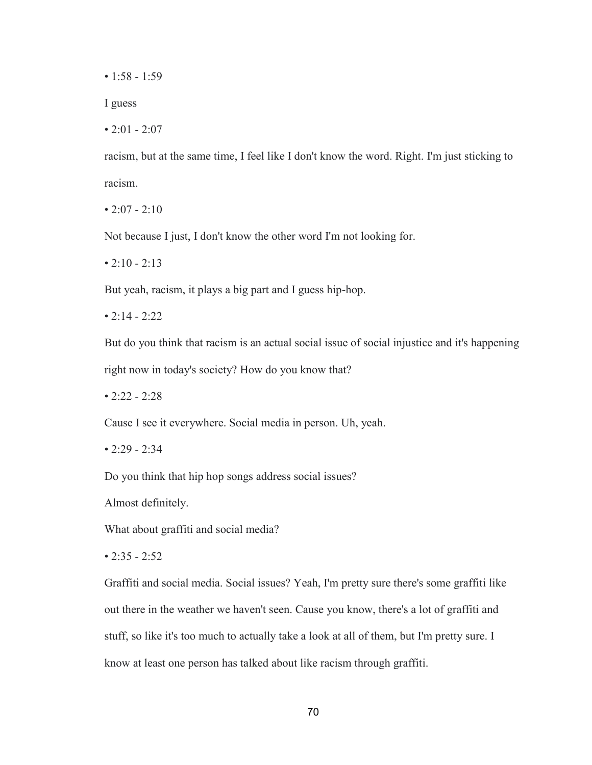$• 1:58 - 1:59$ 

I guess

• 2:01 - 2:07

racism, but at the same time, I feel like I don't know the word. Right. I'm just sticking to racism.

 $• 2:07 - 2:10$ 

Not because I just, I don't know the other word I'm not looking for.

• 2:10 - 2:13

But yeah, racism, it plays a big part and I guess hip-hop.

 $• 2:14 - 2:22$ 

But do you think that racism is an actual social issue of social injustice and it's happening right now in today's society? How do you know that?

 $• 2:22 - 2:28$ 

Cause I see it everywhere. Social media in person. Uh, yeah.

• 2:29 - 2:34

Do you think that hip hop songs address social issues?

Almost definitely.

What about graffiti and social media?

• 2:35 - 2:52

Graffiti and social media. Social issues? Yeah, I'm pretty sure there's some graffiti like out there in the weather we haven't seen. Cause you know, there's a lot of graffiti and stuff, so like it's too much to actually take a look at all of them, but I'm pretty sure. I know at least one person has talked about like racism through graffiti.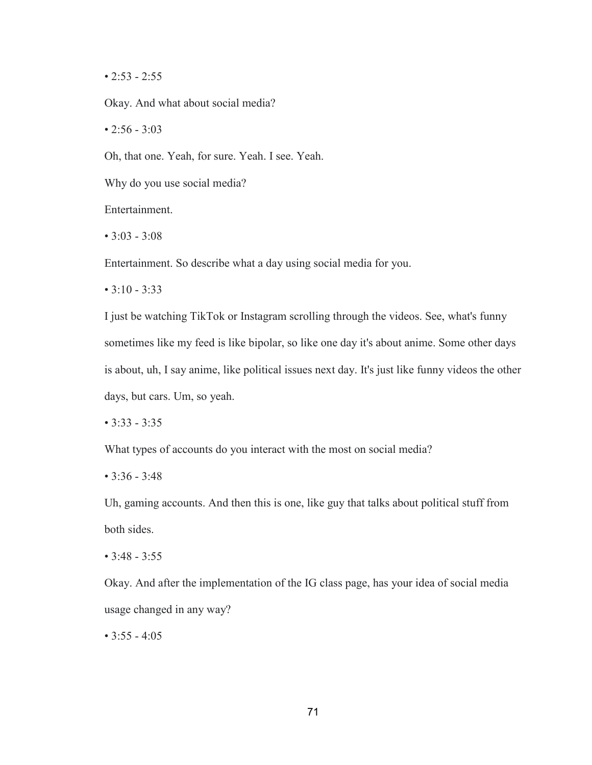$• 2:53 - 2:55$ 

Okay. And what about social media?

 $• 2:56 - 3:03$ 

Oh, that one. Yeah, for sure. Yeah. I see. Yeah.

Why do you use social media?

Entertainment.

 $• 3:03 - 3:08$ 

Entertainment. So describe what a day using social media for you.

• 3:10 - 3:33

I just be watching TikTok or Instagram scrolling through the videos. See, what's funny sometimes like my feed is like bipolar, so like one day it's about anime. Some other days is about, uh, I say anime, like political issues next day. It's just like funny videos the other days, but cars. Um, so yeah.

 $• 3:33 - 3:35$ 

What types of accounts do you interact with the most on social media?

• 3:36 - 3:48

Uh, gaming accounts. And then this is one, like guy that talks about political stuff from both sides.

• 3:48 - 3:55

Okay. And after the implementation of the IG class page, has your idea of social media usage changed in any way?

 $• 3:55 - 4:05$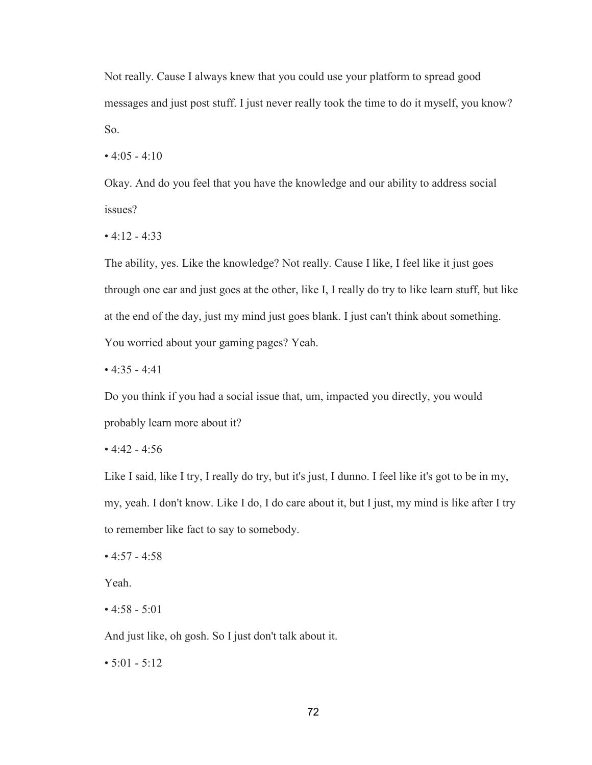Not really. Cause I always knew that you could use your platform to spread good messages and just post stuff. I just never really took the time to do it myself, you know? So.

 $• 4:05 - 4:10$ 

Okay. And do you feel that you have the knowledge and our ability to address social issues?

 $\cdot$  4:12 - 4:33

The ability, yes. Like the knowledge? Not really. Cause I like, I feel like it just goes through one ear and just goes at the other, like I, I really do try to like learn stuff, but like at the end of the day, just my mind just goes blank. I just can't think about something. You worried about your gaming pages? Yeah.

 $• 4:35 - 4:41$ 

Do you think if you had a social issue that, um, impacted you directly, you would probably learn more about it?

 $• 4:42 - 4:56$ 

Like I said, like I try, I really do try, but it's just, I dunno. I feel like it's got to be in my, my, yeah. I don't know. Like I do, I do care about it, but I just, my mind is like after I try to remember like fact to say to somebody.

 $• 4:57 - 4:58$ 

Yeah.

 $• 4:58 - 5:01$ 

And just like, oh gosh. So I just don't talk about it.

 $• 5:01 - 5:12$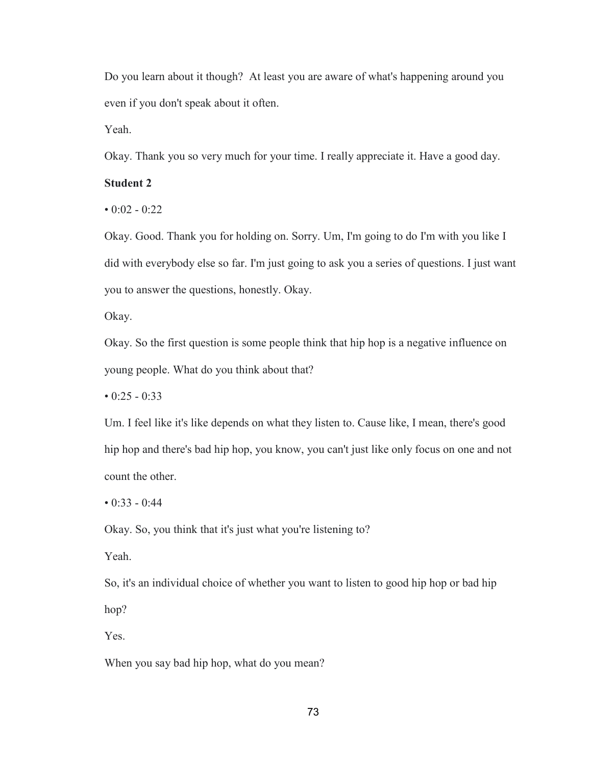Do you learn about it though? At least you are aware of what's happening around you even if you don't speak about it often.

Yeah.

Okay. Thank you so very much for your time. I really appreciate it. Have a good day.

# **Student 2**

 $• 0:02 - 0:22$ 

Okay. Good. Thank you for holding on. Sorry. Um, I'm going to do I'm with you like I did with everybody else so far. I'm just going to ask you a series of questions. I just want you to answer the questions, honestly. Okay.

Okay.

Okay. So the first question is some people think that hip hop is a negative influence on young people. What do you think about that?

 $• 0:25 - 0:33$ 

Um. I feel like it's like depends on what they listen to. Cause like, I mean, there's good hip hop and there's bad hip hop, you know, you can't just like only focus on one and not count the other.

 $• 0:33 - 0:44$ 

Okay. So, you think that it's just what you're listening to?

Yeah.

So, it's an individual choice of whether you want to listen to good hip hop or bad hip hop?

Yes.

When you say bad hip hop, what do you mean?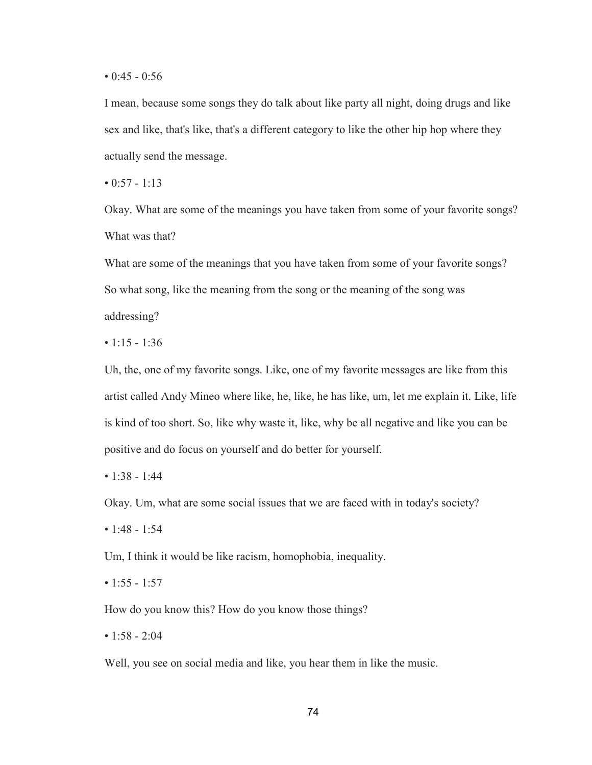$• 0:45 - 0:56$ 

I mean, because some songs they do talk about like party all night, doing drugs and like sex and like, that's like, that's a different category to like the other hip hop where they actually send the message.

 $• 0:57 - 1:13$ 

Okay. What are some of the meanings you have taken from some of your favorite songs? What was that?

What are some of the meanings that you have taken from some of your favorite songs? So what song, like the meaning from the song or the meaning of the song was addressing?

• 1:15 - 1:36

Uh, the, one of my favorite songs. Like, one of my favorite messages are like from this artist called Andy Mineo where like, he, like, he has like, um, let me explain it. Like, life is kind of too short. So, like why waste it, like, why be all negative and like you can be positive and do focus on yourself and do better for yourself.

• 1:38 - 1:44

Okay. Um, what are some social issues that we are faced with in today's society?

• 1:48 - 1:54

Um, I think it would be like racism, homophobia, inequality.

 $• 1:55 - 1:57$ 

How do you know this? How do you know those things?

• 1:58 - 2:04

Well, you see on social media and like, you hear them in like the music.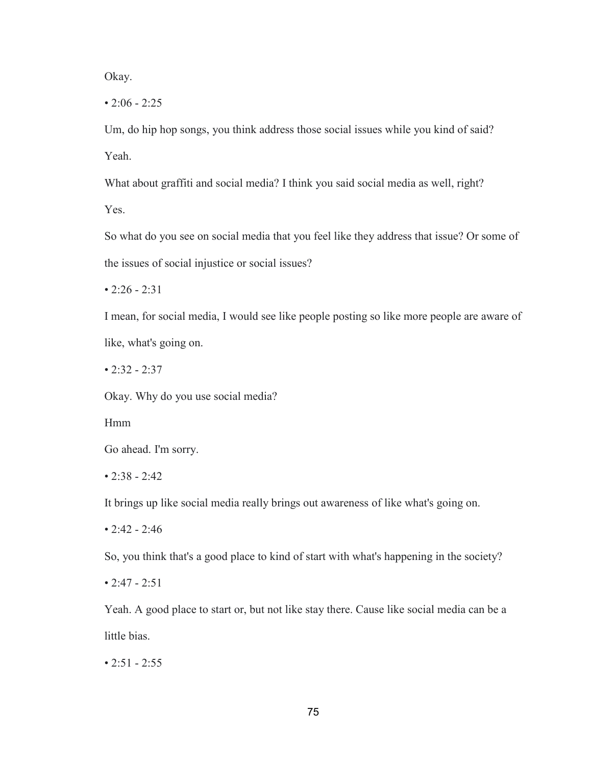Okay.

 $\cdot$  2:06 - 2:25

Um, do hip hop songs, you think address those social issues while you kind of said? Yeah.

What about graffiti and social media? I think you said social media as well, right? Yes.

So what do you see on social media that you feel like they address that issue? Or some of the issues of social injustice or social issues?

 $• 2:26 - 2:31$ 

I mean, for social media, I would see like people posting so like more people are aware of like, what's going on.

 $• 2:32 - 2:37$ 

Okay. Why do you use social media?

Hmm

Go ahead. I'm sorry.

• 2:38 - 2:42

It brings up like social media really brings out awareness of like what's going on.

 $• 2:42 - 2:46$ 

So, you think that's a good place to kind of start with what's happening in the society?

 $• 2:47 - 2:51$ 

Yeah. A good place to start or, but not like stay there. Cause like social media can be a little bias.

 $• 2:51 - 2:55$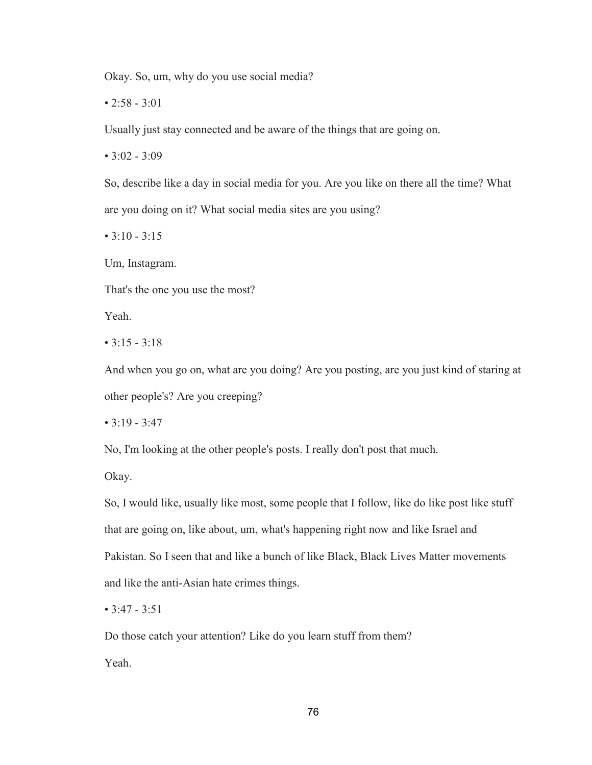Okay. So, um, why do you use social media?

 $• 2:58 - 3:01$ 

Usually just stay connected and be aware of the things that are going on.

• 3:02 - 3:09

So, describe like a day in social media for you. Are you like on there all the time? What are you doing on it? What social media sites are you using?

 $• 3:10 - 3:15$ 

Um, Instagram.

That's the one you use the most?

Yeah.

• 3:15 - 3:18

And when you go on, what are you doing? Are you posting, are you just kind of staring at other people's? Are you creeping?

 $• 3:19 - 3:47$ 

No, I'm looking at the other people's posts. I really don't post that much.

Okay.

So, I would like, usually like most, some people that I follow, like do like post like stuff that are going on, like about, um, what's happening right now and like Israel and Pakistan. So I seen that and like a bunch of like Black, Black Lives Matter movements and like the anti-Asian hate crimes things.

 $• 3:47 - 3:51$ 

Do those catch your attention? Like do you learn stuff from them? Yeah.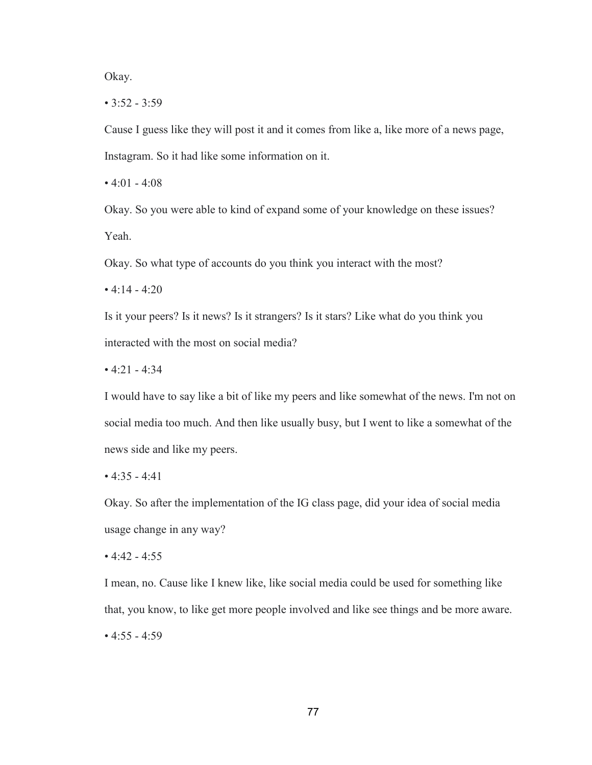Okay.

 $• 3:52 - 3:59$ 

Cause I guess like they will post it and it comes from like a, like more of a news page, Instagram. So it had like some information on it.

 $• 4:01 - 4:08$ 

Okay. So you were able to kind of expand some of your knowledge on these issues? Yeah.

Okay. So what type of accounts do you think you interact with the most?

 $• 4:14 - 4:20$ 

Is it your peers? Is it news? Is it strangers? Is it stars? Like what do you think you interacted with the most on social media?

 $• 4:21 - 4:34$ 

I would have to say like a bit of like my peers and like somewhat of the news. I'm not on social media too much. And then like usually busy, but I went to like a somewhat of the news side and like my peers.

• 4:35 - 4:41

Okay. So after the implementation of the IG class page, did your idea of social media usage change in any way?

 $• 4:42 - 4:55$ 

I mean, no. Cause like I knew like, like social media could be used for something like that, you know, to like get more people involved and like see things and be more aware.  $• 4:55 - 4:59$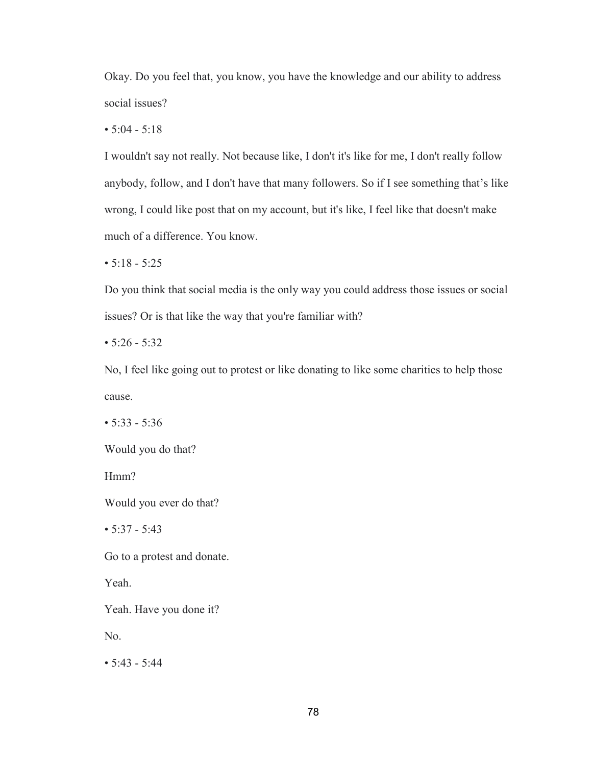Okay. Do you feel that, you know, you have the knowledge and our ability to address social issues?

 $• 5:04 - 5:18$ 

I wouldn't say not really. Not because like, I don't it's like for me, I don't really follow anybody, follow, and I don't have that many followers. So if I see something that's like wrong, I could like post that on my account, but it's like, I feel like that doesn't make much of a difference. You know.

 $• 5:18 - 5:25$ 

Do you think that social media is the only way you could address those issues or social issues? Or is that like the way that you're familiar with?

• 5:26 - 5:32

No, I feel like going out to protest or like donating to like some charities to help those cause.

 $• 5:33 - 5:36$ 

Would you do that?

Hmm?

Would you ever do that?

 $• 5:37 - 5:43$ 

Go to a protest and donate.

Yeah.

Yeah. Have you done it?

No.

 $• 5:43 - 5:44$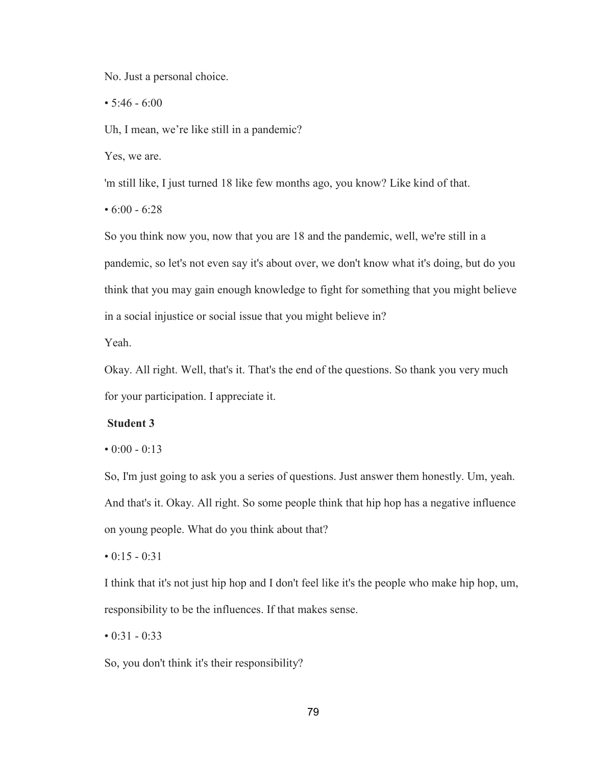No. Just a personal choice.

 $\cdot$  5:46 - 6:00

Uh, I mean, we're like still in a pandemic?

Yes, we are.

'm still like, I just turned 18 like few months ago, you know? Like kind of that.

 $• 6:00 - 6:28$ 

So you think now you, now that you are 18 and the pandemic, well, we're still in a pandemic, so let's not even say it's about over, we don't know what it's doing, but do you think that you may gain enough knowledge to fight for something that you might believe in a social injustice or social issue that you might believe in?

Yeah.

Okay. All right. Well, that's it. That's the end of the questions. So thank you very much for your participation. I appreciate it.

#### **Student 3**

 $• 0:00 - 0:13$ 

So, I'm just going to ask you a series of questions. Just answer them honestly. Um, yeah. And that's it. Okay. All right. So some people think that hip hop has a negative influence on young people. What do you think about that?

 $• 0:15 - 0:31$ 

I think that it's not just hip hop and I don't feel like it's the people who make hip hop, um, responsibility to be the influences. If that makes sense.

 $• 0:31 - 0:33$ 

So, you don't think it's their responsibility?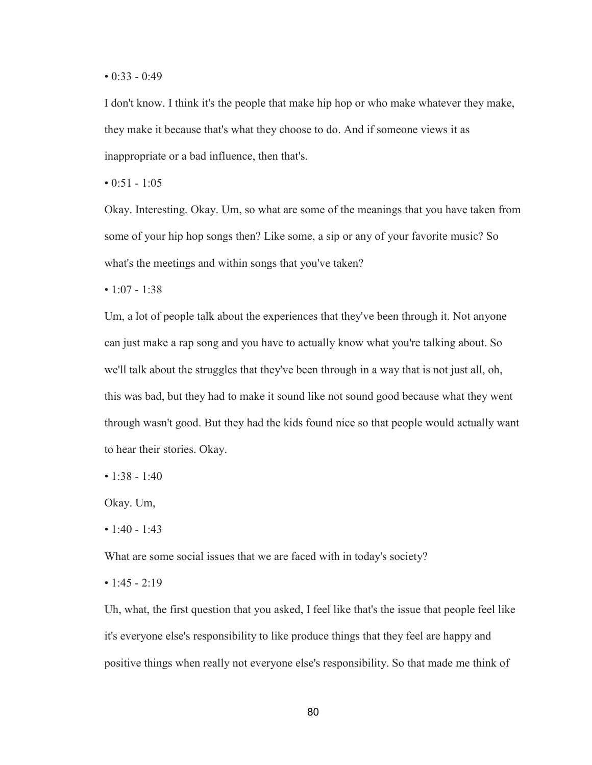#### $• 0:33 - 0:49$

I don't know. I think it's the people that make hip hop or who make whatever they make, they make it because that's what they choose to do. And if someone views it as inappropriate or a bad influence, then that's.

 $• 0:51 - 1:05$ 

Okay. Interesting. Okay. Um, so what are some of the meanings that you have taken from some of your hip hop songs then? Like some, a sip or any of your favorite music? So what's the meetings and within songs that you've taken?

 $• 1:07 - 1:38$ 

Um, a lot of people talk about the experiences that they've been through it. Not anyone can just make a rap song and you have to actually know what you're talking about. So we'll talk about the struggles that they've been through in a way that is not just all, oh, this was bad, but they had to make it sound like not sound good because what they went through wasn't good. But they had the kids found nice so that people would actually want to hear their stories. Okay.

 $• 1:38 - 1:40$ 

Okay. Um,

 $• 1:40 - 1:43$ 

What are some social issues that we are faced with in today's society?

 $• 1:45 - 2:19$ 

Uh, what, the first question that you asked, I feel like that's the issue that people feel like it's everyone else's responsibility to like produce things that they feel are happy and positive things when really not everyone else's responsibility. So that made me think of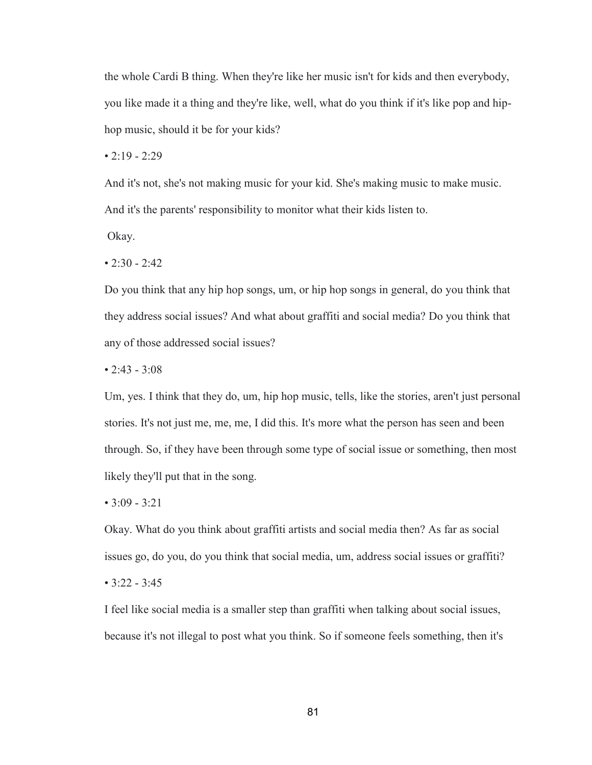the whole Cardi B thing. When they're like her music isn't for kids and then everybody, you like made it a thing and they're like, well, what do you think if it's like pop and hiphop music, should it be for your kids?

 $• 2:19 - 2:29$ 

And it's not, she's not making music for your kid. She's making music to make music. And it's the parents' responsibility to monitor what their kids listen to.

Okay.

 $• 2:30 - 2:42$ 

Do you think that any hip hop songs, um, or hip hop songs in general, do you think that they address social issues? And what about graffiti and social media? Do you think that any of those addressed social issues?

 $• 2:43 - 3:08$ 

Um, yes. I think that they do, um, hip hop music, tells, like the stories, aren't just personal stories. It's not just me, me, me, I did this. It's more what the person has seen and been through. So, if they have been through some type of social issue or something, then most likely they'll put that in the song.

 $• 3:09 - 3:21$ 

Okay. What do you think about graffiti artists and social media then? As far as social issues go, do you, do you think that social media, um, address social issues or graffiti?

 $• 3:22 - 3:45$ 

I feel like social media is a smaller step than graffiti when talking about social issues, because it's not illegal to post what you think. So if someone feels something, then it's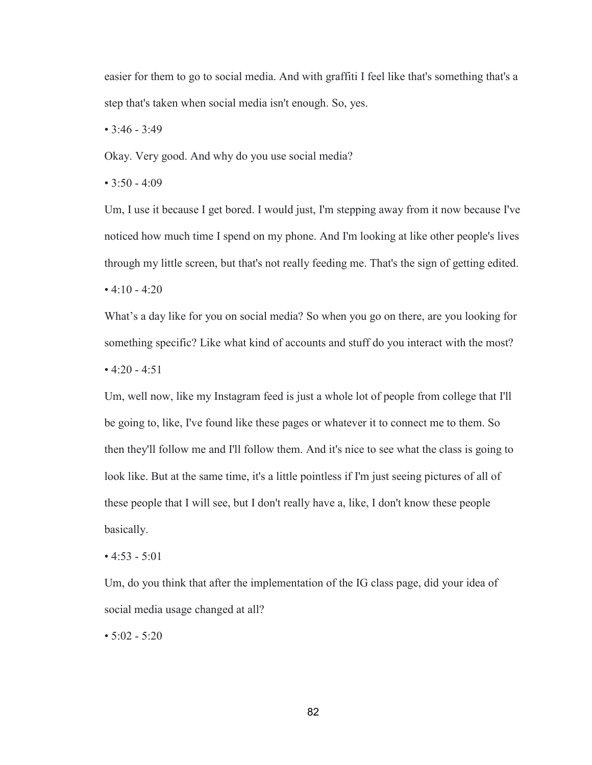easier for them to go to social media. And with graffiti I feel like that's something that's a step that's taken when social media isn't enough. So, yes.

 $• 3:46 - 3:49$ 

Okay. Very good. And why do you use social media?

 $• 3:50 - 4:09$ 

Um, I use it because I get bored. I would just, I'm stepping away from it now because I've noticed how much time I spend on my phone. And I'm looking at like other people's lives through my little screen, but that's not really feeding me. That's the sign of getting edited.  $\cdot$  4:10 - 4:20

What's a day like for you on social media? So when you go on there, are you looking for something specific? Like what kind of accounts and stuff do you interact with the most?  $• 4:20 - 4:51$ 

Um, well now, like my Instagram feed is just a whole lot of people from college that I'll be going to, like, I've found like these pages or whatever it to connect me to them. So then they'll follow me and I'll follow them. And it's nice to see what the class is going to look like. But at the same time, it's a little pointless if I'm just seeing pictures of all of these people that I will see, but I don't really have a, like, I don't know these people basically.

 $• 4:53 - 5:01$ 

Um, do you think that after the implementation of the IG class page, did your idea of social media usage changed at all?

 $• 5:02 - 5:20$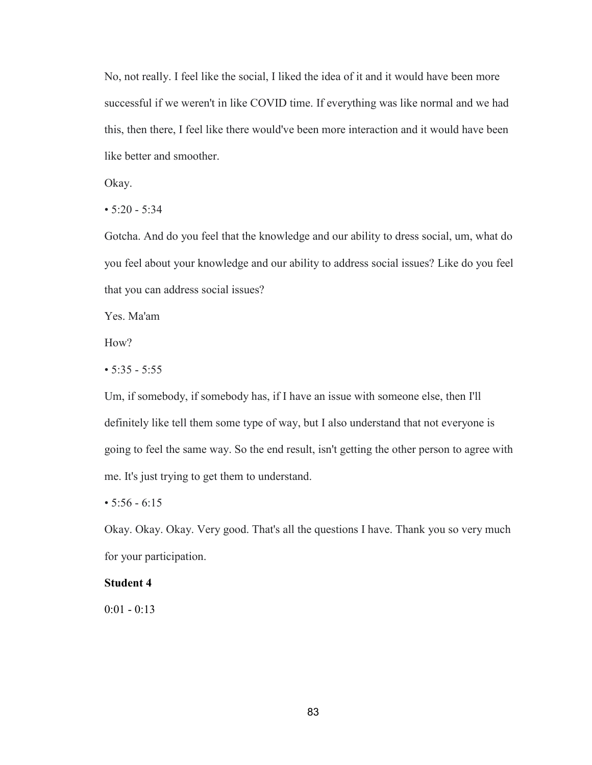No, not really. I feel like the social, I liked the idea of it and it would have been more successful if we weren't in like COVID time. If everything was like normal and we had this, then there, I feel like there would've been more interaction and it would have been like better and smoother.

Okay.

• 5:20 - 5:34

Gotcha. And do you feel that the knowledge and our ability to dress social, um, what do you feel about your knowledge and our ability to address social issues? Like do you feel that you can address social issues?

Yes. Ma'am

How?

 $• 5:35 - 5:55$ 

Um, if somebody, if somebody has, if I have an issue with someone else, then I'll definitely like tell them some type of way, but I also understand that not everyone is going to feel the same way. So the end result, isn't getting the other person to agree with me. It's just trying to get them to understand.

 $• 5:56 - 6:15$ 

Okay. Okay. Okay. Very good. That's all the questions I have. Thank you so very much for your participation.

## **Student 4**

0:01 - 0:13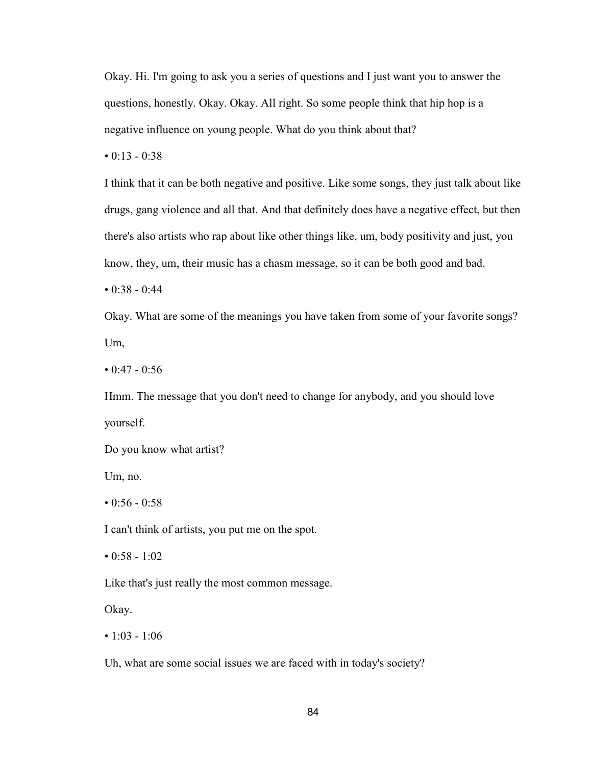Okay. Hi. I'm going to ask you a series of questions and I just want you to answer the questions, honestly. Okay. Okay. All right. So some people think that hip hop is a negative influence on young people. What do you think about that?

 $• 0:13 - 0:38$ 

I think that it can be both negative and positive. Like some songs, they just talk about like drugs, gang violence and all that. And that definitely does have a negative effect, but then there's also artists who rap about like other things like, um, body positivity and just, you know, they, um, their music has a chasm message, so it can be both good and bad.

• 0:38 - 0:44

Okay. What are some of the meanings you have taken from some of your favorite songs? Um,

 $\cdot$  0:47 - 0:56

Hmm. The message that you don't need to change for anybody, and you should love yourself.

Do you know what artist?

Um, no.

 $• 0:56 - 0:58$ 

I can't think of artists, you put me on the spot.

• 0:58 - 1:02

Like that's just really the most common message.

Okay.

 $\cdot$  1:03 - 1:06

Uh, what are some social issues we are faced with in today's society?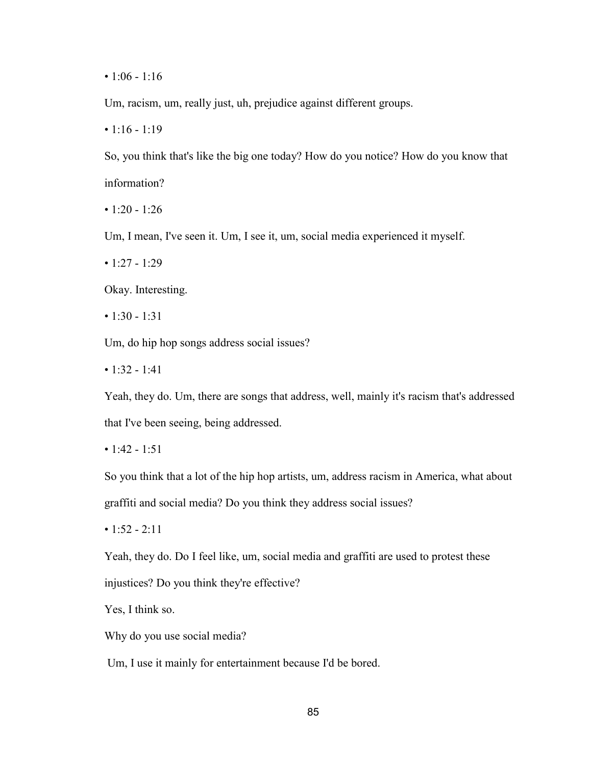$• 1:06 - 1:16$ 

Um, racism, um, really just, uh, prejudice against different groups.

 $• 1:16 - 1:19$ 

So, you think that's like the big one today? How do you notice? How do you know that information?

• 1:20 - 1:26

Um, I mean, I've seen it. Um, I see it, um, social media experienced it myself.

• 1:27 - 1:29

Okay. Interesting.

• 1:30 - 1:31

Um, do hip hop songs address social issues?

• 1:32 - 1:41

Yeah, they do. Um, there are songs that address, well, mainly it's racism that's addressed that I've been seeing, being addressed.

• 1:42 - 1:51

So you think that a lot of the hip hop artists, um, address racism in America, what about graffiti and social media? Do you think they address social issues?

 $• 1:52 - 2:11$ 

Yeah, they do. Do I feel like, um, social media and graffiti are used to protest these

injustices? Do you think they're effective?

Yes, I think so.

Why do you use social media?

Um, I use it mainly for entertainment because I'd be bored.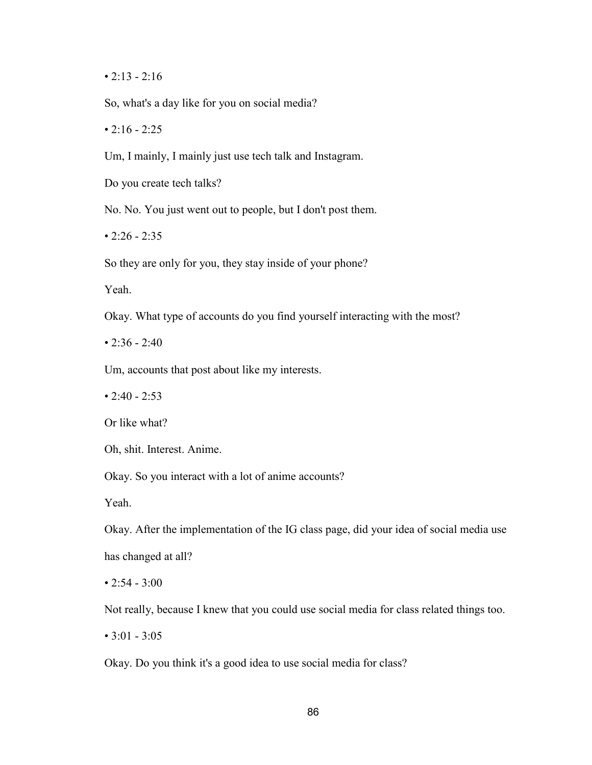$• 2:13 - 2:16$ 

So, what's a day like for you on social media?

 $\cdot$  2:16 - 2:25

Um, I mainly, I mainly just use tech talk and Instagram.

Do you create tech talks?

No. No. You just went out to people, but I don't post them.

 $\cdot$  2:26 - 2:35

So they are only for you, they stay inside of your phone?

Yeah.

Okay. What type of accounts do you find yourself interacting with the most?

 $• 2:36 - 2:40$ 

Um, accounts that post about like my interests.

• 2:40 - 2:53

Or like what?

Oh, shit. Interest. Anime.

Okay. So you interact with a lot of anime accounts?

Yeah.

Okay. After the implementation of the IG class page, did your idea of social media use has changed at all?

 $• 2:54 - 3:00$ 

Not really, because I knew that you could use social media for class related things too.

 $\cdot$  3:01 - 3:05

Okay. Do you think it's a good idea to use social media for class?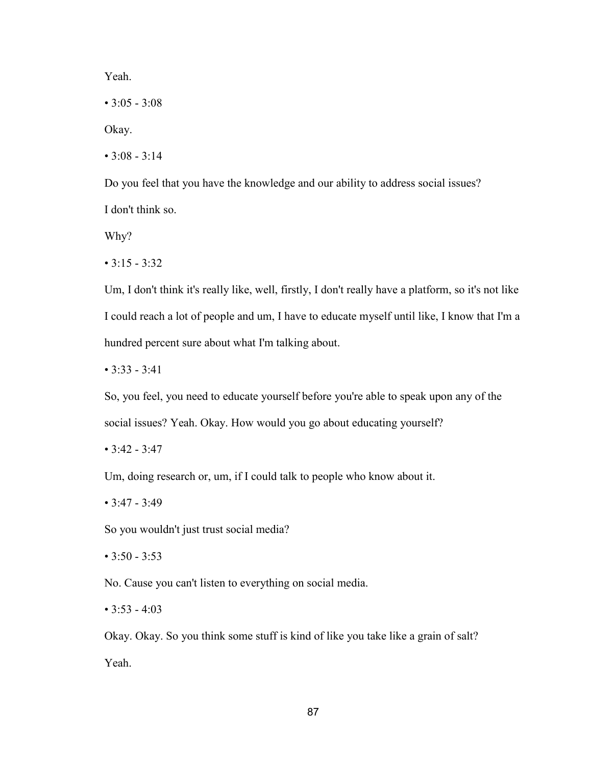Yeah.

 $• 3:05 - 3:08$ 

Okay.

• 3:08 - 3:14

Do you feel that you have the knowledge and our ability to address social issues? I don't think so.

Why?

 $• 3:15 - 3:32$ 

Um, I don't think it's really like, well, firstly, I don't really have a platform, so it's not like I could reach a lot of people and um, I have to educate myself until like, I know that I'm a hundred percent sure about what I'm talking about.

 $• 3:33 - 3:41$ 

So, you feel, you need to educate yourself before you're able to speak upon any of the social issues? Yeah. Okay. How would you go about educating yourself?

• 3:42 - 3:47

Um, doing research or, um, if I could talk to people who know about it.

 $• 3:47 - 3:49$ 

So you wouldn't just trust social media?

• 3:50 - 3:53

No. Cause you can't listen to everything on social media.

 $\cdot$  3:53 - 4:03

Okay. Okay. So you think some stuff is kind of like you take like a grain of salt? Yeah.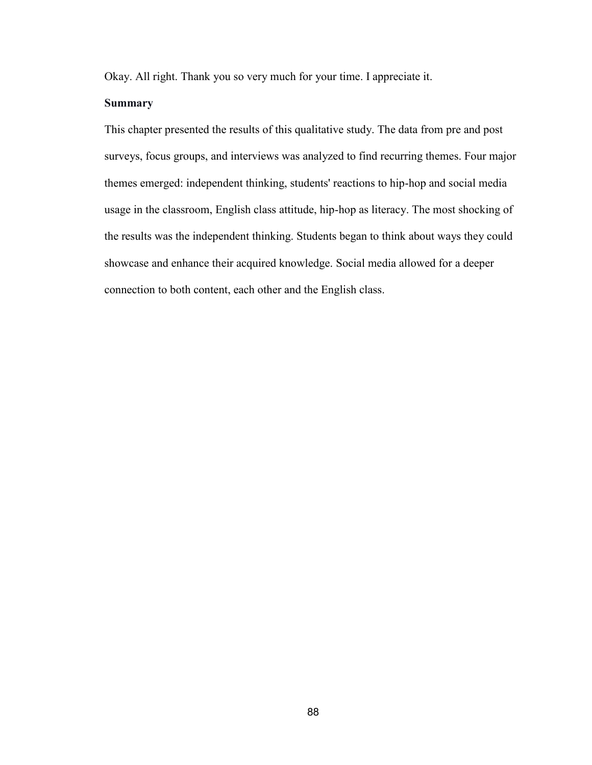Okay. All right. Thank you so very much for your time. I appreciate it.

# **Summary**

This chapter presented the results of this qualitative study. The data from pre and post surveys, focus groups, and interviews was analyzed to find recurring themes. Four major themes emerged: independent thinking, students' reactions to hip-hop and social media usage in the classroom, English class attitude, hip-hop as literacy. The most shocking of the results was the independent thinking. Students began to think about ways they could showcase and enhance their acquired knowledge. Social media allowed for a deeper connection to both content, each other and the English class.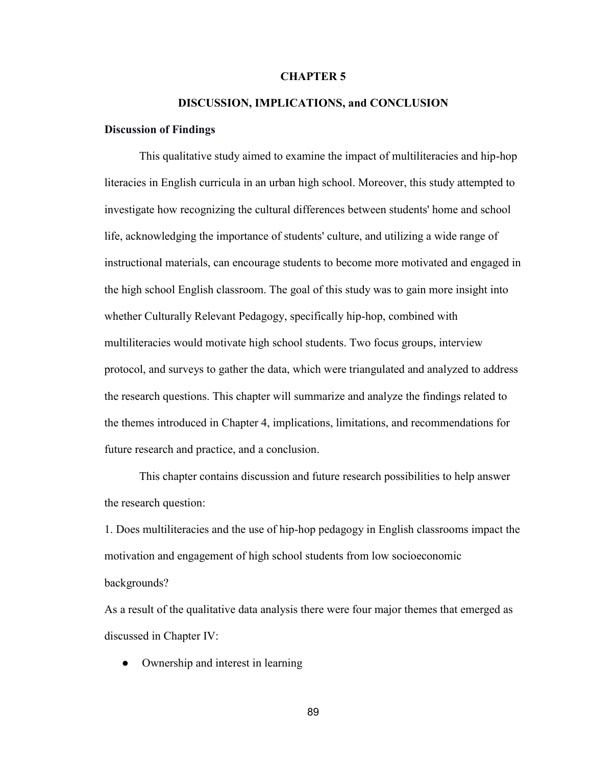#### **CHAPTER 5**

# **DISCUSSION, IMPLICATIONS, and CONCLUSION**

### **Discussion of Findings**

This qualitative study aimed to examine the impact of multiliteracies and hip-hop literacies in English curricula in an urban high school. Moreover, this study attempted to investigate how recognizing the cultural differences between students' home and school life, acknowledging the importance of students' culture, and utilizing a wide range of instructional materials, can encourage students to become more motivated and engaged in the high school English classroom. The goal of this study was to gain more insight into whether Culturally Relevant Pedagogy, specifically hip-hop, combined with multiliteracies would motivate high school students. Two focus groups, interview protocol, and surveys to gather the data, which were triangulated and analyzed to address the research questions. This chapter will summarize and analyze the findings related to the themes introduced in Chapter 4, implications, limitations, and recommendations for future research and practice, and a conclusion.

This chapter contains discussion and future research possibilities to help answer the research question:

1. Does multiliteracies and the use of hip-hop pedagogy in English classrooms impact the motivation and engagement of high school students from low socioeconomic backgrounds?

As a result of the qualitative data analysis there were four major themes that emerged as discussed in Chapter IV:

Ownership and interest in learning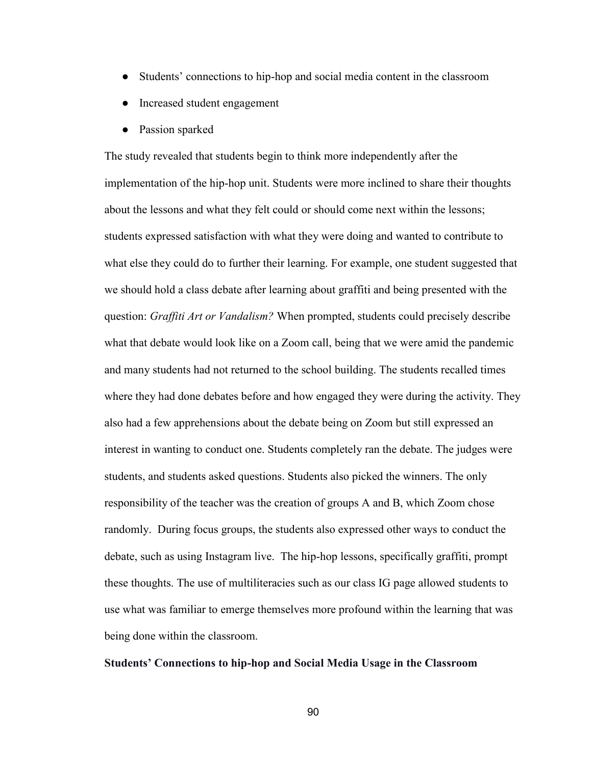- Students' connections to hip-hop and social media content in the classroom
- Increased student engagement
- Passion sparked

The study revealed that students begin to think more independently after the implementation of the hip-hop unit. Students were more inclined to share their thoughts about the lessons and what they felt could or should come next within the lessons; students expressed satisfaction with what they were doing and wanted to contribute to what else they could do to further their learning. For example, one student suggested that we should hold a class debate after learning about graffiti and being presented with the question: *Graffiti Art or Vandalism?* When prompted, students could precisely describe what that debate would look like on a Zoom call, being that we were amid the pandemic and many students had not returned to the school building. The students recalled times where they had done debates before and how engaged they were during the activity. They also had a few apprehensions about the debate being on Zoom but still expressed an interest in wanting to conduct one. Students completely ran the debate. The judges were students, and students asked questions. Students also picked the winners. The only responsibility of the teacher was the creation of groups A and B, which Zoom chose randomly. During focus groups, the students also expressed other ways to conduct the debate, such as using Instagram live. The hip-hop lessons, specifically graffiti, prompt these thoughts. The use of multiliteracies such as our class IG page allowed students to use what was familiar to emerge themselves more profound within the learning that was being done within the classroom.

# **Students' Connections to hip-hop and Social Media Usage in the Classroom**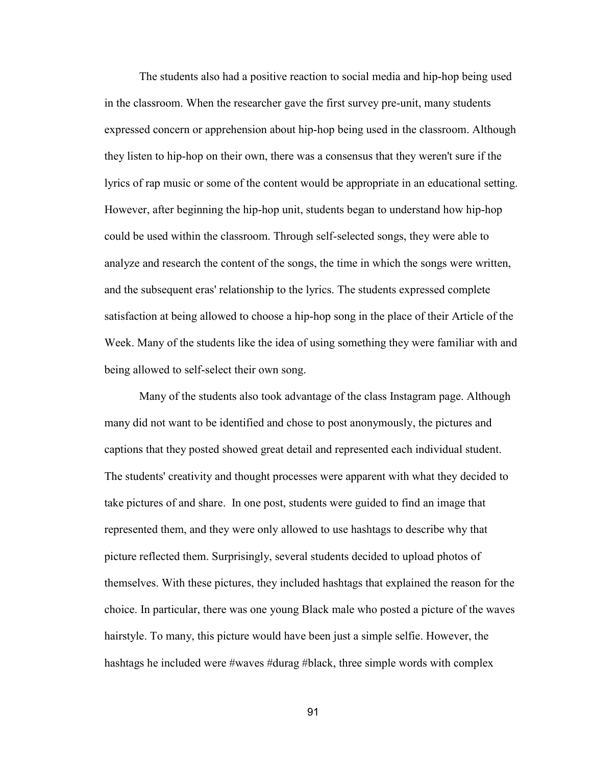The students also had a positive reaction to social media and hip-hop being used in the classroom. When the researcher gave the first survey pre-unit, many students expressed concern or apprehension about hip-hop being used in the classroom. Although they listen to hip-hop on their own, there was a consensus that they weren't sure if the lyrics of rap music or some of the content would be appropriate in an educational setting. However, after beginning the hip-hop unit, students began to understand how hip-hop could be used within the classroom. Through self-selected songs, they were able to analyze and research the content of the songs, the time in which the songs were written, and the subsequent eras' relationship to the lyrics. The students expressed complete satisfaction at being allowed to choose a hip-hop song in the place of their Article of the Week. Many of the students like the idea of using something they were familiar with and being allowed to self-select their own song.

Many of the students also took advantage of the class Instagram page. Although many did not want to be identified and chose to post anonymously, the pictures and captions that they posted showed great detail and represented each individual student. The students' creativity and thought processes were apparent with what they decided to take pictures of and share. In one post, students were guided to find an image that represented them, and they were only allowed to use hashtags to describe why that picture reflected them. Surprisingly, several students decided to upload photos of themselves. With these pictures, they included hashtags that explained the reason for the choice. In particular, there was one young Black male who posted a picture of the waves hairstyle. To many, this picture would have been just a simple selfie. However, the hashtags he included were #waves #durag #black, three simple words with complex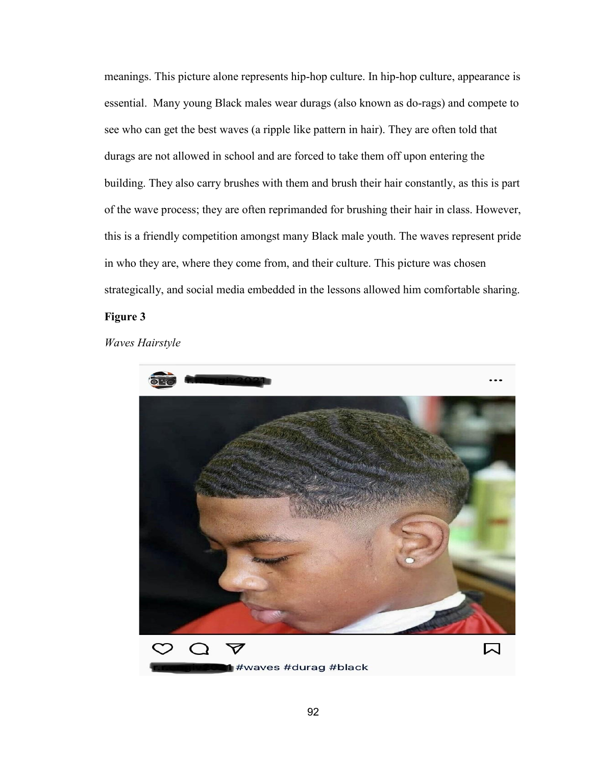meanings. This picture alone represents hip-hop culture. In hip-hop culture, appearance is essential. Many young Black males wear durags (also known as do-rags) and compete to see who can get the best waves (a ripple like pattern in hair). They are often told that durags are not allowed in school and are forced to take them off upon entering the building. They also carry brushes with them and brush their hair constantly, as this is part of the wave process; they are often reprimanded for brushing their hair in class. However, this is a friendly competition amongst many Black male youth. The waves represent pride in who they are, where they come from, and their culture. This picture was chosen strategically, and social media embedded in the lessons allowed him comfortable sharing.

# **Figure 3**

*Waves Hairstyle*

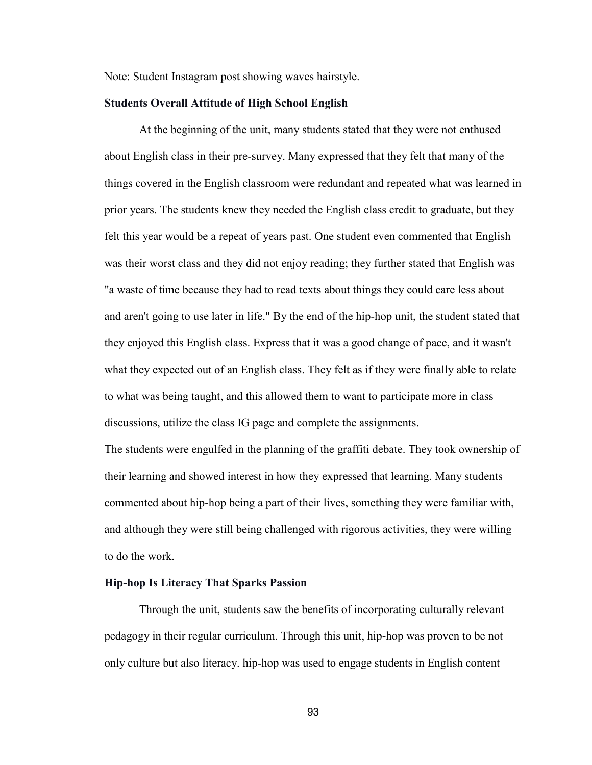Note: Student Instagram post showing waves hairstyle.

# **Students Overall Attitude of High School English**

At the beginning of the unit, many students stated that they were not enthused about English class in their pre-survey. Many expressed that they felt that many of the things covered in the English classroom were redundant and repeated what was learned in prior years. The students knew they needed the English class credit to graduate, but they felt this year would be a repeat of years past. One student even commented that English was their worst class and they did not enjoy reading; they further stated that English was "a waste of time because they had to read texts about things they could care less about and aren't going to use later in life." By the end of the hip-hop unit, the student stated that they enjoyed this English class. Express that it was a good change of pace, and it wasn't what they expected out of an English class. They felt as if they were finally able to relate to what was being taught, and this allowed them to want to participate more in class discussions, utilize the class IG page and complete the assignments.

The students were engulfed in the planning of the graffiti debate. They took ownership of their learning and showed interest in how they expressed that learning. Many students commented about hip-hop being a part of their lives, something they were familiar with, and although they were still being challenged with rigorous activities, they were willing to do the work.

## **Hip-hop Is Literacy That Sparks Passion**

Through the unit, students saw the benefits of incorporating culturally relevant pedagogy in their regular curriculum. Through this unit, hip-hop was proven to be not only culture but also literacy. hip-hop was used to engage students in English content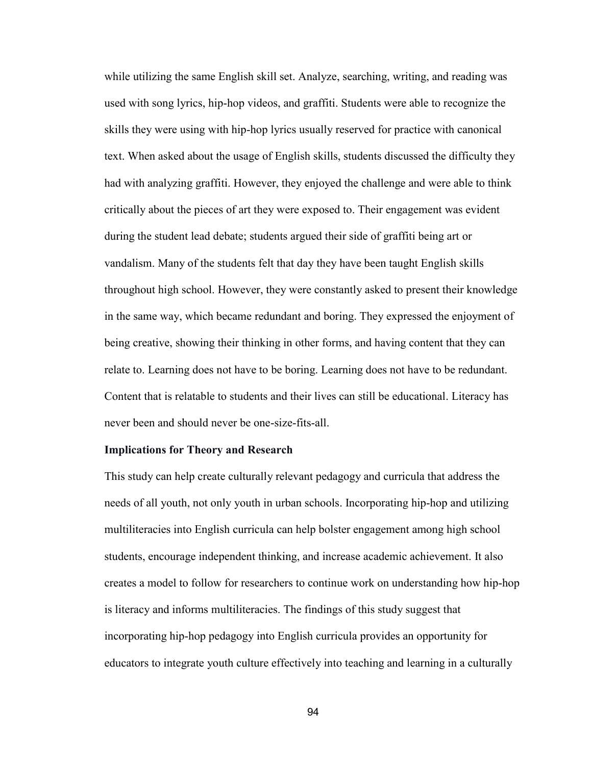while utilizing the same English skill set. Analyze, searching, writing, and reading was used with song lyrics, hip-hop videos, and graffiti. Students were able to recognize the skills they were using with hip-hop lyrics usually reserved for practice with canonical text. When asked about the usage of English skills, students discussed the difficulty they had with analyzing graffiti. However, they enjoyed the challenge and were able to think critically about the pieces of art they were exposed to. Their engagement was evident during the student lead debate; students argued their side of graffiti being art or vandalism. Many of the students felt that day they have been taught English skills throughout high school. However, they were constantly asked to present their knowledge in the same way, which became redundant and boring. They expressed the enjoyment of being creative, showing their thinking in other forms, and having content that they can relate to. Learning does not have to be boring. Learning does not have to be redundant. Content that is relatable to students and their lives can still be educational. Literacy has never been and should never be one-size-fits-all.

### **Implications for Theory and Research**

This study can help create culturally relevant pedagogy and curricula that address the needs of all youth, not only youth in urban schools. Incorporating hip-hop and utilizing multiliteracies into English curricula can help bolster engagement among high school students, encourage independent thinking, and increase academic achievement. It also creates a model to follow for researchers to continue work on understanding how hip-hop is literacy and informs multiliteracies. The findings of this study suggest that incorporating hip-hop pedagogy into English curricula provides an opportunity for educators to integrate youth culture effectively into teaching and learning in a culturally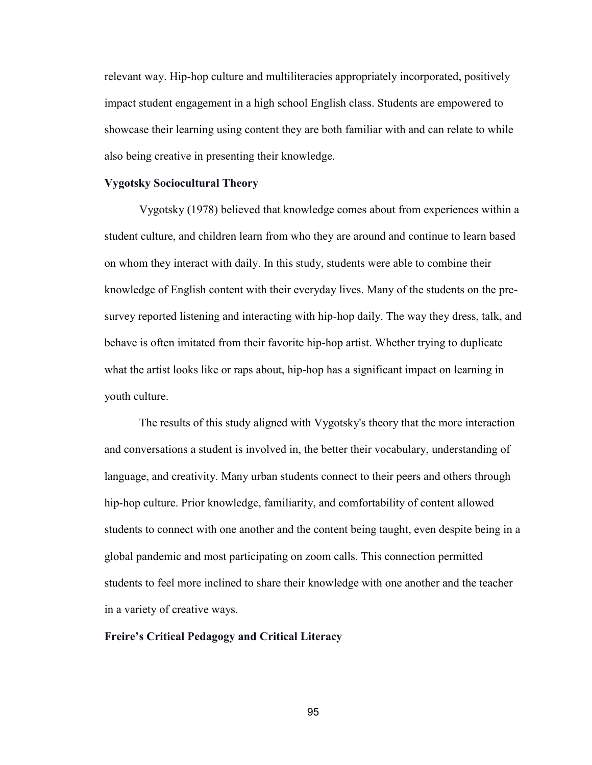relevant way. Hip-hop culture and multiliteracies appropriately incorporated, positively impact student engagement in a high school English class. Students are empowered to showcase their learning using content they are both familiar with and can relate to while also being creative in presenting their knowledge.

## **Vygotsky Sociocultural Theory**

Vygotsky (1978) believed that knowledge comes about from experiences within a student culture, and children learn from who they are around and continue to learn based on whom they interact with daily. In this study, students were able to combine their knowledge of English content with their everyday lives. Many of the students on the presurvey reported listening and interacting with hip-hop daily. The way they dress, talk, and behave is often imitated from their favorite hip-hop artist. Whether trying to duplicate what the artist looks like or raps about, hip-hop has a significant impact on learning in youth culture.

The results of this study aligned with Vygotsky's theory that the more interaction and conversations a student is involved in, the better their vocabulary, understanding of language, and creativity. Many urban students connect to their peers and others through hip-hop culture. Prior knowledge, familiarity, and comfortability of content allowed students to connect with one another and the content being taught, even despite being in a global pandemic and most participating on zoom calls. This connection permitted students to feel more inclined to share their knowledge with one another and the teacher in a variety of creative ways.

# **Freire's Critical Pedagogy and Critical Literacy**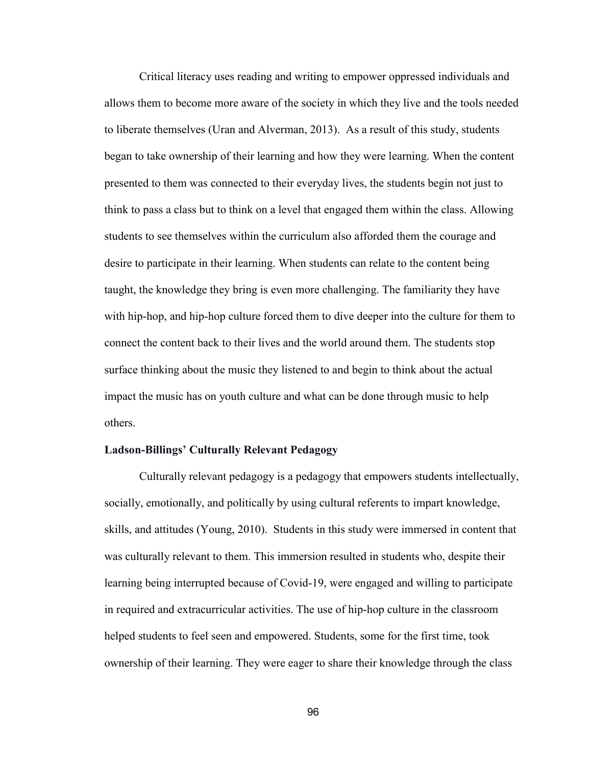Critical literacy uses reading and writing to empower oppressed individuals and allows them to become more aware of the society in which they live and the tools needed to liberate themselves (Uran and Alverman, 2013). As a result of this study, students began to take ownership of their learning and how they were learning. When the content presented to them was connected to their everyday lives, the students begin not just to think to pass a class but to think on a level that engaged them within the class. Allowing students to see themselves within the curriculum also afforded them the courage and desire to participate in their learning. When students can relate to the content being taught, the knowledge they bring is even more challenging. The familiarity they have with hip-hop, and hip-hop culture forced them to dive deeper into the culture for them to connect the content back to their lives and the world around them. The students stop surface thinking about the music they listened to and begin to think about the actual impact the music has on youth culture and what can be done through music to help others.

# **Ladson-Billings' Culturally Relevant Pedagogy**

Culturally relevant pedagogy is a pedagogy that empowers students intellectually, socially, emotionally, and politically by using cultural referents to impart knowledge, skills, and attitudes (Young, 2010). Students in this study were immersed in content that was culturally relevant to them. This immersion resulted in students who, despite their learning being interrupted because of Covid-19, were engaged and willing to participate in required and extracurricular activities. The use of hip-hop culture in the classroom helped students to feel seen and empowered. Students, some for the first time, took ownership of their learning. They were eager to share their knowledge through the class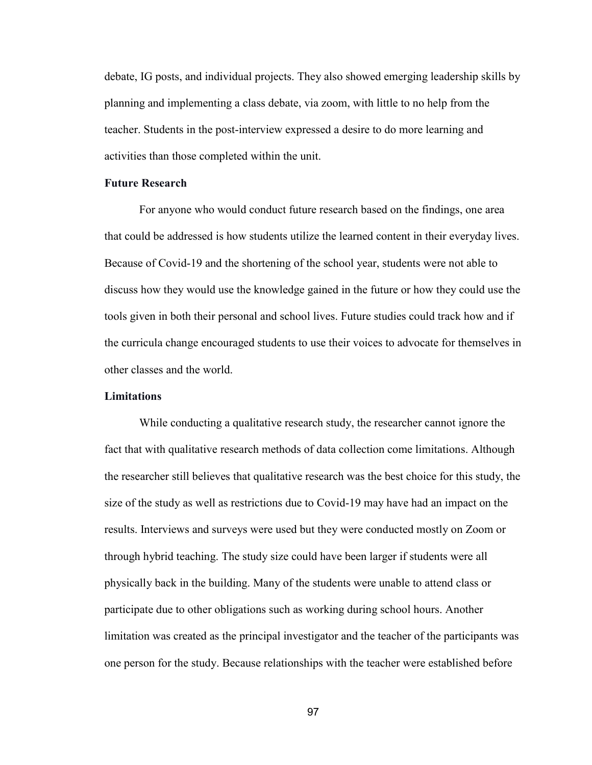debate, IG posts, and individual projects. They also showed emerging leadership skills by planning and implementing a class debate, via zoom, with little to no help from the teacher. Students in the post-interview expressed a desire to do more learning and activities than those completed within the unit.

# **Future Research**

For anyone who would conduct future research based on the findings, one area that could be addressed is how students utilize the learned content in their everyday lives. Because of Covid-19 and the shortening of the school year, students were not able to discuss how they would use the knowledge gained in the future or how they could use the tools given in both their personal and school lives. Future studies could track how and if the curricula change encouraged students to use their voices to advocate for themselves in other classes and the world.

# **Limitations**

While conducting a qualitative research study, the researcher cannot ignore the fact that with qualitative research methods of data collection come limitations. Although the researcher still believes that qualitative research was the best choice for this study, the size of the study as well as restrictions due to Covid-19 may have had an impact on the results. Interviews and surveys were used but they were conducted mostly on Zoom or through hybrid teaching. The study size could have been larger if students were all physically back in the building. Many of the students were unable to attend class or participate due to other obligations such as working during school hours. Another limitation was created as the principal investigator and the teacher of the participants was one person for the study. Because relationships with the teacher were established before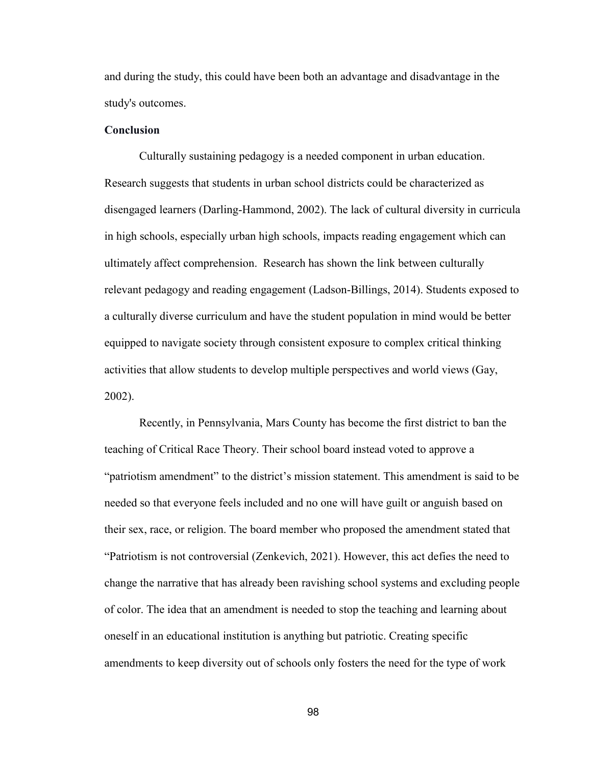and during the study, this could have been both an advantage and disadvantage in the study's outcomes.

# **Conclusion**

Culturally sustaining pedagogy is a needed component in urban education. Research suggests that students in urban school districts could be characterized as disengaged learners (Darling-Hammond, 2002). The lack of cultural diversity in curricula in high schools, especially urban high schools, impacts reading engagement which can ultimately affect comprehension. Research has shown the link between culturally relevant pedagogy and reading engagement (Ladson-Billings, 2014). Students exposed to a culturally diverse curriculum and have the student population in mind would be better equipped to navigate society through consistent exposure to complex critical thinking activities that allow students to develop multiple perspectives and world views (Gay, 2002).

Recently, in Pennsylvania, Mars County has become the first district to ban the teaching of Critical Race Theory. Their school board instead voted to approve a "patriotism amendment" to the district's mission statement. This amendment is said to be needed so that everyone feels included and no one will have guilt or anguish based on their sex, race, or religion. The board member who proposed the amendment stated that "Patriotism is not controversial (Zenkevich, 2021). However, this act defies the need to change the narrative that has already been ravishing school systems and excluding people of color. The idea that an amendment is needed to stop the teaching and learning about oneself in an educational institution is anything but patriotic. Creating specific amendments to keep diversity out of schools only fosters the need for the type of work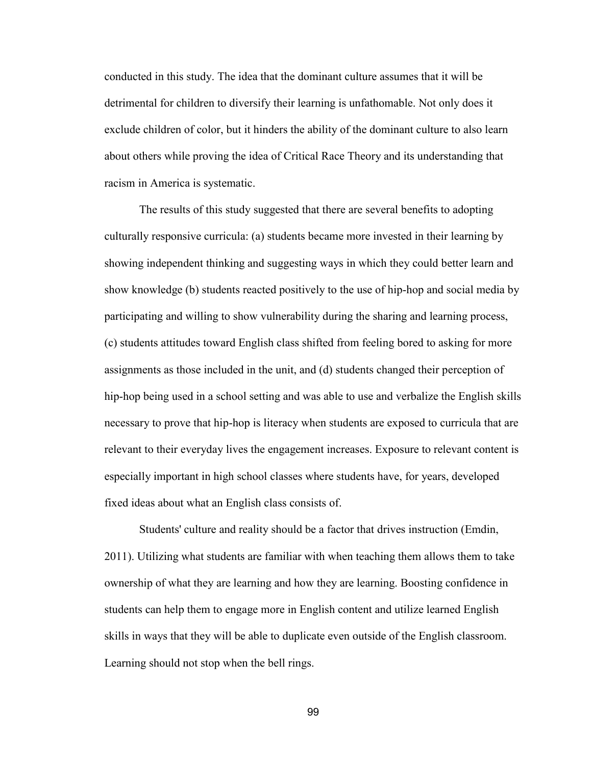conducted in this study. The idea that the dominant culture assumes that it will be detrimental for children to diversify their learning is unfathomable. Not only does it exclude children of color, but it hinders the ability of the dominant culture to also learn about others while proving the idea of Critical Race Theory and its understanding that racism in America is systematic.

The results of this study suggested that there are several benefits to adopting culturally responsive curricula: (a) students became more invested in their learning by showing independent thinking and suggesting ways in which they could better learn and show knowledge (b) students reacted positively to the use of hip-hop and social media by participating and willing to show vulnerability during the sharing and learning process, (c) students attitudes toward English class shifted from feeling bored to asking for more assignments as those included in the unit, and (d) students changed their perception of hip-hop being used in a school setting and was able to use and verbalize the English skills necessary to prove that hip-hop is literacy when students are exposed to curricula that are relevant to their everyday lives the engagement increases. Exposure to relevant content is especially important in high school classes where students have, for years, developed fixed ideas about what an English class consists of.

Students' culture and reality should be a factor that drives instruction (Emdin, 2011). Utilizing what students are familiar with when teaching them allows them to take ownership of what they are learning and how they are learning. Boosting confidence in students can help them to engage more in English content and utilize learned English skills in ways that they will be able to duplicate even outside of the English classroom. Learning should not stop when the bell rings.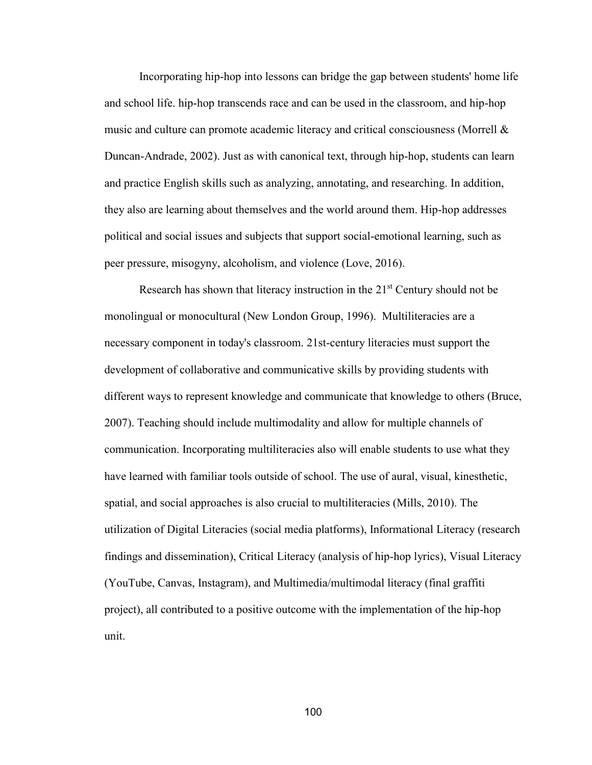Incorporating hip-hop into lessons can bridge the gap between students' home life and school life. hip-hop transcends race and can be used in the classroom, and hip-hop music and culture can promote academic literacy and critical consciousness (Morrell & Duncan-Andrade, 2002). Just as with canonical text, through hip-hop, students can learn and practice English skills such as analyzing, annotating, and researching. In addition, they also are learning about themselves and the world around them. Hip-hop addresses political and social issues and subjects that support social-emotional learning, such as peer pressure, misogyny, alcoholism, and violence (Love, 2016).

Research has shown that literacy instruction in the  $21<sup>st</sup>$  Century should not be monolingual or monocultural (New London Group, 1996). Multiliteracies are a necessary component in today's classroom. 21st-century literacies must support the development of collaborative and communicative skills by providing students with different ways to represent knowledge and communicate that knowledge to others (Bruce, 2007). Teaching should include multimodality and allow for multiple channels of communication. Incorporating multiliteracies also will enable students to use what they have learned with familiar tools outside of school. The use of aural, visual, kinesthetic, spatial, and social approaches is also crucial to multiliteracies (Mills, 2010). The utilization of Digital Literacies (social media platforms), Informational Literacy (research findings and dissemination), Critical Literacy (analysis of hip-hop lyrics), Visual Literacy (YouTube, Canvas, Instagram), and Multimedia/multimodal literacy (final graffiti project), all contributed to a positive outcome with the implementation of the hip-hop unit.

100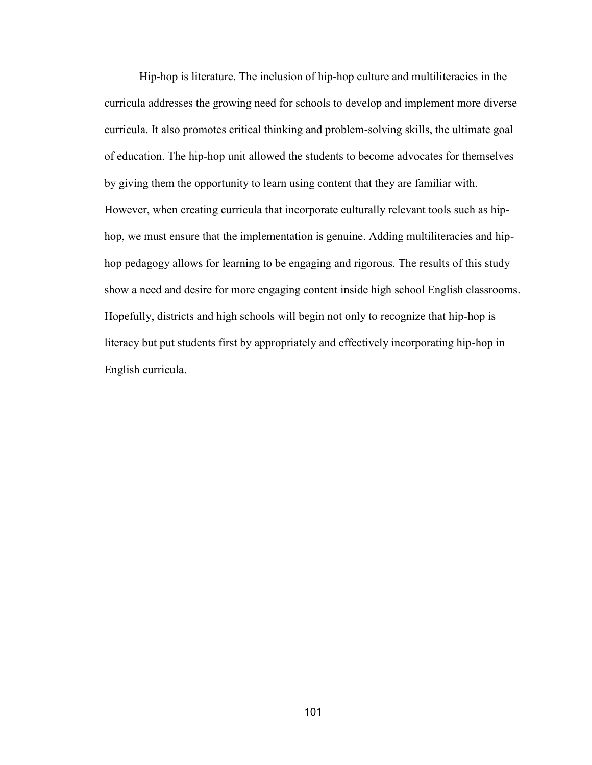Hip-hop is literature. The inclusion of hip-hop culture and multiliteracies in the curricula addresses the growing need for schools to develop and implement more diverse curricula. It also promotes critical thinking and problem-solving skills, the ultimate goal of education. The hip-hop unit allowed the students to become advocates for themselves by giving them the opportunity to learn using content that they are familiar with. However, when creating curricula that incorporate culturally relevant tools such as hiphop, we must ensure that the implementation is genuine. Adding multiliteracies and hiphop pedagogy allows for learning to be engaging and rigorous. The results of this study show a need and desire for more engaging content inside high school English classrooms. Hopefully, districts and high schools will begin not only to recognize that hip-hop is literacy but put students first by appropriately and effectively incorporating hip-hop in English curricula.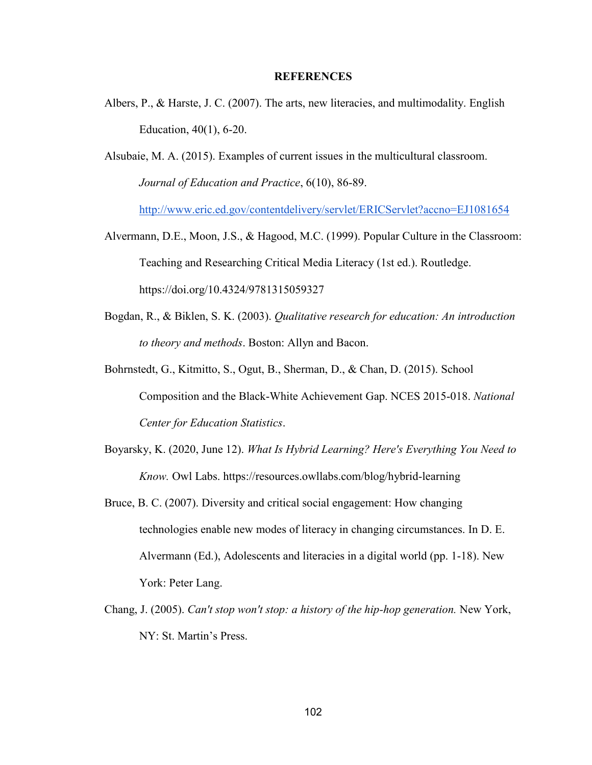## **REFERENCES**

Albers, P., & Harste, J. C. (2007). The arts, new literacies, and multimodality. English Education, 40(1), 6-20.

Alsubaie, M. A. (2015). Examples of current issues in the multicultural classroom. *Journal of Education and Practice*, 6(10), 86-89. <http://www.eric.ed.gov/contentdelivery/servlet/ERICServlet?accno=EJ1081654>

- Alvermann, D.E., Moon, J.S., & Hagood, M.C. (1999). Popular Culture in the Classroom: Teaching and Researching Critical Media Literacy (1st ed.). Routledge. https://doi.org/10.4324/9781315059327
- Bogdan, R., & Biklen, S. K. (2003). *Qualitative research for education: An introduction to theory and methods*. Boston: Allyn and Bacon.
- Bohrnstedt, G., Kitmitto, S., Ogut, B., Sherman, D., & Chan, D. (2015). School Composition and the Black-White Achievement Gap. NCES 2015-018. *National Center for Education Statistics*.
- Boyarsky, K. (2020, June 12). *What Is Hybrid Learning? Here's Everything You Need to Know.* Owl Labs. https://resources.owllabs.com/blog/hybrid-learning
- Bruce, B. C. (2007). Diversity and critical social engagement: How changing technologies enable new modes of literacy in changing circumstances. In D. E. Alvermann (Ed.), Adolescents and literacies in a digital world (pp. 1-18). New York: Peter Lang.
- Chang, J. (2005). *Can't stop won't stop: a history of the hip-hop generation.* New York, NY: St. Martin's Press.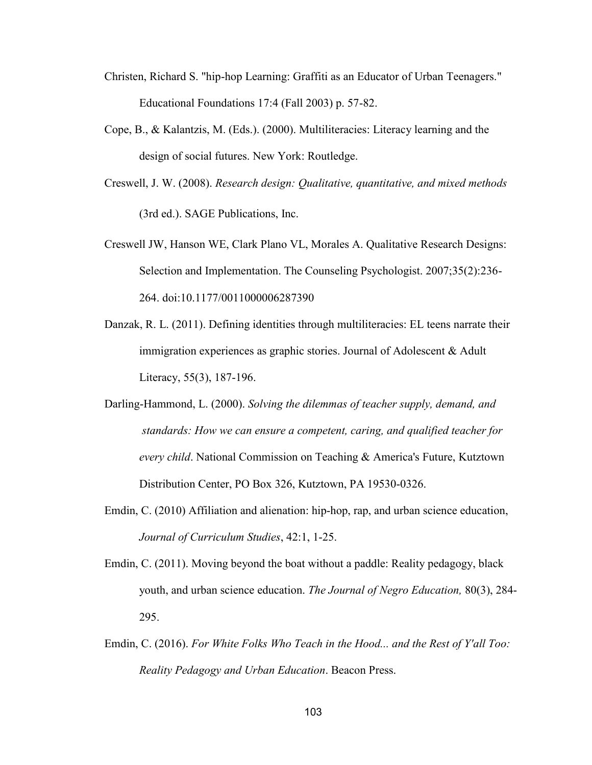- Christen, Richard S. "hip-hop Learning: Graffiti as an Educator of Urban Teenagers." Educational Foundations 17:4 (Fall 2003) p. 57-82.
- Cope, B., & Kalantzis, M. (Eds.). (2000). Multiliteracies: Literacy learning and the design of social futures. New York: Routledge.
- Creswell, J. W. (2008). *Research design: Qualitative, quantitative, and mixed methods*  (3rd ed.). SAGE Publications, Inc.
- Creswell JW, Hanson WE, Clark Plano VL, Morales A. Qualitative Research Designs: Selection and Implementation. The Counseling Psychologist. 2007;35(2):236- 264. doi:10.1177/0011000006287390
- Danzak, R. L. (2011). Defining identities through multiliteracies: EL teens narrate their immigration experiences as graphic stories. Journal of Adolescent & Adult Literacy, 55(3), 187-196.
- Darling-Hammond, L. (2000). *Solving the dilemmas of teacher supply, demand, and standards: How we can ensure a competent, caring, and qualified teacher for every child*. National Commission on Teaching & America's Future, Kutztown Distribution Center, PO Box 326, Kutztown, PA 19530-0326.
- Emdin, C. (2010) Affiliation and alienation: hip‐hop, rap, and urban science education, *Journal of Curriculum Studies*, 42:1, 1-25.
- Emdin, C. (2011). Moving beyond the boat without a paddle: Reality pedagogy, black youth, and urban science education. *The Journal of Negro Education,* 80(3), 284- 295.
- Emdin, C. (2016). *For White Folks Who Teach in the Hood... and the Rest of Y'all Too: Reality Pedagogy and Urban Education*. Beacon Press.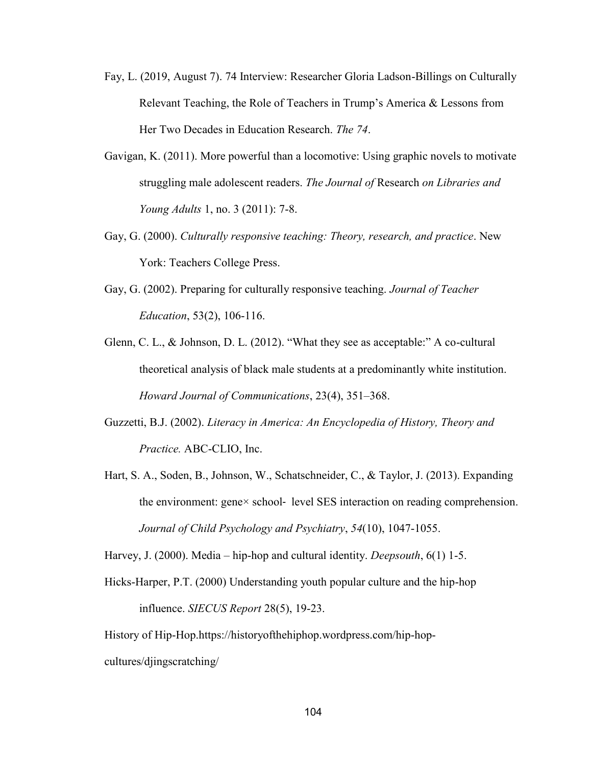- Fay, L. (2019, August 7). 74 Interview: Researcher Gloria Ladson-Billings on Culturally Relevant Teaching, the Role of Teachers in Trump's America & Lessons from Her Two Decades in Education Research. *The 74*.
- Gavigan, K. (2011). More powerful than a locomotive: Using graphic novels to motivate struggling male adolescent readers. *The Journal of* Research *on Libraries and Young Adults* 1, no. 3 (2011): 7-8.
- Gay, G. (2000). *Culturally responsive teaching: Theory, research, and practice*. New York: Teachers College Press.
- Gay, G. (2002). Preparing for culturally responsive teaching. *Journal of Teacher Education*, 53(2), 106-116.
- Glenn, C. L., & Johnson, D. L. (2012). "What they see as acceptable:" A co-cultural theoretical analysis of black male students at a predominantly white institution. *Howard Journal of Communications*, 23(4), 351–368.
- Guzzetti, B.J. (2002). *Literacy in America: An Encyclopedia of History, Theory and Practice.* ABC-CLIO, Inc.
- Hart, S. A., Soden, B., Johnson, W., Schatschneider, C., & Taylor, J. (2013). Expanding the environment: gene× school‐ level SES interaction on reading comprehension. *Journal of Child Psychology and Psychiatry*, *54*(10), 1047-1055.

Harvey, J. (2000). Media – hip-hop and cultural identity. *Deepsouth*, 6(1) 1-5.

Hicks-Harper, P.T. (2000) Understanding youth popular culture and the hip-hop influence. *SIECUS Report* 28(5), 19-23.

History of Hip-Hop.https://historyofthehiphop.wordpress.com/hip-hopcultures/djingscratching/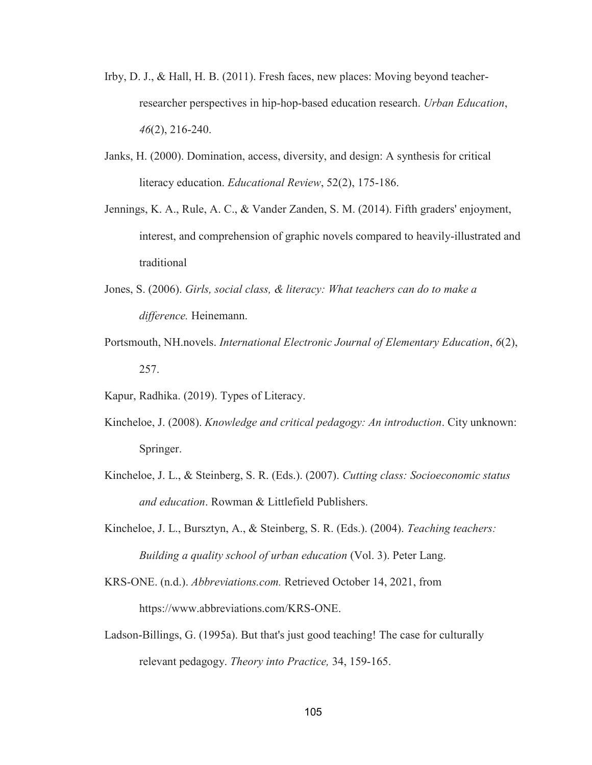- Irby, D. J., & Hall, H. B. (2011). Fresh faces, new places: Moving beyond teacherresearcher perspectives in hip-hop-based education research. *Urban Education*, *46*(2), 216-240.
- Janks, H. (2000). Domination, access, diversity, and design: A synthesis for critical literacy education. *Educational Review*, 52(2), 175-186.
- Jennings, K. A., Rule, A. C., & Vander Zanden, S. M. (2014). Fifth graders' enjoyment, interest, and comprehension of graphic novels compared to heavily-illustrated and traditional
- Jones, S. (2006). *Girls, social class, & literacy: What teachers can do to make a difference.* Heinemann.
- Portsmouth, NH.novels. *International Electronic Journal of Elementary Education*, *6*(2), 257.
- Kapur, Radhika. (2019). Types of Literacy.
- Kincheloe, J. (2008). *Knowledge and critical pedagogy: An introduction*. City unknown: Springer.
- Kincheloe, J. L., & Steinberg, S. R. (Eds.). (2007). *Cutting class: Socioeconomic status and education*. Rowman & Littlefield Publishers.
- Kincheloe, J. L., Bursztyn, A., & Steinberg, S. R. (Eds.). (2004). *Teaching teachers: Building a quality school of urban education* (Vol. 3). Peter Lang.
- KRS-ONE. (n.d.). *Abbreviations.com.* Retrieved October 14, 2021, from https://www.abbreviations.com/KRS-ONE.
- Ladson-Billings, G. (1995a). But that's just good teaching! The case for culturally relevant pedagogy. *Theory into Practice,* 34, 159-165.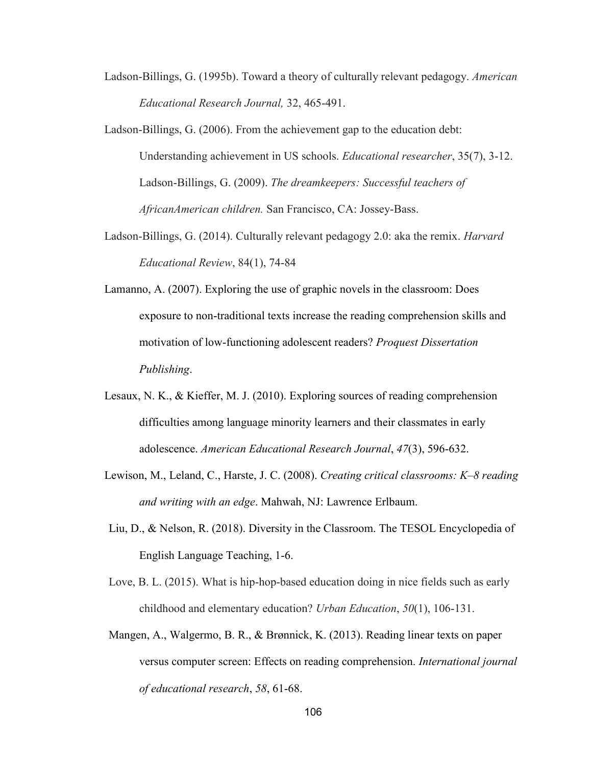- Ladson-Billings, G. (1995b). Toward a theory of culturally relevant pedagogy. *American Educational Research Journal,* 32, 465-491.
- Ladson-Billings, G. (2006). From the achievement gap to the education debt: Understanding achievement in US schools. *Educational researcher*, 35(7), 3-12. Ladson-Billings, G. (2009). *The dreamkeepers: Successful teachers of AfricanAmerican children.* San Francisco, CA: Jossey-Bass.
- Ladson-Billings, G. (2014). Culturally relevant pedagogy 2.0: aka the remix. *Harvard Educational Review*, 84(1), 74-84
- Lamanno, A. (2007). Exploring the use of graphic novels in the classroom: Does exposure to non-traditional texts increase the reading comprehension skills and motivation of low-functioning adolescent readers? *Proquest Dissertation Publishing*.
- Lesaux, N. K., & Kieffer, M. J. (2010). Exploring sources of reading comprehension difficulties among language minority learners and their classmates in early adolescence. *American Educational Research Journal*, *47*(3), 596-632.
- Lewison, M., Leland, C., Harste, J. C. (2008). *Creating critical classrooms: K–8 reading and writing with an edge*. Mahwah, NJ: Lawrence Erlbaum.
- Liu, D., & Nelson, R. (2018). Diversity in the Classroom. The TESOL Encyclopedia of English Language Teaching, 1-6.
- Love, B. L. (2015). What is hip-hop-based education doing in nice fields such as early childhood and elementary education? *Urban Education*, *50*(1), 106-131.
- Mangen, A., Walgermo, B. R., & Brønnick, K. (2013). Reading linear texts on paper versus computer screen: Effects on reading comprehension. *International journal of educational research*, *58*, 61-68.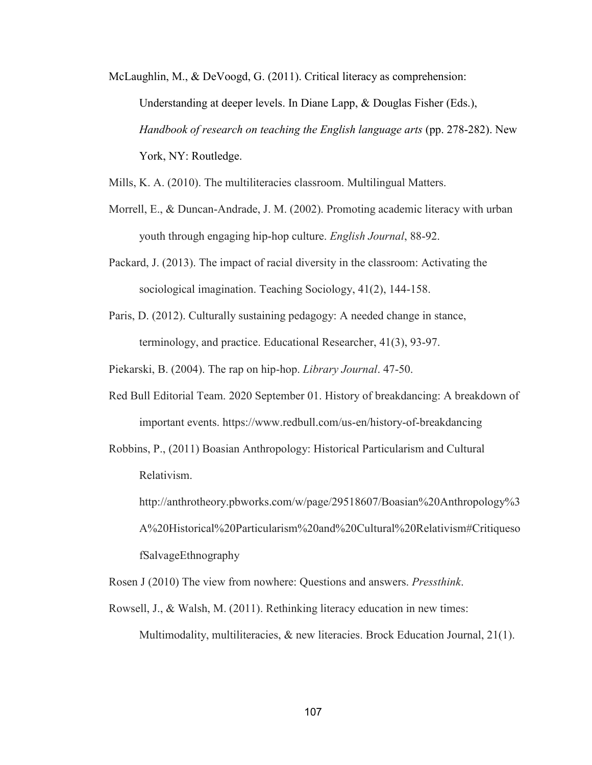McLaughlin, M., & DeVoogd, G. (2011). Critical literacy as comprehension: Understanding at deeper levels. In Diane Lapp, & Douglas Fisher (Eds.), *Handbook of research on teaching the English language arts* (pp. 278-282). New York, NY: Routledge.

Mills, K. A. (2010). The multiliteracies classroom. Multilingual Matters.

- Morrell, E., & Duncan-Andrade, J. M. (2002). Promoting academic literacy with urban youth through engaging hip-hop culture. *English Journal*, 88-92.
- Packard, J. (2013). The impact of racial diversity in the classroom: Activating the sociological imagination. Teaching Sociology, 41(2), 144-158.
- Paris, D. (2012). Culturally sustaining pedagogy: A needed change in stance, terminology, and practice. Educational Researcher, 41(3), 93-97.

Piekarski, B. (2004). The rap on hip-hop. *Library Journal*. 47-50.

- Red Bull Editorial Team. 2020 September 01. History of breakdancing: A breakdown of important events. https://www.redbull.com/us-en/history-of-breakdancing
- Robbins, P., (2011) Boasian Anthropology: Historical Particularism and Cultural Relativism.

http://anthrotheory.pbworks.com/w/page/29518607/Boasian%20Anthropology%3 A%20Historical%20Particularism%20and%20Cultural%20Relativism#Critiqueso fSalvageEthnography

Rosen J (2010) The view from nowhere: Questions and answers. *Pressthink*.

Rowsell, J., & Walsh, M. (2011). Rethinking literacy education in new times: Multimodality, multiliteracies, & new literacies. Brock Education Journal, 21(1).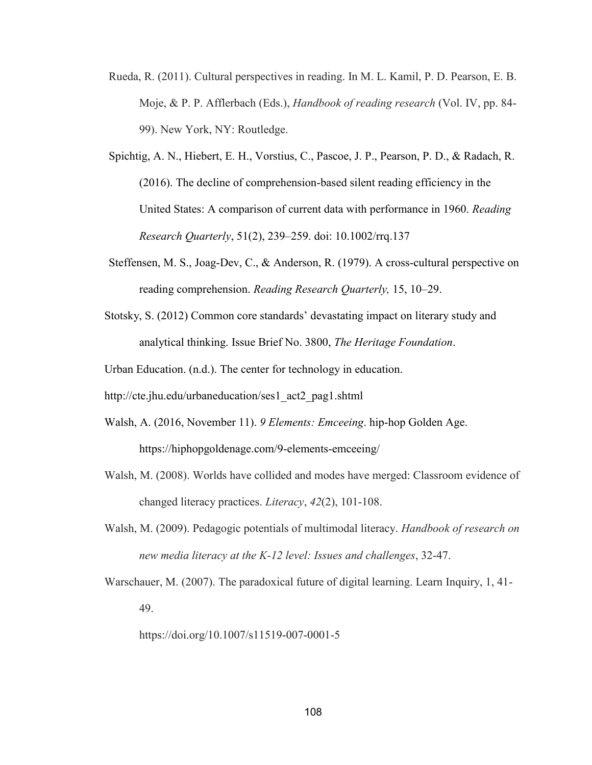- Rueda, R. (2011). Cultural perspectives in reading. In M. L. Kamil, P. D. Pearson, E. B. Moje, & P. P. Afflerbach (Eds.), *Handbook of reading research* (Vol. IV, pp. 84- 99). New York, NY: Routledge.
- Spichtig, A. N., Hiebert, E. H., Vorstius, C., Pascoe, J. P., Pearson, P. D., & Radach, R. (2016). The decline of comprehension-based silent reading efficiency in the United States: A comparison of current data with performance in 1960. *Reading Research Quarterly*, 51(2), 239–259. doi: 10.1002/rrq.137
- Steffensen, M. S., Joag-Dev, C., & Anderson, R. (1979). A cross-cultural perspective on reading comprehension. *Reading Research Quarterly,* 15, 10–29.
- Stotsky, S. (2012) Common core standards' devastating impact on literary study and analytical thinking. Issue Brief No. 3800, *The Heritage Foundation*.

Urban Education. (n.d.). The center for technology in education.

http://cte.jhu.edu/urbaneducation/ses1\_act2\_pag1.shtml

- Walsh, A. (2016, November 11). *9 Elements: Emceeing*. hip-hop Golden Age. https://hiphopgoldenage.com/9-elements-emceeing/
- Walsh, M. (2008). Worlds have collided and modes have merged: Classroom evidence of changed literacy practices. *Literacy*, *42*(2), 101-108.
- Walsh, M. (2009). Pedagogic potentials of multimodal literacy. *Handbook of research on new media literacy at the K-12 level: Issues and challenges*, 32-47.
- Warschauer, M. (2007). The paradoxical future of digital learning. Learn Inquiry, 1, 41- 49.

https://doi.org/10.1007/s11519-007-0001-5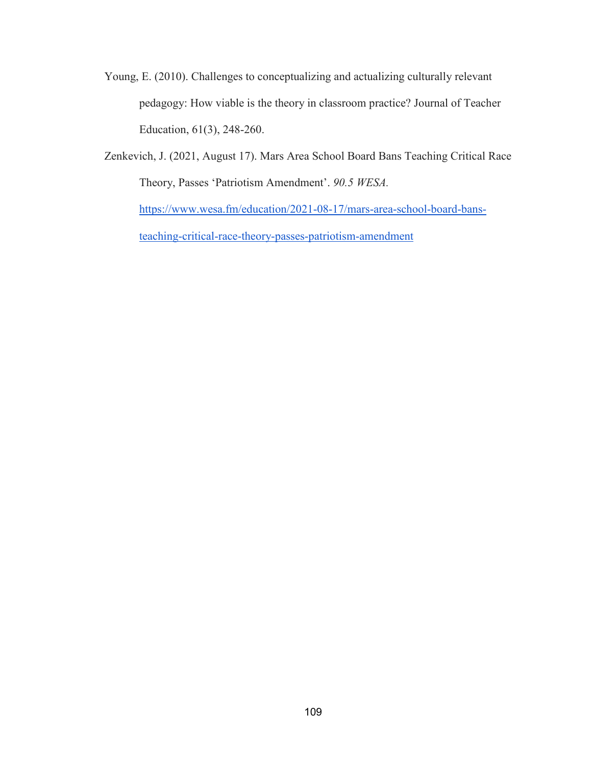Young, E. (2010). Challenges to conceptualizing and actualizing culturally relevant pedagogy: How viable is the theory in classroom practice? Journal of Teacher Education, 61(3), 248-260.

Zenkevich, J. (2021, August 17). Mars Area School Board Bans Teaching Critical Race Theory, Passes 'Patriotism Amendment'. *90.5 WESA[.](https://www.wesa.fm/education/2021-08-17/)* [https://www.wesa.fm/education/2021-08-17/mars-area-school-board-bans](https://www.wesa.fm/education/2021-08-17/)[teaching-critical-race-theory-passes-patriotism-amendment](https://www.wesa.fm/education/2021-08-17/)